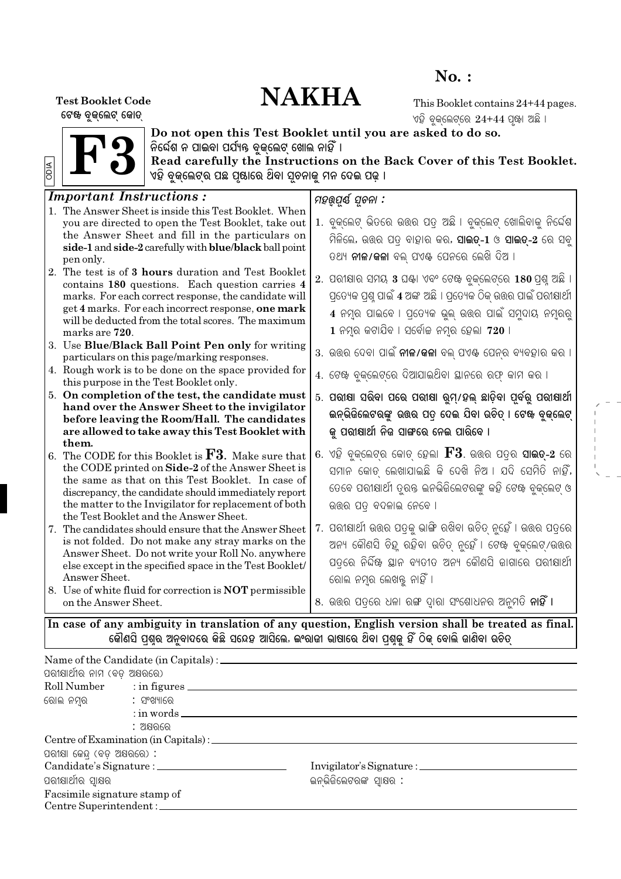## $No.$ :

# **NAKHA**

**Test Booklet Code** ଟେଖ ବୃକ୍ଲେଟ୍ କୋଡ୍

This Booklet contains 24+44 pages. ଏହି ବୁକ୍ଲେଟ୍ରେ 24+44 ପୃଖା ଅଛି ।



Do not open this Test Booklet until you are asked to do so.<br>ନିର୍ଦ୍ଦେଶ ନ ପାଇବା ପର୍ଯ୍ୟନ୍ତ ବୁଜ୍ଲେଟ୍ ଖୋଲ ନାହିଁ ।<br>Read carefully the Instructions on the Back Cover of this Test Booklet.<br>ଏହି ବୁଜ୍ଲେଟ୍ର ପଛ ପୃଷାରେ ଥିବା ସୂଚନାଜୁ ମ

| <b>Important Instructions:</b>                                                                                                                                                                                                                                                                                                                                                                                                                                 | ମହର୍ଯ୍ୟ ସୂଚନା :                                                                                                                                                                                                                                                                                                                                                                       |
|----------------------------------------------------------------------------------------------------------------------------------------------------------------------------------------------------------------------------------------------------------------------------------------------------------------------------------------------------------------------------------------------------------------------------------------------------------------|---------------------------------------------------------------------------------------------------------------------------------------------------------------------------------------------------------------------------------------------------------------------------------------------------------------------------------------------------------------------------------------|
| 1. The Answer Sheet is inside this Test Booklet. When<br>you are directed to open the Test Booklet, take out<br>the Answer Sheet and fill in the particulars on<br>side-1 and side-2 carefully with blue/black ball point<br>pen only.<br>2. The test is of 3 hours duration and Test Booklet<br>contains 180 questions. Each question carries 4<br>marks. For each correct response, the candidate will<br>get 4 marks. For each incorrect response, one mark | 1. ବୁକ୍ଲେଟ୍ ଭିତରେ ଉତ୍ତର ପତ୍ର ଅଛି । ବୁକ୍ଲେଟ୍ ଖୋଲିବାକୁ ନିର୍ଦେଶ<br>ମିଳିଲେ, ଉତ୍ତର ପତ୍ ବାହାର କର, <b>ସାଇଡ୍-1</b> ଓ <b>ସାଇଡ୍-2</b> ରେ ସବୁ<br>ତଥ୍ୟ <b>ନୀଳ/କଳା</b> ବଲ୍ ପଏ଼ି ପେନରେ ଲେଖି ଦିଅ ।<br>$2.$ ପରୀକ୍ଷାର ସମୟ 3 ଘଣ୍ଟା ଏବଂ ଟେଖ ବୁକ୍ଲେଟ୍ରେ 180 ପ୍ରଶୁ ଅଛି<br>ପ୍ରତ୍ୟେକ ପ୍ରଶ୍ନ ପାଇଁ 4 ଅଙ୍କ ଅଛି । ପ୍ରତ୍ୟେକ ଠିକ୍ ଉତ୍ତର ପାଇଁ ପରୀକ୍ଷାର୍ଥୀ<br>4 ନମ୍ର ପାଇବେ । ପ୍ରତ୍ୟେକ ଭୁଲ୍ ଉତ୍ତର ପାଇଁ ସମୁଦାୟ ନମ୍ବରରୁ |
| will be deducted from the total scores. The maximum<br>marks are 720.<br>3. Use Blue/Black Ball Point Pen only for writing                                                                                                                                                                                                                                                                                                                                     | 1 ନମ୍ର କଟାଯିବ । ସର୍ବୋଚ୍ଚ ନମ୍ର ହେଲା 720 ।<br>3.  ଉଉର ଦେବା ପାଇଁ <b>ନୀଳ/କଳା</b> ବଲ୍ ପଏఊ ପେନ୍ର ବ୍ୟବହାର କର ।                                                                                                                                                                                                                                                                               |
| particulars on this page/marking responses.<br>4. Rough work is to be done on the space provided for<br>this purpose in the Test Booklet only.                                                                                                                                                                                                                                                                                                                 | 4. ଟେଝ ବୁକ୍ଲେଟ୍ରେ ଦିଆଯାଇଥିବା ଛାନରେ ରଫ୍ କାମ କର ।                                                                                                                                                                                                                                                                                                                                       |
| 5. On completion of the test, the candidate must<br>hand over the Answer Sheet to the invigilator<br>before leaving the Room/Hall. The candidates<br>are allowed to take away this Test Booklet with                                                                                                                                                                                                                                                           | 5. ପରାଷା ସରିବା ପରେ ପରାଷା ରୁମ୍/ହଲ୍ ଛାଡ଼ିବା ପୂର୍ବରୁ ପରାଷାର୍ଥୀ<br>ଇନ୍ଭିଜିଲେଟରଙ୍କୁ ଉତ୍ତର ପତ୍ର ଦେଇ ଯିବା ଉଚିତ୍ । ଟେଖ ବୁଜ୍ଲେଟ୍<br>କୁ ପରାଷାର୍ଥୀ ନିଜ ସାଙ୍ଗରେ ନେଇ ପାରିବେ ।                                                                                                                                                                                                                      |
| them.<br>6. The CODE for this Booklet is $F3$ . Make sure that<br>the CODE printed on Side-2 of the Answer Sheet is<br>the same as that on this Test Booklet. In case of<br>discrepancy, the candidate should immediately report<br>the matter to the Invigilator for replacement of both<br>the Test Booklet and the Answer Sheet.                                                                                                                            | 6. ଏହି ବୁକ୍ଲେଟ୍ର କୋଡ୍ ହେଲା ${\bf F3}$ . ଉତ୍ତର ପତ୍ର ସା <b>ଇତ୍-2</b> ରେ<br>ସମାନ କୋଡ଼ ଲେଖାଯାଇଛି କି ଦେଖି ନିଅ । ଯଦି ସେମିତି ନାହିଁ,<br>ତେବେ ପରୀକ୍ଷାର୍ଥୀ ତୂର୍ତ୍ତ ଇନଭିଜିଲେଟରଙ୍କୁ କହି ଟେଖ ବୁକ୍ଲେଟ୍ ଓ<br>ଉତ୍ତର ପତ୍ ବଦଳାଇ ନେବେ ।                                                                                                                                                                  |
| 7. The candidates should ensure that the Answer Sheet<br>is not folded. Do not make any stray marks on the<br>Answer Sheet. Do not write your Roll No. anywhere<br>else except in the specified space in the Test Booklet/<br>Answer Sheet.<br>8. Use of white fluid for correction is NOT permissible<br>on the Answer Sheet.                                                                                                                                 | 7. ପରୀଷାର୍ଥୀ ଉତ୍ତର ପତ୍ରକୁ ଭାଙ୍ଗି ରଖିବା ଉଚିତ୍ ନୁହେଁ । ଉତ୍ତର ପତ୍ରରେ<br>ଅନ୍ୟ କୌଣସି ଚିହୁ ରହିବା ଉଚିତ୍ ନୁହେଁ । ଟେଖ୍ ବୁକ୍ଲେଟ୍/ଉଉର<br>ପତ୍ରରେ ନିର୍ଦ୍ଦିଷ୍ଟ ସ୍ଥାନ ବ୍ୟତୀତ ଅନ୍ୟ କୌଣସି ଜାଗାରେ ପରୀକ୍ଷାର୍ଥୀ<br>ରୋଲ ନମ୍ବର ଲେଖକୁ ନାହିଁ ।<br>.୫. ଉତ୍ତର ପତ୍ରେ ଧଳା ରଙ୍ଗ ଦ୍ୱାରା ସଂଶୋଧନର ଅନୁମତି <b>ନାହିଁ ।</b>                                                                                               |
| କୌଣସି ପ୍ଶୂର ଅନୁବାଦରେ କିଛି ସନ୍ଦେହ ଆସିଲେ. ଇଂରାଜୀ ଭାଷାରେ ଥିବା ପ୍ରଶୁକୁ ହିଁ ଠିକ୍ ବୋଲି ଜାଣିବା ଉଚିତ୍                                                                                                                                                                                                                                                                                                                                                                  | In case of any ambiguity in translation of any question, English version shall be treated as final.                                                                                                                                                                                                                                                                                   |

| ପରୀକ୍ଷାର୍ଥୀର ନାମ (ବଡ଼ ଅକ୍ଷରରେ)     |                          |                          |
|------------------------------------|--------------------------|--------------------------|
|                                    | Roll Number : in figures |                          |
| ରୋଲ ନମ୍ର                : ସଂଖ୍ୟାରେ |                          |                          |
|                                    |                          | $:$ in words $\_\_$      |
|                                    | : ଅକ୍ଷରରେ                |                          |
|                                    |                          |                          |
| ପରୀକ୍ଷା କେନ୍ଦ୍ (ବଡ଼ ଅକ୍ଷରରେ) :     |                          |                          |
|                                    |                          |                          |
| ପରୀକ୍ଷାର୍ଥୀର ସ୍ୱାକ୍ଷର              |                          | ଇନଭିଜିଲେଟରଙ୍କ ସ୍ୱାକ୍ଷର : |
| Facsimile signature stamp of       |                          |                          |
|                                    | Centre Superintendent:   |                          |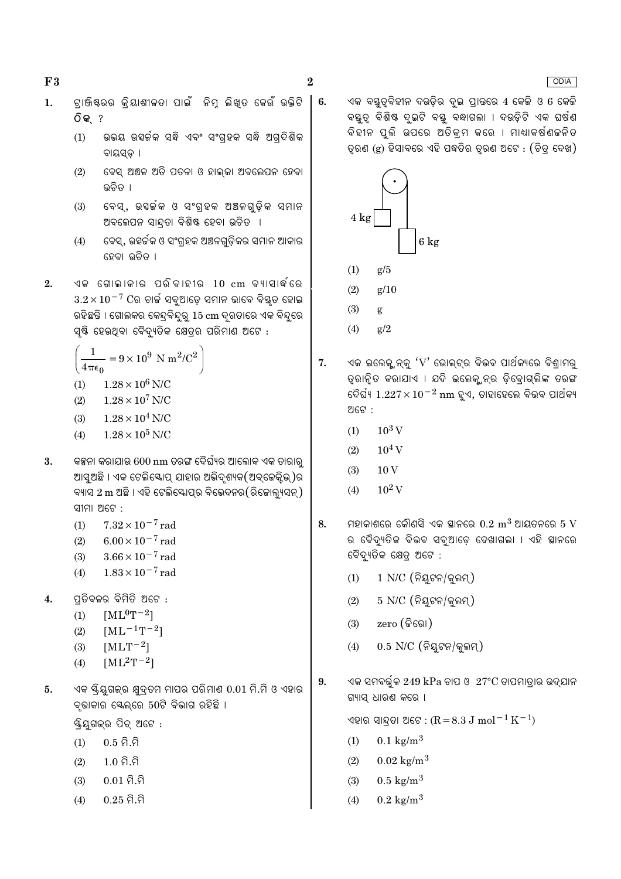$F3$ 

 $6.$ 

- ଟାଞ୍ଜିଷ୍ରର କିୟାଶୀଳତା ପାଇଁ ନିମୁ ଲିଖୁତ କେଉଁ ଉକ୍ତିଟି  $\mathbf{1}$ . **ିକ** ?
	- $(1)$ ଉଭୟ ଉହର୍ଚ୍ଚକ ସନ୍ଧି ଏବଂ ସଂଗହକ ସନ୍ଧି ଅଗଦିଶିକ ବାୟସଡ ।
	- ବେସ୍ ଅଞ୍ଚଳ ଅତି ପତଳା ଓ ହାଲ୍କା ଅବଲେପନ ହେବା  $(2)$ ଉଚିତ ।
	- ବେସ୍, ଉହର୍ଚକ ଓ ସଂଗ୍ହକ ଅଞ୍ଚଳଗ୍ଡିକ ସମାନ  $(3)$ ଅବଲେପନ ସାନ୍ଦ୍ରତା ବିଶିଷ୍ଟ ହେବା ଉଚିତ ।
	- ବେସ୍, ଉହର୍ଚ୍ଚକ ଓ ସଂଗ୍ରହକ ଅଞ୍ଚଳଗୁଡ଼ିକର ସମାନ ଆକାର  $(4)$ ହେବା ଉଚିତ ।
- ଏକ ଗୋଲାକାର ପରିବାହୀର 10 cm ବ୍ୟାସାର୍ଦ୍ଧରେ  $2.$  $3.2 \times 10^{-7}$  Cର ଚାର୍ଚ୍ଚ ସବୁଆଡ଼େ ସମାନ ଭାବେ ବିଷ୍ଟୃତ ହୋଇ ରହିଛନ୍ତି । ଗୋଲକର କେନ୍ଦ୍ରବିନ୍ଦୁରୁ 15 cm ଦ୍ରରତାରେ ଏକ ବିନ୍ଦୁରେ ସ୍ୟି ହେଉଥିବା ବୈଦ୍ୟୁତିକ କ୍ଷେତ୍ରର ପରିମାଣ ଅଟେ :

$$
\left(\frac{1}{4\pi\epsilon_0} = 9 \times 10^9 \text{ N m}^2/\text{C}^2\right)
$$

- $(1)$  $1.28 \times 10^6$  N/C
- $1.28 \times 10^7$  N/C  $(2)$
- $1.28 \times 10^4$  N/C  $(3)$
- $1.28 \times 10^5$  N/C  $(4)$
- କଳ୍ପନା କରାଯାଉ 600 nm ତରଙ୍ଗ ଦୈର୍ଘ୍ୟର ଆଲୋକ ଏକ ତାରାରୁ  $3.$ ଆସଅଛି । ଏକ ଟେଲିସ୍କୋପ୍ ଯାହାର ଅଭିଦଶ୍ୟକ(ଅବ୍କେକ୍କିଭ୍)ର ବ୍ୟାସ 2 m ଅଛି । ଏହି ଟେଲିସ୍କୋତ୍ପର ବିଭେଦନର(ରିଚ୍ଚୋଲ୍ୟସନ୍) ସୀମା ଅଟେ:
	- $7.32 \times 10^{-7}$  rad  $(1)$
	- $(2)$  $6.00 \times 10^{-7}$  rad
	- $(3)$  $3.66 \times 10^{-7}$  rad
	- $1.83 \times 10^{-7}$  rad  $(4)$
- $\overline{4}$ . ପ୍ରତିବଳର ବିମିତି ଅଟେ :
	- $[ML^{0}T^{-2}]$  $(1)$
	- $[ML^{-1}T^{-2}]$  $(2)$
	- $[MLT^{-2}]$  $(3)$
	- $[ML^2T^{-2}]$  $(4)$
- ଏକ ୟିୟଗକ୍ର କ୍ଷଦ୍ତମ ମାପର ପରିମାଣ  $0.01$  ମି.ମି ଓ ଏହାର  $5<sub>1</sub>$ ବ୍ଭାକାର ସ୍କେଲ୍ରେ 50ଟି ବିଭାଗ ରହିଛି ।

ୟ୍କିୟୁଗକ୍ର ପିଚ୍ ଅଟେ :

- $0.5 \hat{\Omega} \cdot \hat{\Omega}$  $(1)$
- $1.0 \hat{a}.\hat{a}$  $(2)$
- $0.01$  ମି.ମି  $(3)$
- $0.25$  ମି.ମି  $(4)$

ଏକ ବୟତ୍ତିହୀନ ଦଉଡ଼ିର ଦ୍ଇ ପ୍ରାନ୍ତରେ 4 କେଚ୍ଚି ଓ 6 କେଚ୍ଚି ବୟୁତ୍ନ ବିଶିଷ୍ଟ ଦ୍ରଇଟି ବୟୁ ବନ୍ଧାଗଲା । ଦଉଡ଼ିଟି ଏକ ଘର୍ଷଣ ବିହୀନ ପଲି ଉପରେ ଅତିକ୍ମ କରେ । ମାଧ୍ୟାକର୍ଷଣକନିତ ତୃରଣ (g) ହିସାବରେ ଏହି ପଦ୍ଧତିର ତୃରଣ ଅଟେ : (ଚିତ୍ ଦେଖ)



- $(1)$  $\epsilon/5$
- $(2)$  $g/10$
- $(3)$ g
- $g/2$  $(4)$
- $\overline{7}$ . ଏକ ଇଲେକ୍ଯନ୍କୁ ' $\rm V$ ' ଭୋଲ୍ଟ୍ର ବିଭବ ପାର୍ଥକ୍ୟରେ ବିଶ୍ରାମରୁ ତ୍ରାନିତ କରାଯାଏ । ଯଦି ଇଲେକ୍ୱନ୍ର ଡିବୋଗ୍ଲିଙ୍କ ତରଙ୍ଗ ଡୈର୍ଘ୍ୟ 1.22 $7 \times 10^{-2}$  nm ହଏ, ଡାହାହେଲେ ବିଭବ ପାର୍ଥକ୍ୟ ଅଟେ :
	- $10^3$  V  $(1)$
	- $(2)$  $10^4$  V
	- $10V$  $(3)$
	- $10^2$  V  $(4)$
- ମହାକାଶରେ କୌଣସି ଏକ ସ୍ଥାନରେ  $0.2~{\rm m}^3$  ଆୟତନରେ  $5~{\rm V}$ 8. ର ବୈଦ୍ୟୁତିକ ବିଭବ ସବୁଆଡ଼େ ଦେଖାଗଲା । ଏହି ସ୍ଥାନରେ ବୈଦ୍ୟୁତିକ କ୍ଷେତ୍ର ଅଟେ :
	- $1$  N/C  $($ ନିୟଟନ/କ୍କନ୍ମ୍)  $(1)$
	- $5$  N/C  $($ ନିୟଟନ/କ୍ଲମ୍)  $(2)$
	- $zero$  (କିରୋ)  $(3)$
	- $0.5$  N/C (ନିୟଟନ/କ୍ୱଲମ୍)  $(4)$
- ଏକ ସମବର୍ତ୍ତଳ 249 k $\mathrm{Pa}$  ଚାପ ଓ  $~27^\circ\mathrm{C}$  ତାପମାତ୍ରାର ଉଦ୍ଯାନ 9. ଗ୍ୟାସ୍ ଧାରଣ କରେ ।

ଏହାର ସାନ୍ଦତା ଅଟେ : (R = 8.3 J mol $^{-1}$  K $^{-1}$ )

- $0.1 \text{ kg/m}^3$  $(1)$
- $0.02 \text{ kg/m}^3$  $(2)$
- $0.5 \text{ kg/m}^3$  $(3)$
- $(4)$  $0.2 \text{ kg/m}^3$

### **ODIA**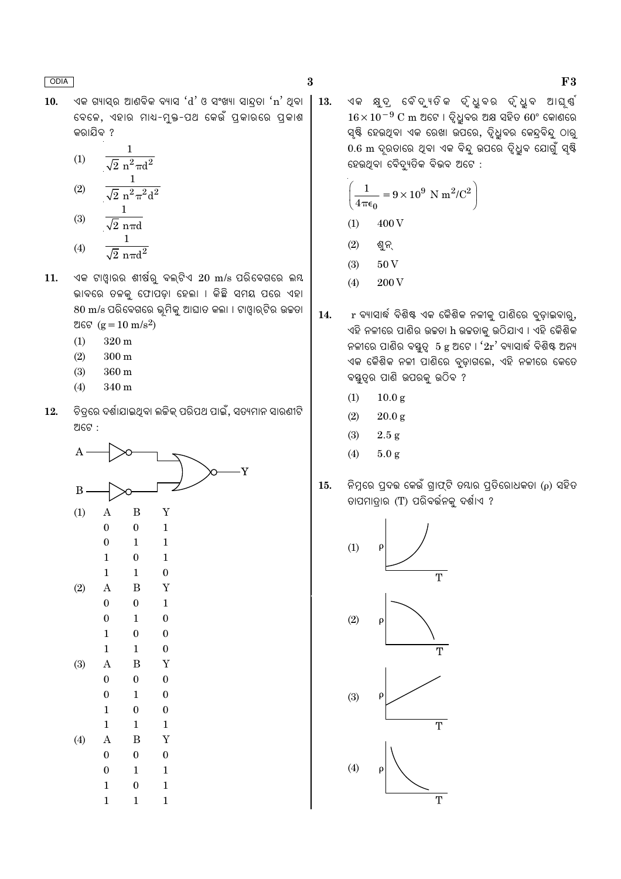ଏକ ଗ୍ୟାସ୍ର ଆଣବିକ ବ୍ୟାସ ' $d$ ' ଓ ସଂଖ୍ୟା ସାନ୍ଦତା 'n' ଥିବା  $10.$ ବେଳେ, ଏହାର ମାଧ-ମୁକ୍ତ-ପଥ କେଉଁ ପ୍ରକାରରେ ପ୍ରକାଶ କରାଯିବ ?

(1) 
$$
\frac{1}{\sqrt{2} n^{2} \pi d^{2}}
$$
  
(2) 
$$
\frac{1}{\sqrt{2} n^{2} \pi^{2} d^{2}}
$$
  
(3) 
$$
\frac{1}{\sqrt{2} n \pi d}
$$

- $\frac{1}{\sqrt{2} \pi \pi d^2}$  $(4)$
- ଏକ ଟାଓ୍ୱାରର ଶୀର୍ଷରୁ ବଲ୍ଟିଏ 20 m/s ପରିବେଗରେ ଲୟ 11. ଭାବରେ ତଳକୁ ଫୋପଡ଼ା ହେଲା । କିଛି ସମୟ ପରେ ଏହା 80 m/s ପରିବେଗରେ ଭୂମିକୁ ଆଘାତ କଲା । ଟାଓ୍ୱାର୍ଟିର ଉଚ୍ଚତା ଅଟେ ( $g = 10 \text{ m/s}^2$ )
	- $320 \text{ m}$  $(1)$
	- $(2)$  $300 \text{ m}$
	- $(3)$  $360 \text{ m}$
	- $(4)$ 340 m
- 12. ଚିତ୍ୱରେ ଦର୍ଶାଯାଇଥିବା ଲଜିକ୍ ପରିପଥ ପାଇଁ, ସତ୍ୟମାନ ସାରଣୀଟି ଅଟେ :



ଏକ କ୍ଷଦ ବୈଦ୍ୟତିକ ଦ୍ଧବର ଦ୍ଧବ ଆଘର୍ଷ 13.  $16 \times 10^{-9}$  C m ଅଟେ । ଦ୍ୱିଧୁବର ଅକ୍ଷ ସହିତ 60° କୋଣରେ ସ୍ୟି ହେଉଥିବା ଏକ ରେଖା ଉପରେ, ଦିଧିବର କେନ୍ଦ୍ବିନ୍ ଠାର୍ 0.6 m ଦ୍ରତାରେ ଥିବା ଏକ ବିନ୍ଦୁ ଉପରେ ଦୃଧୁବ ଯୋଗୁଁ ସ୍<del>ଷ୍ଟି</del> ହେଉଥିବା ବୈଦ୍ୟୁତିକ ବିଭବ ଅଟେ :

$$
\left(\frac{1}{4\pi\epsilon_0} = 9 \times 10^9 \text{ N m}^2/\text{C}^2\right)
$$
  
(1) 400 V

- $(2)$ ଶୁନ୍
- $50V$  $(3)$
- 200 V  $(4)$
- 14. r ବ୍ୟାସାର୍ଦ୍ଧ ବିଶିଷ୍ଟ ଏକ କୈଶିକ ନଳୀକୁ ପାଣିରେ ବୃଡ଼ାଇବାରୁ, ଏହି ନଳୀରେ ପାଣିର ଉଚ୍ଚତା h ଉଚ୍ଚତାକୁ ଉଠିଯାଏ । ଏହି କୈଶିକ ନଳୀରେ ପାଣିର ବୟୁତୃ  $5$  g ଅଟେ ।  $2r$  ବ୍ୟାସାର୍ଦ୍ଧ ବିଶିଷ୍ଟ ଅନ୍ୟ ଏକ କୈଶିକ ନଳୀ ପାଣିରେ ବୃଡ଼ାଗଲେ, ଏହି ନଳୀରେ କେତେ ବୟୁତ୍ୱର ପାଣି ଉପରକ୍ର ଉଠିବ ?
	- $10.0 g$  $(1)$
	- $(2)$  $20.0 g$
	- $(3)$  $2.5 g$
	- $(4)$  $5.0 g$
- ନିମ୍ନରେ ପ୍ରଦଭ କେଉଁ ଗାଫ୍ଟି ତ୍ୟାର ପ୍ତିରୋଧକତା (ρ) ସହିତ  $15.$ ତାପମାତ୍ରାର (T) ପରିବର୍ତ୍ତନକୁ ଦର୍ଶାଏ ?



 $F3$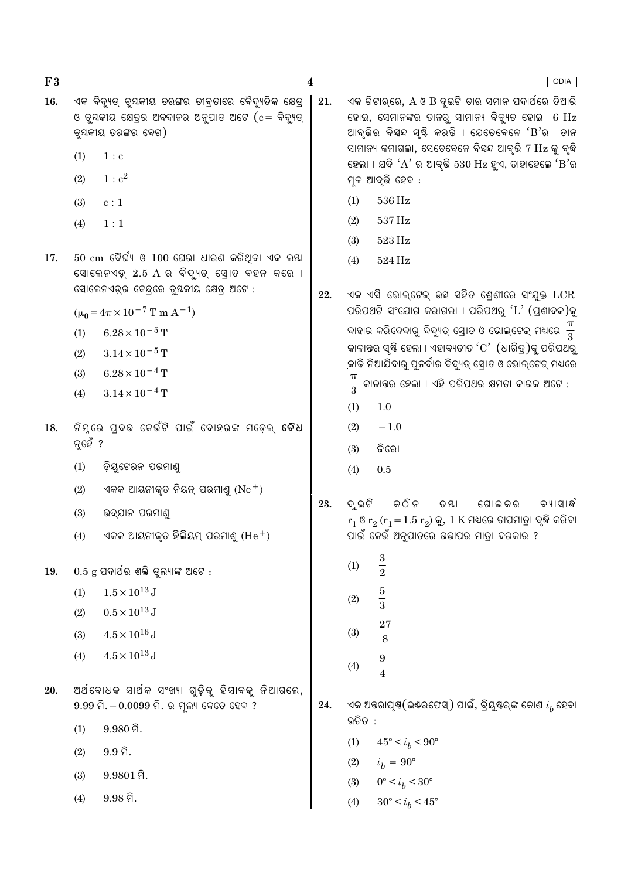$F3$  $16.$   $\overline{\mathbf{4}}$ 

ଏକ ବିଦ୍ୟତ୍ ଚ୍ୟକୀୟ ତରଙ୍ଗର ତୀବ୍ତାରେ ବୈଦ୍ୟତିକ କ୍ଷେତ୍ 21. ଓ ବୃୟକୀୟ କ୍ଷେତ୍ରର ଅବଦାନର ଅନୁପାତ ଅଟେ ( $c = \widehat{\mathsf{q}}$ ଦ୍ୟାତ୍ ଚ୍ୟକୀୟ ତରଙ୍ଗର ବେଗ)

- $(1)$  $1:$  c
- $1 : c<sup>2</sup>$  $(2)$
- $(3)$  $c:1$
- $(4)$  $1:1$
- $50\,$  cm ଦୈର୍ଘ୍ୟ ଓ  $100\,$  ଘେରା ଧାରଣ କରିଥିବା ଏକ ଲୟା 17. ସୋଲେନଏଡ଼୍ 2.5 A ର ବିଦ୍ୟୁତ୍ ସୋଡ ବହନ କରେ । ସୋଲେନଏଡ୍ର କେନ୍ଦ୍ରରେ ବୃୟକୀୟ କ୍ଷେତ୍ର ଅଟେ :
	- $(\mu_0 = 4\pi \times 10^{-7} \text{ T m A}^{-1})$
	- $(1)$  $6.28\times10^{-5}$  T
	- $3.14 \times 10^{-5}$  T  $(2)$
	- $6.28 \times 10^{-4}$  T  $(3)$
	- $3.14 \times 10^{-4}$  T  $(4)$
- ନିମ୍ନରେ ପ୍**ଦଭ କେଉଁଟି ପାଇଁ ବୋହରଙ୍କ ମଡ଼େଲ୍ ବୈଧ** 18. ନ୍ହେଁ ?
	- $(1)$ ଡ଼ିୟୁଟେରନ ପରମାଣୁ
	- $(2)$ ଏକକ ଆୟନୀକ୍ତ ନିୟନ୍ ପରମାଣ୍ ( $Ne^+$ )
	- $(3)$ ଉଦ୍ଯାନ ପରମାଣ୍ଡ
	- ଏକକ ଆୟନୀକ୍ତ ହିଲିୟମ୍ ପରମାଣ୍  $({\rm He}^+)$  $(4)$
- 19.  $0.5$  g ପଦାର୍ଥର ଶକ୍ତି ତୁଲ୍ୟାଙ୍କ ଅଟେ :
	- $1.5 \times 10^{13}$  J  $(1)$
	- $0.5 \times 10^{13}$  J  $(2)$
	- $4.5 \times 10^{16}$  J  $(3)$
	- $4.5 \times 10^{13}$  J  $(4)$
- ଅର୍ଥବୋଧକ ସାର୍ଥକ ସଂଖ୍ୟା ଗୁଡ଼ିକୁ ହିସାବକୁ ନିଆଗଲେ, 20.  $9.99$  ମି.  $-0.0099$  ମି. ର ମୁଲ୍ୟ କେତେ ହେବ ?
	- $9.980$  ମି.  $(1)$
	- $9.9\,\hat{a}$ .  $(2)$
	- $9.9801$  ମି.  $(3)$
	- $9.98\,\hat{a}$ .  $(4)$
- ଏକ ଗିଟାର୍ରେ, A ଓ B ଦ୍ଇଟି ତାର ସମାନ ପଦାର୍ଥରେ ତିଆରି ହୋଇ, ସେମାନଙ୍କର ତାନର୍ ସାମାନ୍ୟ ବିଚ୍ୟୁତ ହୋଇ 6 Hz ଆବ୍ତିର ବିୟନ୍ଦ ସ୍ଷ୍ଟି କରନ୍ତି । ଯେତେବେଳେ 'B'ର ତାନ ସାମାନ୍ୟ କମାଗଲା, ସେତେବେଳେ ବିସ୍ୱନ୍ଦ ଆବୃତ୍ତି 7 Hz କୁ ବୃଦ୍ଧି ହେଲା । ଯଦି ' $A$ ' ର ଆବୃଭି 530  $Hz$  ହୁଏ, ତାହାହେଲେ ' $B$ 'ର ମଳ ଆବ୍ତି ହେବ :
	- 536 Hz  $(1)$
	- $537\,\mathrm{Hz}$  $(2)$
	- $(3)$  $523\,\mathrm{Hz}$
	- $(4)$ 524 Hz
- ଏକ ଏସି ଭୋଲ୍ଟେକ୍ ଉସ ସହିତ ଶ୍ରେଣୀରେ ସଂଯୁକ୍ତ LCR 22. ପରିପଥଟି ସଂଯୋଗ କରାଗଲା । ପରିପଥରୁ ' $\mathrm{L}^\prime$  (ପ୍ରଣାଦକ)କୁ ବାହାର କରିଦେବାରୁ ବିଦ୍ୟୁତ୍ ସ୍ରୋତ ଓ ଭୋଲ୍ଟେକ୍ ମଧ୍ୟରେ  $\frac{\pi}{3}$ କାଳାନ୍ତର ସ୍ୟି ହେଲା । ଏହାବ୍ୟତୀତ ' $\mathrm{C}^\prime$  (ଧାରିତ୍ର)କୁ ପରିପଥରୁ କାଢି ନିଆଯିବାରୁ ପୁନର୍ବାର ବିଦ୍ୟୁତ୍ ସ୍ରୋତ ଓ ଭୋଲ୍ଟେକ୍ ମଧ୍ୟରେ  $\frac{\pi}{3}$ କାଳାନ୍ତର ହେଲା । ଏହି ପରିପଥର କ୍ଷମତା କାରକ ଅଟେ :
	- $(1)$  $1.0$
	- $(2)$  $-1.0$
	- କିରୋ  $(3)$
	- $0.5$  $(4)$
- 23. ଦ୍ର ଇଟି କ ଠି ନ ତ ୟା ଗୋଲ କର ବ୍ୟାସାର୍ଦ୍ଧ  $r_1$  ଓ  $r_2$   $(r_1 = 1.5 r_2)$  କୁ, 1  $K$  ମଧ୍ୟରେ ତାପମାତ୍ରା ବ୍ଲି କରିବା ପାଇଁ କେଉଁ ଅନୁପାତରେ ଉଭାପର ମାତ୍ରା ଦରକାର ?
	- $\sqrt{3}$  $(1)$  $\overline{2}$  $\overline{5}$  $(2)$  $\overline{3}$ 27  $(3)$  $\overline{8}$  $\frac{9}{4}$  $(4)$
- ଏକ ଅନ୍ତରାପୃଷ(ଇଷ୍ରଫେସ୍) ପାଇଁ, ବ୍ରିୟୁଷ୍ଟର୍ଙ୍କ କୋଣ  $i_{\mathrm{\mathit{h}}}$  ହେବା 24. ଉଚିତ :
	- $(1)$  $45^{\circ} < i_h < 90^{\circ}$
	- $(2)$  $i_h = 90^{\circ}$
	- $(3)$  $0^{\circ} < i_b < 30^{\circ}$
	- $(4)$  $30^{\circ} < i_h < 45^{\circ}$

**ODIA**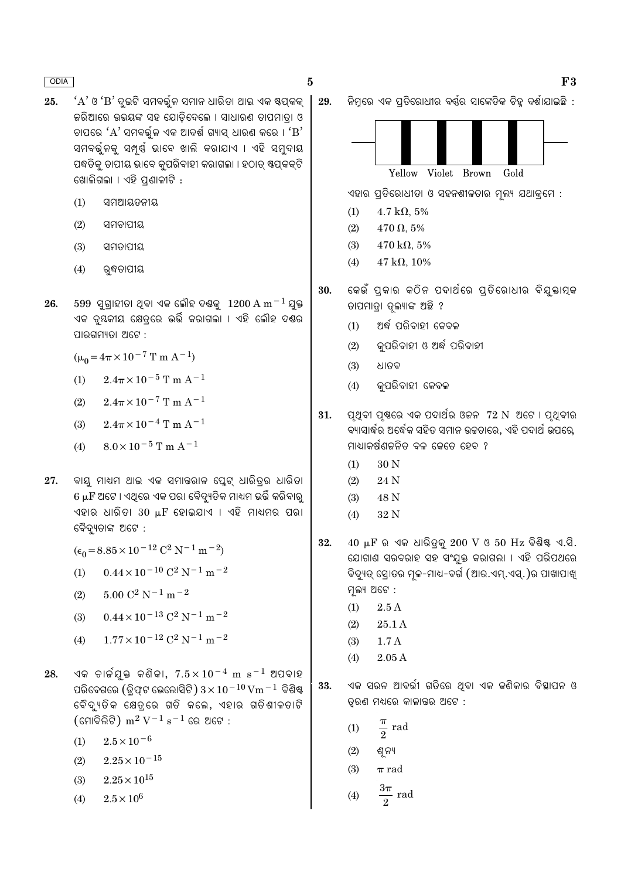- $'A'$ ଓ ' $B'$  ଦ୍ରଇଟି ସମବର୍ତ୍ତଳ ସମାନ ଧାରିତା ଥାଇ ଏକ ଷ୍ଟପ୍କକ୍  $25.$ କରିଆରେ ଉଭୟଙ୍କ ସହ ଯୋଡିଦେଲେ । ସାଧାରଣ ତାପମାତ୍ରା ଓ ଚାପରେ ' $A$ ' ସମବର୍ତ୍ତଳ ଏକ ଆଦର୍ଶ ଗ୍ୟାସ ଧାରଣ କରେ । ' $B$ ' ସମବର୍ତ୍ତଳକୁ ସମ୍ପୂର୍ଣ୍ଣ ଭାବେ ଖାଲି କରାଯାଏ । ଏହି ସମ୍ବଦାୟ ପଦ୍ଧତିକ୍ ତାପୀୟ ଭାବେ କ୍ପରିବାହୀ କରାଗଲା । ହଠାତ୍ ଷ୍ଟପ୍ରକକ୍ଟି ଖୋଲିଗଲା । ଏହି ପଣାଳୀଟି :
	- $(1)$ ସମଆୟତନୀୟ
	- $(2)$ ସମଚାପୀୟ
	- $(3)$ ସମନାପୀୟ
	- $(4)$ ରବ୍ଧତାପୀୟ
- $599$  ସଗାହୀତା ଥବା ଏକ ଲୌହ ଦଶ୍ଚକ  $1200 \text{ A m}^{-1}$  ଯକ୍ତ 26. ଏକ ଚ୍ୟକୀୟ କ୍ଷେତ୍ରେ ଭର୍ତ୍ତି କରାଗଲା । ଏହି ଲୌହ ଦଣ୍ଡର ପାରଗମ୍ୟତା ଅଟେ :

 $(\mu_0 = 4\pi \times 10^{-7} \text{ T m A}^{-1})$ 

- $2.4\pi \times 10^{-5}$  T m A<sup>-1</sup>  $(1)$
- $2.4\pi \times 10^{-7}$  T m A<sup>-1</sup>  $(2)$
- $2.4\pi \times 10^{-4}$  T m A<sup>-1</sup>  $(3)$
- $(4)$  $8.0 \times 10^{-5}$  T m A<sup>-1</sup>
- ବାୟୁ ମାଧ୍ୟମ ଥାଇ ଏକ ସମାନ୍ତରାଳ ପ୍ଲେଟ୍ ଧାରିତ୍ରର ଧାରିତା 27. 6 µF ଅଟେ । ଏଥିରେ ଏକ ପରା ବୈଦ୍ୟୁତିକ ମାଧ୍ୟମ ଭର୍ତ୍ତି କରିବାରୁ ଏହାର ଧାରିତା 30  $\mu$ F ହୋଇଯାଏ । ଏହି ମାଧ୍ୟମର ପରା ବୈଦ୍ୟତାଙ୍କ ଅଟେ :

$$
(\epsilon_0 = 8.85 \times 10^{-12} \text{ C}^2 \text{ N}^{-1} \text{ m}^{-2})
$$

- $0.44 \times 10^{-10}$  C<sup>2</sup> N<sup>-1</sup> m<sup>-2</sup>  $(1)$
- $5.00 C^2 N^{-1} m^{-2}$  $(2)$
- $0.44 \times 10^{-13}$  C<sup>2</sup> N<sup>-1</sup> m<sup>-2</sup>  $(3)$
- $1.77 \times 10^{-12}$  C<sup>2</sup> N<sup>-1</sup> m<sup>-2</sup>  $(4)$
- ଏକ ଚାର୍ଚ୍ଚୟୁକ୍ତ କଣିକା,  $7.5 \times 10^{-4}$  m s $^{-1}$  ଅପବାହ 28. ପରିବେଗରେ (ଡ୍ୱିଫ୍ଟ ଭେଲୋସିଟି)  $3 \times 10^{-10}$  Vm  $^{-1}$  ବିଶିଷ୍ଟ ବୈଦ୍ୟତିକ କ୍ଷେତ୍ରେ ଗତି କଲେ, ଏହାର ଗତିଶୀଳତାଟି (ମୋବିଲିଟି) m $^2$  V $^{-1}$  s $^{-1}$  ରେ ଅଟେ :
	- $2.5 \times 10^{-6}$  $(1)$
	- $2.25\times10^{-15}$  $(2)$
	- $2.25 \times 10^{15}$  $(3)$
	- $2.5 \times 10^6$  $(4)$

ନିମ୍ନରେ ଏକ ପ୍ରତିରୋଧୀର ବର୍ଷ୍ଣର ସାଙ୍କେତିକ ଚିହୁ ଦର୍ଶାଯାଇଛି : 29.



ଏହାର ପ୍ରତିରୋଧୀତା ଓ ସହନଶୀଳତାର ମ୍ବଲ୍ୟ ଯଥାକ୍ରମେ :

 $(1)$  $4.7 \text{ k}\Omega, 5\%$ 

 $\bf{5}$ 

- $470 \Omega, 5\%$  $(2)$
- $470 \text{ k}\Omega, 5\%$  $(3)$
- $47 k\Omega$ , 10%  $(4)$
- କେଉଁ ପ୍କାର କଠିନ ପଦାର୍ଥରେ ପ୍ତିରୋଧୀର ବିଯ୍କ୍ତାମ୍ବ 30. ତାପମାତା ତଳ୍ୟାଙ୍କ ଅଛି ?
	- ଅର୍ଦ୍ଧ ପରିବାହୀ କେବଳ  $(1)$
	- କ୍ପରିବାହୀ ଓ ଅର୍ଦ୍ଧ ପରିବାହୀ  $(2)$
	- ଧାତବ  $(3)$
	- କପରିବାହୀ କେବଳ  $(4)$
- 31. ପୃଥିବୀ ପୃଷରେ ଏକ ପଦାର୍ଥର ଓକନ*ୀ*2 N ଅଟେ । ପୃଥିବୀର ବ୍ୟାସାର୍ଦ୍ଧର ଅର୍ଦ୍ଧେକ ସହିତ ସମାନ ଉଚ୍ଚତାରେ, ଏହି ପଦାର୍ଥ ଉପରେ, ମାଧ୍ୟାକର୍ଷଣକ୍ରନିତ ବଳ କେତେ ହେବ ?
	- 30 N  $(1)$
	- $(2)$ 24 N
	- $(3)$ 48 N
	- 32 N  $(4)$
- $40 \mu$ F ର ଏକ ଧାରିତ୍କୁ  $200 \text{ V}$  ଓ  $50 \text{ Hz}$  ବିଶିଷ୍ଟ ଏ.ସି. 32. ଯୋଗାଣ ସରବରାହ ସହ ସଂଯୁକ୍ତ କରାଗଲା । ଏହି ପରିପଥରେ ବିଦ୍ୟୁତ୍ ସୋତର ମୂଳ-ମାଧ-ବର୍ଗ (ଆର.ଏମ୍.ଏସ୍.)ର ପାଖାପାଖୁ ମ୍ନଲ୍ୟ ଅଟେ :
	- $2.5A$  $(1)$
	- $(2)$ 25.1 A
	- $(3)$  $1.7A$
	- $(4)$  $2.05A$
- ଏକ ସରଳ ଆବର୍ତ୍ତୀ ଗତିରେ ଥିବା ଏକ କଣିକାର ବିସ୍ଥାପନ ଓ 33. ତ୍ୱରଣ ମଧ୍ୟରେ କାଳାନ୍ତର ଅଟେ :
	- rad  $(1)$  $\overline{2}$
	- $(2)$ ଶ୍ୱନ୍ୟ
	- $(3)$  $\pi$  rad

$$
(4) \qquad \frac{3\pi}{2} \text{ rad}
$$

 $F3$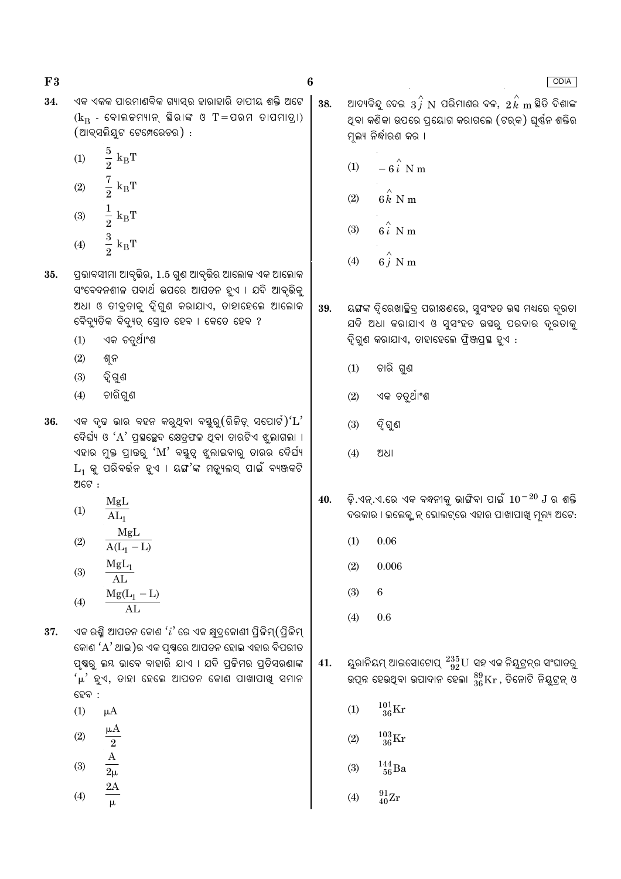ଏକ ଏକକ ପାରମାଣବିକ ଗ୍ୟାସ୍ର ହାରାହାରି ତାପୀୟ ଶକ୍ତି ଅଟେ 38.  $(k_B - \epsilon)$ କାଲକମ୍ୟାନ୍ ସିରାଙ୍କ ଓ T=ପରମ ତାପମାତ୍ରା) (ଆବ୍ସଲିୟୁଟ ଟେମ୍ପେରେଚର) :  $\frac{5}{2}$   ${\rm k_BT}$  $(1)$  $(1)$  $\frac{7}{2}$  k<sub>B</sub>T<br> $\frac{1}{2}$  k<sub>B</sub>T  $(2)$ 

 $(3)$  $\frac{3}{2} k_B T$  $(4)$ 

35. ପ୍ରଭାବସୀମା ଆବୃଭିର, 1.5 ଗୁଣ ଆବୃଭିର ଆଲୋକ ଏକ ଆଲୋକ ସଂବେଦନଶୀଳ ପଦାର୍ଥ ଉପରେ ଆପତନ ହୁଏ । ଯଦି ଆବୃଭିକୁ ଅଧା ଓ ତୀବ୍ରତାକୁ ଦୃିଗୁଣ କରାଯାଏ, ତାହାହେଲେ ଆଲୋକ ବୈଦ୍ୟୁତିକ ବିଦ୍ୟୁତ୍ ସ୍ରୋତ ହେବ । କେତେ ହେବ ?

- ଏକ ଚତୁର୍ଥାଂଶ  $(1)$
- $(2)$ ଶୁନ
- ଦ୍ୱି ଗୁଣ  $(3)$
- ଚାରିଗୁଣ  $(4)$
- ଏକ ଦୃଢ ଭାର ବହନ କରୁଥିବା ବୟୁରୁ $($ ରିକିଡ଼୍ ସପୋର୍ଟ $)$ ' $\mathrm{L}^\star$ 36. ଦୈର୍ଘ୍ୟ ଓ 'A' ପ୍ରସ୍ଥଳ୍ପେଦ କ୍ଷେତ୍ରଫଳ ଥିବା ଡାରଟିଏ ଝୁଲାଗଲା । ଏହାର ମୁକ୍ତ ପ୍ରାନ୍ତରୁ 'M' ବୟୁତ୍ୱ ଝୁଲାଇବାରୁ ତାରର ଦୈର୍ଘ୍ୟ  $\mathrm{L}_1$  କୁ ପରିବର୍ତ୍ତନ ହୁଏ । ୟଙ୍ଗ'ଙ୍କ ମଜ୍ୟୁଲସ୍ ପାଇଁ ବ୍ୟଞ୍ଜକଟି ଅଟେ :
	- MgL  $(1)$  $AI<sub>n</sub>$

$$
(2) \qquad \frac{MgL}{A(L_1 - L)}
$$
  
 
$$
M\sigma L
$$

(3) 
$$
\frac{M_1 + M_2}{AL}
$$
  
(4)  $\frac{M_2(L_1 - L_2)}{AL}$ 

ଏକ ରଶ୍ମି ଆପତନ କୋଣ ' $i$ ' ରେ ଏକ କ୍ଷୁଦ୍ରକୋଣୀ ପ୍ରିକିମ୍ $($ ପ୍ରିକିମ୍ 37. କୋଣ 'A' ଥାଇ)ର ଏକ ପୃଷ୍ଠରେ ଆପତନ ହୋଇ ଏହାର ବିପରୀତ ପୃଷରୁ ଲୟ ଭାବେ ବାହାରି ଯାଏ । ଯଦି ପ୍ରଜିମର ପ୍ରତିସରଣାଙ୍କ  $\mu'$  ହୁଏ, ତାହା ହେଲେ ଆପତନ କୋଣ ପାଖାପାଖି ସମାନ ହେବ :

- $(1)$  $\mu A$
- $(2)$  $\overline{2}$
- $\bf{A}$  $(3)$  $2\mu$
- $2A$  $(4)$

ଆଦ୍ୟବିନ୍ଦୁ ଦେଇ  $\overline{3} \, \hat{i} \,$   ${\rm N}$  ପରିମାଣର ବଳ,  $\overline{2} \, \hat{k} \,$  m ଛିତି ଦିଶାଙ୍କ ଥବା କଣିକା ଉପରେ ପ୍ରୟୋଗ କରାଗଲେ (ଟର୍କ) ଘର୍ଷ୍ନ ଶକ୍ତିର ମ୍ବଲ୍ୟ ନିର୍ଦ୍ଧାରଣ କର ।

 $-6\hat{i}$  N m

 $\bf{6}$ 

- $6 \hat{k}$  N m  $(2)$
- $6i \nN m$  $(3)$
- $6\hat{j}$  N m  $(4)$
- 39. ୟଙ୍ଗଙ୍କ ଦୃିରେଖାଛିଦ୍ର ପରୀକ୍ଷଣରେ, ସ୍ୱସଂହତ ଉସ ମଧ୍ୟରେ ଦ୍ରତା ଯଦି ଅଧା କରାଯାଏ ଓ ସୁସଂହତ ଉହରୁ ପରଦାର ଦ୍ରତାକୁ ଦୃିଗୁଣ କରାଯାଏ, ତାହାହେଲେ ଫ୍ୱିଞ୍ଜପ୍ରସ୍ଥ ହୁଏ :
	- $(1)$ ଚାରି ଗୁଣ
	- ଏକ ଚତୁର୍ଥାଂଶ  $(2)$
	- $(3)$ ଦ୍ୱି ଗୁଣ
	- $(4)$ ଅଧା
- ଡି.ଏନ୍.ଏ.ରେ ଏକ ବନ୍ଧନୀକ୍ ଭାଙ୍ଗିବା ପାଇଁ  $10^{-20}\:\rm J$  ର ଶକ୍ତି  $40.$ ଦରକାର । ଇଲେକ୍ୱ୍ରନ୍ ଭୋଲଟ୍ରେ ଏହାର ପାଖାପାଖି ମୁଲ୍ୟ ଅଟେ:
	- $(1)$  $0.06\,$
	- $(2)$ 0.006
	- $(3)$ 6
	- $(4)$ 0.6
- ୟୁରାନିୟମ୍ ଆଇସୋଟୋପ୍  $\frac{235}{92}U$  ସହ ଏକ ନିୟୁଟ୍ରନ୍ର ସଂଘାତରୁ 41. ଉତ୍ପନ୍ନ ହେଉଥିବା ଉପାଦାନ ହେଲା  $^{89}_{36}\rm{Kr}$  , ତିନୋଟି ନିୟୁଟ୍ରନ୍ ଓ
	- $^{101}_{36}\mathrm{Kr}$  $(1)$
	- $^{103}_{36}$ Kr  $(2)$
	- $^{144}_{\ 56}$ Ba  $(3)$
	- $^{91}_{40}Zr$  $(4)$

**ODIA** 

 $F3$ 34.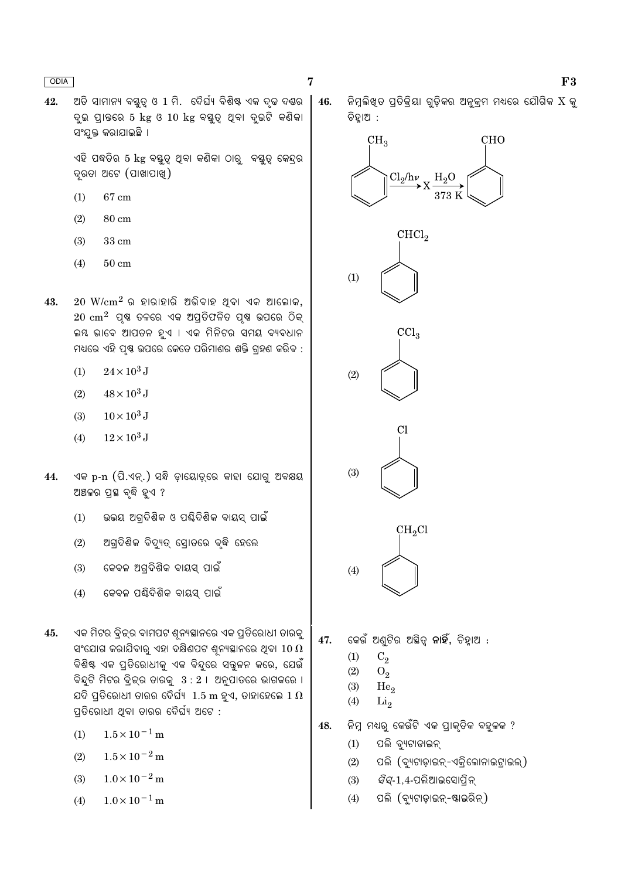ଅତି ସାମାନ୍ୟ ବୟୁତ୍ ଓ 1 ମି. ଦୈର୍ଘ୍ୟ ବିଶିଷ୍ଟ ଏକ ଦୃଢ ଦ୍ୟର  $42.$ ଦ୍ର ପାତରେ 5 kg ଓ 10 kg ବୟୁତ୍ୱ ଥିବା ଦ୍ରଚି କଣିକା ସଂଯକ୍ତ କରାଯାଇଛି ।

> ଏହି ପଦ୍ଧତିର 5 kg ବସ୍ତୁତ୍ୱ ଥିବା କଣିକା ଠାରୁ ବସ୍ତୁତ୍ୱ କେନ୍ଦ୍ରର ଦ୍ୱରତା ଅଟେ (ପାଖାପାଖୁ)

- $(1)$ 67 cm
- $(2)$ 80 cm
- $(3)$  $33\ {\rm cm}$
- $(4)$  $50 \text{ cm}$
- 43.  $20 \, \text{W/cm}^2$  ର ହାରାହାରି ଅଭିବାହ ଥିବା ଏକ ଆଲୋକ,  $20 \text{ cm}^2$  ପ୍ଷ ତଳରେ ଏକ ଅପ୍ତିଫଳିତ ପ୍ଷ ଉପରେ ଠିକ୍ ଲୟ ଭାବେ ଆପତନ ହଏ । ଏକ ମିନିଟର ସମୟ ବ୍ୟବଧାନ ମଧ୍ୟରେ ଏହି ପ୍ରଷ୍ଣ ଉପରେ କେତେ ପରିମାଣର ଶକ୍ତି ଗହଣ କରିବ :
	- $24\!\times\!10^3\,\mathrm{J}$  $(1)$
	- $48 \times 10^3$  J  $(2)$
	- $(3)$  $10\times10^3$  J
	- $12\times10^3$  J  $(4)$
- ଏକ p-n (ପି.ଏନ୍.) ସନ୍ଧି ଡ଼ାୟୋଡ଼୍ରେ କାହା ଯୋଗୁ ଅବକ୍ଷୟ 44. ଅଞ୍ଚଳର ପ୍ରସ୍ଥ ବୃଦ୍ଧି ହୁଏ ?
	- ଉଭୟ ଅଗ୍ରଦିଶିକ ଓ ପଶ୍ଚିଦିଶିକ ବାୟସ୍ ପାଇଁ  $(1)$
	- ଅଗ୍ଦିଶିକ ବିଦ୍ୟତ୍ ସୋତରେ ବ୍ଦି ହେଲେ  $(2)$
	- କେବଳ ଅଗ୍ଦିଶିକ ବାୟସ୍ ପାଇଁ  $(3)$
	- କେବଳ ପଣ୍ଢିଦିଶିକ ବାୟସ୍ ପାଇଁ  $(4)$
- ଏକ ମିଟର ବ୍ରିକ୍ର ବାମପଟ ଶ୍ୱନ୍ୟସ୍ଥାନରେ ଏକ ପ୍ରତିରୋଧୀ ତାରକୁ 45. ସଂଯୋଗ କରାଯିବାରୁ ଏହା ଦକ୍ଷିଣପଟ ଶ୍ୱନ୍ୟସ୍ଥାନରେ ଥିବା  $10\,\Omega$ ବିଶିଷ୍ଟ ଏକ ପ୍ରତିରୋଧୀକୁ ଏକ ବିନ୍ଦୁରେ ସବୁଳନ କରେ, ଯେଉଁ ବିନ୍ଦୁଟି ମିଟର ବ୍ରିକ୍ର ତାରକୁ  $3:2$  । ଅନୁପାତରେ ଭାଗକରେ । ଯଦି ପ୍ରତିରୋଧୀ ତାରର ଦୈର୍ଘ୍ୟ  $\,1.5\text{ m}$  ହୁଏ, ତାହାହେଲେ  $1\,\Omega$ ପ୍ରତିରୋଧୀ ଥିବା ତାରର ଦୈର୍ଘ୍ୟ ଅଟେ :
	- $1.5 \times 10^{-1}$  m  $(1)$
	- $1.5 \times 10^{-2}$  m  $(2)$
	- $1.0 \times 10^{-2}$  m  $(3)$
	- $1.0 \times 10^{-1}$  m  $(4)$

ନିମ୍ରଲିଖତ ପ୍ରିକିୟା ଗଡ଼ିକର ଅନ୍କ୍ମ ମଧ୍ୟରେ ଯୌଗିକ  $\mathrm{X}$  କ୍ 46. ଚିହ୍ରାଅ :



- କେଉଁ ଅଣ୍ଟିର ଅଛିତ୍ **ନାହିଁ**, ଚିହାଅ : 47.
	- $C<sub>2</sub>$  $(1)$
	- $(2)$  $O<sub>2</sub>$
	- $(3)$ He<sub>2</sub>
	- $(4)$  $Li<sub>2</sub>$
- ନିମ୍ନ ମଧ୍ୟରୁ କେଉଁଟି ଏକ ପ୍ରାକୃତିକ ବହୁଳକ ? 48.
	- ପଲି ବ୍ୟୁଟାଡାଇନ୍  $(1)$
	- ପଲି (ବ୍ୟଟାଡ଼ାଇନ୍-ଏକ୍ଲୋନାଇଟାଇଲ୍)  $(2)$
	- *ସିସ୍-*1,4-ପଲିଆଇସୋପ୍ରିନ୍  $(3)$
	- $(4)$ ପଲି (ବ୍ୟୁଟାଡ଼ାଇନ୍-ଷ୍ଟାଇରିନ୍)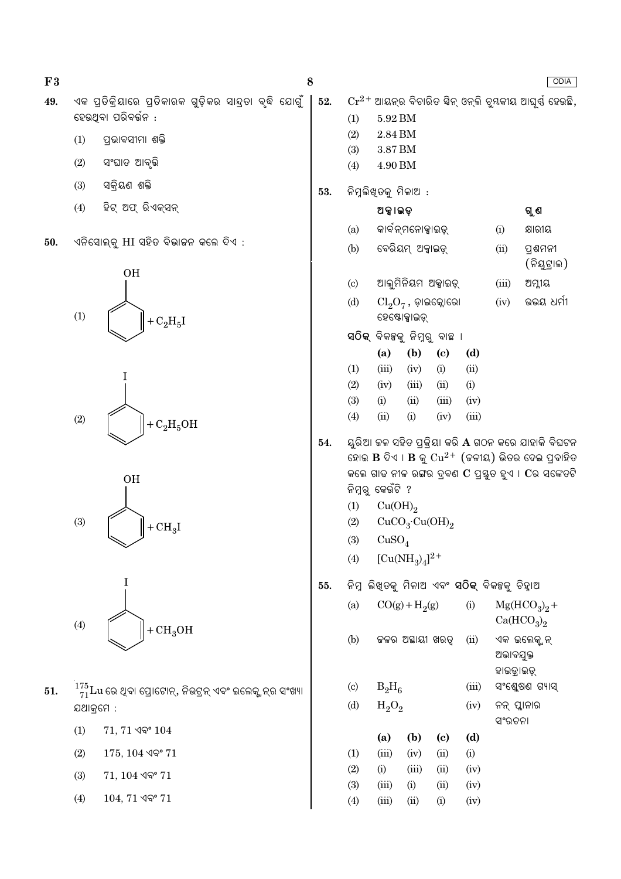| F3  |       |                                                                                   | 8   |                            |                                                              |                                                               |                                                       |              |                         | ODIA                                                                                                                                                                                                         |
|-----|-------|-----------------------------------------------------------------------------------|-----|----------------------------|--------------------------------------------------------------|---------------------------------------------------------------|-------------------------------------------------------|--------------|-------------------------|--------------------------------------------------------------------------------------------------------------------------------------------------------------------------------------------------------------|
| 49. |       | ଏକ ପ୍ରତିକ୍ରିୟାରେ ପ୍ରତିକାରକ ଗୁଡ଼ିକର ସାନ୍ଦ୍ରତା ବୃଦ୍ଧି ଯୋଗୁଁ<br>ହେଉଥିବା ପରିବର୍ତ୍ତନ : | 52. | (1)                        | $5.92\,\mathrm{BM}$<br>$2.84\,\mathrm{BM}$                   |                                                               |                                                       |              |                         | $Cr^{2+}$ ଆୟନ୍ର ବିଚାରିତ ସିନ୍ ଓନ୍ଲି ବୁୟକୀୟ ଆଘୂର୍ଷ ହେଉଛି,                                                                                                                                                      |
|     | (1)   | ପ୍ରଭାବସୀମା ଶକ୍ତି                                                                  |     | (2)                        |                                                              |                                                               |                                                       |              |                         |                                                                                                                                                                                                              |
|     | (2)   | ସଂଘାତ ଆବୃତ୍ତି                                                                     |     | (3)<br>(4)                 | $3.87\,\mathrm{BM}$<br>$4.90\,\mathrm{BM}$                   |                                                               |                                                       |              |                         |                                                                                                                                                                                                              |
|     | (3)   | ସକ୍ରିୟଣ ଶକ୍ତି                                                                     | 53. |                            |                                                              | ନିମ୍ନଲିଖିତକୁ ମିଳାଅ :                                          |                                                       |              |                         |                                                                                                                                                                                                              |
|     | (4)   | ହିଟ୍ ଅଫ୍ ରିଏକ୍ସନ୍                                                                 |     |                            | ଅକ୍ଟାଇଡ଼                                                     |                                                               |                                                       |              | ଗୁଣ                     |                                                                                                                                                                                                              |
|     |       |                                                                                   |     | (a)                        |                                                              | କାର୍ବନ୍ମନୋକ୍ସାଇଡ୍                                             |                                                       |              | (i)                     | କ୍ଷାରୀୟ                                                                                                                                                                                                      |
| 50. |       | ଏନିସୋଲ୍କୁ HI ସହିତ ବିଭାଜନ କଲେ ଦିଏ :                                                |     | (b)                        |                                                              | ବେରିୟମ୍ ଅକ୍କାଇଡ଼୍                                             |                                                       |              | (ii)                    | ପ୍ରଶମନୀ<br>(ନିୟୁଟ୍ରାଲ)                                                                                                                                                                                       |
|     |       | <b>OH</b>                                                                         |     | $\left( \mathrm{c}\right)$ |                                                              |                                                               | ଆଲୁମିନିୟମ ଅକ୍ସାଇଡ଼୍                                   |              | (iii)                   | ଅମ୍ଳୀୟ                                                                                                                                                                                                       |
|     | (1)   | + $C_2H_5I$                                                                       |     | (d)                        |                                                              | ହେଷ୍ଟୋକ୍ସାଇଡ୍                                                 | $\text{Cl}_2\text{O}_7$ , ଡ଼ାଇକ୍ଲୋରୋ                  |              | (iv)                    | ଉଭୟ ଧର୍ମୀ                                                                                                                                                                                                    |
|     |       |                                                                                   |     |                            |                                                              |                                                               | ସଠିକ୍ ବିକଳ୍ପକୁ ନିମ୍ନରୁ ବାଛ <b>ା</b>                   |              |                         |                                                                                                                                                                                                              |
|     |       |                                                                                   |     |                            | (a)                                                          | (b)                                                           | $\left( \mathrm{c}\right)$                            | (d)          |                         |                                                                                                                                                                                                              |
|     |       |                                                                                   |     | (1)<br>(2)                 | (iii)<br>(iv)                                                | (iv)<br>(iii)                                                 | (i)<br>(ii)                                           | (ii)<br>(i)  |                         |                                                                                                                                                                                                              |
|     |       |                                                                                   |     | (3)                        | (i)                                                          | (ii)                                                          | (iii)                                                 | (iv)         |                         |                                                                                                                                                                                                              |
|     | $(2)$ | $+ C2H5OH$                                                                        |     | (4)                        | (ii)                                                         | (i)                                                           | (iv)                                                  | (iii)        |                         |                                                                                                                                                                                                              |
|     | (3)   | <b>OH</b><br>$+CH3I$                                                              | 54. | (1)<br>(2)<br>(3)<br>(4)   | ନିମ୍ନରୁ କେଉଁଟି ?<br>Cu(OH) <sub>2</sub><br>CuSO <sub>4</sub> | CuCO <sub>3</sub> ·Cu(OH) <sub>2</sub><br>$[Cu(NH_3)_4]^{2+}$ |                                                       |              |                         | ୟୁରିଆ ଚ୍ଚଳ ସହିତ ପ୍ରକ୍ରିୟା କରି ${\bf A}$ ଗଠନ କରେ ଯାହାକି ବିଘଟନ<br>ହୋଇ $\bf{B}$ ଦିଏ । $\bf{B}$ କୁ $\rm Cu^{2+}$ (କଳୀୟ) ଭିତର ଦେଇ ପ୍ରବାହିତ<br>କଲେ ଗାଢ ନୀଳ ରଙ୍ଗର ଦ୍ରବଣ $\bf{C}$ ପ୍ରସ୍ତୁତ ହୁଏ । $\bf{C}$ ର ସଙ୍କେତଟି |
|     |       |                                                                                   | 55. |                            |                                                              |                                                               | ନିମ୍ନ ଲିଖ୍ତକୁ ମିଳାଅ ଏବଂ <b>ସଠିକ୍</b> ବିକଳ୍ପକୁ ଚିହ୍ନାଅ |              |                         |                                                                                                                                                                                                              |
|     | (4)   |                                                                                   |     | (a)                        |                                                              | $CO(g) + H_2(g)$                                              |                                                       | (i)          |                         | $Mg(HCO3)2 +$<br>Ca(HCO <sub>3</sub> ) <sub>2</sub>                                                                                                                                                          |
|     |       | $+CH3OH$                                                                          |     | (b)                        |                                                              | ଜଳର ଅସ୍ଥାୟୀ ଖରତ୍ୱ                                             |                                                       | (ii)         | ଅଭାବଯୁକ୍ତ<br>ହାଇତ୍ରାଇଡ୍ | ଏକ ଇଲେକ୍ସ୍ନନ୍                                                                                                                                                                                                |
| 51. |       | $\frac{^{175}}{^{71}}$ Lu ରେ ଥିବା ପ୍ରୋଟୋନ୍, ନିଉଟ୍ରନ୍ ଏବଂ ଇଲେକ୍ଟ୍ରନ୍ର ସଂଖ୍ୟା       |     | $\left( \mathrm{c}\right)$ | $B_2H_6$                                                     |                                                               |                                                       | (iii)        |                         | ସଂଶ୍ଲେଷଣ ଗ୍ୟାସ୍                                                                                                                                                                                              |
|     |       | ଯଥାକ୍ରମେ :                                                                        |     | (d)                        | $H_2O_2$                                                     |                                                               |                                                       | (iv)         | ସଂରଚନା                  | ନନ୍ ପ୍ଲାନାର                                                                                                                                                                                                  |
|     | (1)   | $71, 71$ ଏବଂ $104$                                                                |     |                            | (a)                                                          | (b)                                                           | (c)                                                   | (d)          |                         |                                                                                                                                                                                                              |
|     | (2)   | $175, 104$ ଏବଂ $71$                                                               |     | (1)                        | (iii)                                                        | (iv)                                                          | (ii)                                                  | (i)          |                         |                                                                                                                                                                                                              |
|     | (3)   | $71, 104$ ଏବଂ $71$                                                                |     | (2)                        | (i)                                                          | (iii)                                                         | (ii)                                                  | (iv)         |                         |                                                                                                                                                                                                              |
|     | (4)   | $104, 71$ ଏବଂ $71$                                                                |     | (3)<br>(4)                 | (iii)<br>(iii)                                               | (i)<br>(ii)                                                   | (ii)<br>(i)                                           | (iv)<br>(iv) |                         |                                                                                                                                                                                                              |
|     |       |                                                                                   |     |                            |                                                              |                                                               |                                                       |              |                         |                                                                                                                                                                                                              |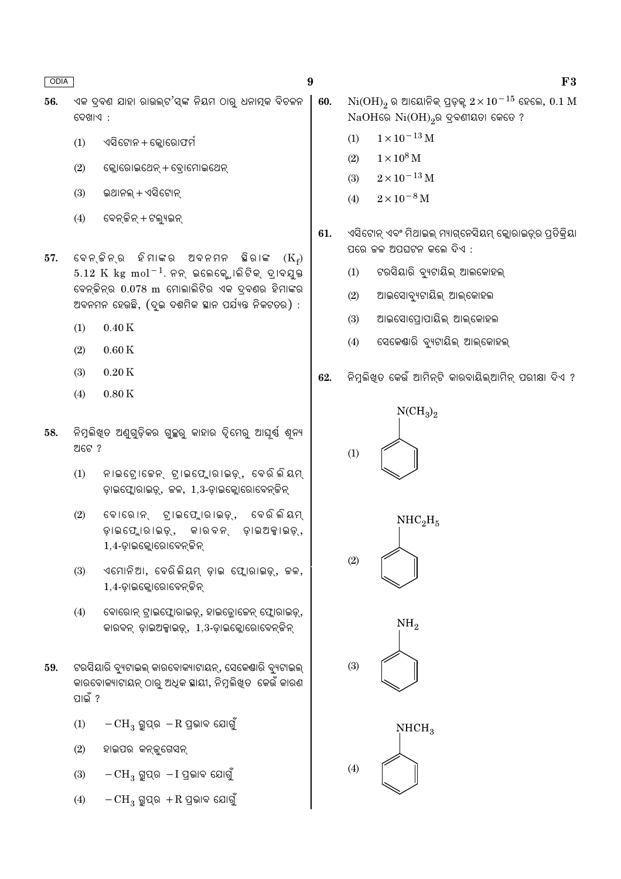- ଏକ ଦ୍ବଣ ଯାହା ରାଉଲ୍ଟ'ସ୍ଙ୍କ ନିୟମ ଠାର୍ ଧନାତ୍ମକ ବିଚଳନ 56. ଦେଖାଏ :
	- ଏସିଟୋନ + କ୍ଲୋରୋଫର୍ମ  $(1)$
	- $(2)$ କ୍ଳୋରୋଇଥେନ୍ + ବ୍ରୋମୋଇଥେନ୍
	- ଇଥାନଲ୍ + ଏସିଟୋନ୍  $(3)$
	- ବେନ୍ କିନ୍ + ଟଲ୍ୟୁଇନ୍  $(4)$
- ବେନ୍ କିନ୍ର ହିମାଙ୍କର ଅବନମନ ଛିରାଙ୍କ 57.  $(K_{\mathfrak{s}})$  $5.12 \text{ K}$  kg mol<sup>-1</sup>. ନନ୍ ଇଲେକ୍ଟୋଲିଟିକ୍ ଦ୍ରାବଯୁକ୍ତ ବେନ୍ତିନ୍ର 0.078 m ମୋଲାଲିଟିର ଏକ ଦ୍ବଣର ହିମାଙ୍କର ଅବନମନ ହେଉଛି, (ଦୃଇ ଦଶମିକ ସ୍ଥାନ ପର୍ଯ୍ୟନ୍ତ ନିକଟତର) :
	- $0.40K$  $(1)$
	- $0.60K$  $(2)$
	- $(3)$  $0.20K$
	- $(4)$  $0.80\,\mathrm{K}$
- ିନିମ୍ନଲିଖ୍ତ ଅଣୁଗୁଡ଼ିକର ଗୁଚ୍ଛରୁ କାହାର ଦ୍ୱିମେରୁ ଆଘୂର୍ଷ ଶୂନ୍ୟ 58. ଅଟେ ?
	- $(1)$ ନାଇଟୋକେନ୍, ଟାଇଫ୍ଲୋରାଇଡ଼୍, ବେରିଲିୟମ୍ ଡ଼ାଇଫ୍ଲୋରାଇଡ଼୍, ଜଳ, 1,3-ଡ଼ାଇକ୍ଲୋରୋବେନ୍ଜିନ୍
	- $(2)$ ବୋରୋନ୍ ଟାଇଫ୍ଲୋରାଇଡ଼୍, ବେରିଲିୟମ୍ ଡ଼ାଇଫ୍ଲୋରାଇଡ଼୍, କାରବନ୍ ଡ଼ାଇଅକ୍କାଇଡ଼୍, 1,4-ଡ଼ାଇକ୍ଟୋରୋବେନ୍ ଜିନ୍
	- ଏମୋନିଆ, ବେରିଲିୟମ୍ ଡାଇ ଫ୍ଲୋରାଇଡ୍, ଚ୍ଚଳ,  $(3)$ 1,4-ଡାଇକ୍ଲୋରୋବେନ୍ କିନ୍
	- $(4)$ ବୋରୋନ୍ ଟ୍ରାଇଫ୍ଲୋରାଇଡ଼୍, ହାଇଡ୍ରୋଜେନ୍ ଫ୍ଲୋରାଇଡ଼୍, କାରବନ୍ ଡ଼ାଇଅକ୍ସାଇଡ଼୍, 1,3-ଡ଼ାଇକ୍ଲୋରୋବେନ୍ଟିନ୍
- ଟରସିୟାରି ବ୍ୟୁଟାଇଲ୍ କାରବୋକ୍ୟାଟାୟନ୍, ସେକେଣ୍ଠାରି ବ୍ୟୁଟାଇଲ୍ 59. କାରବୋକ୍ୟାଟାୟନ୍ ଠାର୍ ଅଧିକ ସ୍ଥାୟୀ, ନିମୁଲିଖତ କେଉଁ କାରଣ ପାଇଁ ?
	- $(1)$  $-CH_3$  ଗ୍ରୁପ୍ର  $-R$  ପ୍ରଭାବ ଯୋଗୁଁ
	- $(2)$ ହାଇପର କନ୍ତ୍ରଗେସନ୍
	- $-CH_3$  ଗ୍ରୁପ୍ର  $-I$  ପ୍ରଭାବ ଯୋଗୁଁ  $(3)$
	- $-CH_3$  ଗ୍ରୁପ୍ର  $+R$  ପ୍ରଭାବ ଯୋଗୁଁ  $(4)$

60.  $Ni(OH)_{2}$ ର ଆୟୋନିକ୍ ପ୍ରଡ଼କ୍ 2 $\times10^{-15}$  ହେଲେ,  $0.1$   $M$  $NaOH$ ରେ  $Ni(OH)_{2}$ ର ଦ୍ରବଣୀୟତା କେତେ ?

- $1\times10^{-13}\,\mathrm{M}$  $(1)$
- $(2)$  $1 \times 10^8$  M
- $2\times10^{-13}\,\mathrm{M}$  $(3)$
- $2 \times 10^{-8}$  M  $(4)$
- 61. ଏସିଟୋନ୍ ଏବଂ ମିଥାଇଲ୍ ମ୍ୟାଗ୍ନେସିୟମ୍ କ୍ଲୋରାଇଡ୍ର ପ୍ରତିକ୍ରିୟା ପରେ ଜଳ ଅପଘଟନ କଲେ ଦିଏ :
	- ଟରସିୟାରି ବ୍ୟଟାୟିଲ୍ ଆଲକୋହଲ୍  $(1)$
	- ଆଇସୋବ୍ୟୁଟାୟିଲ୍ ଆଲ୍କୋହଲ  $(2)$
	- ଆଇସୋପୋପାୟିଲ୍ ଆଲ୍କୋହଲ  $(3)$
	- ସେକେଣ୍ଡାରି ବ୍ୟଟାୟିଲ୍ ଆଲ୍କୋହଲ୍  $(4)$
- ନିମୁଲିଖୁତ କେଉଁ ଆମିନ୍ଟି କାରବାୟିଲ୍ଆମିନ୍ ପରୀକ୍ଷା ଦିଏ ? 62.

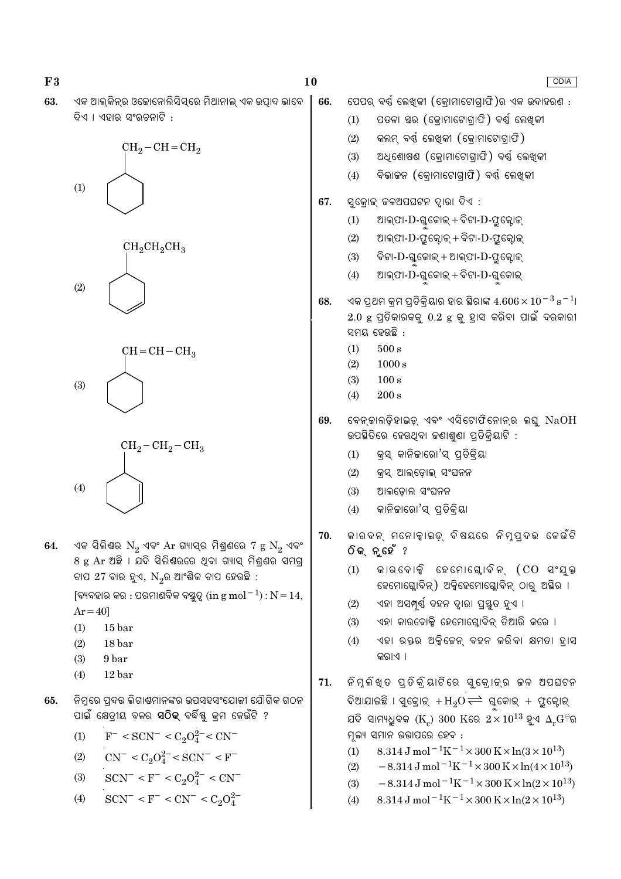| F3  | 10                                                                                                                                                                                                                                                                                                                                                                     |            | ODIA                                                                                                                                                                                                                                                                                                                                                                                                                                                                                                                                                                                                              |
|-----|------------------------------------------------------------------------------------------------------------------------------------------------------------------------------------------------------------------------------------------------------------------------------------------------------------------------------------------------------------------------|------------|-------------------------------------------------------------------------------------------------------------------------------------------------------------------------------------------------------------------------------------------------------------------------------------------------------------------------------------------------------------------------------------------------------------------------------------------------------------------------------------------------------------------------------------------------------------------------------------------------------------------|
| 63. | ଏକ ଆଲ୍କିନ୍ର ଓଜୋନୋଲିସିସ୍ରେ ମିଥାନାଲ୍ ଏକ ଉତ୍ପାଦ ଭାବେ<br>ଦିଏ । ଏହାର ସଂରଚନାଟି :<br>$CH_2-CH=CH_2$                                                                                                                                                                                                                                                                           | 66.        | ପେପର୍ ବର୍ଷ ଲେଖିକୀ (କ୍ରୋମାଟୋଗ୍ରାଫି)ର ଏକ ଉଦାହରଣ :<br>ପତଳା ସ୍ତର (କ୍ରୋମାଟୋଗ୍ରାଫି) ବର୍ଷ ଲେଖିକୀ<br>(1)<br>କଲମ୍ ବର୍ଣ୍ଣ ଲେଖିକୀ (କ୍ରୋମାଟୋଗ୍ରାଫି)<br>(2)<br>ଅଧିଶୋଷଣ (କ୍ରୋମାଟୋଗ୍ରାଫି) ବର୍ଷ ଲେଖିକୀ<br>(3)<br>ବିଭାଜନ (କ୍ରୋମାଟୋଗ୍ରାଫି) ବର୍ଷ ଲେଖିକୀ<br>(4)                                                                                                                                                                                                                                                                                                                                                                       |
|     | (1)<br>$CH_2CH_2CH_3$<br>(2)                                                                                                                                                                                                                                                                                                                                           | 67.        | ସୁକ୍ରୋକ୍ କଳଅପଘଟନ ଦ୍ୱାରା ଦିଏ :<br>ଆଲ୍ଫା-D-ଗ୍ଳୁକୋଇ୍ + ବିଟା-D-ଫ୍ରୁକ୍ଟୋଇ୍<br>(1)<br>ଆଲ୍ଫା-D-ଫୁକ୍ଟୋକ୍ + ବିଟା-D-ଫୁକ୍ଟୋକ୍<br>(2)<br>ବିଟା-D-ଗ୍ଳୁକୋଇ୍ + ଆଲ୍ଫା-D-ଫ୍ରୁକ୍ଟୋଇ୍<br>(3)<br>ଆଲ୍ଫା- $\mathrm{D}$ -ଗ୍ଳୁକୋଇ୍ + ବିଟା- $\mathrm{D}$ -ଗ୍ଳୁକୋଇ୍<br>(4)                                                                                                                                                                                                                                                                                                                                                                   |
|     | $CH = CH - CH3$<br>(3)                                                                                                                                                                                                                                                                                                                                                 | 68.        | ଏକ ପ୍ରଥମ କ୍ରମ ପ୍ରତିକ୍ରିୟାର ହାର ସ୍ଥିରାଙ୍କ $4.606 \times 10^{-3}$ s $^{-1}$ ।<br>$2.0$ $\rm g$ ପ୍ରତିକାରକକୁ $0.2$ $\rm g$ କୁ ହ୍ରାସ କରିବା ପାଇଁ ଦରକାରୀ<br>ସମୟ ହେଉଛି :<br>(1)<br>$500\,\mathrm{s}$<br>1000 s<br>(2)<br>100 s<br>(3)<br>$200\,\mathrm{s}$<br>(4)                                                                                                                                                                                                                                                                                                                                                         |
|     | $CH_2-CH_2-CH_3$<br>(4)                                                                                                                                                                                                                                                                                                                                                | 69.        | ବେନ୍କାଲଡ଼ିହାଇଡ଼୍ ଏବଂ ଏସିଟୋଫିନୋନ୍ର ଲଘୁ NaOH<br>ଉପଛିତିରେ ହେଉଥିବା କଣାଶୁଣା ପ୍ରତିକ୍ରିୟାଟି :<br>କ୍ରସ୍ କାନିକାରୋ'ସ୍ ପ୍ରତିକ୍ରିୟା<br>(1)<br>(2)<br>କ୍ରସ୍ ଆଲ୍ଡୋଲ୍ ସଂଘନନ<br>ଆଲଡ଼ୋଲ ସଂଘନନ<br>(3)<br>କାନିଜାରୋ'ସ୍ ପ୍ରତିକ୍ରିୟା<br>(4)                                                                                                                                                                                                                                                                                                                                                                                             |
| 64. | ଏକ ସିଲିଷର $N_2$ ଏବଂ $Ar$ ଗ୍ୟାସ୍ର ମିଶ୍ରଣରେ 7 $g N_2$ ଏବଂ<br>8 g Ar ଅଛି । ଯଦି ସିଲିଣ୍ଠରରେ ଥିବା ଗ୍ୟାସ୍ ମିଶ୍ରଶର ସମଗ୍ର<br>ଚାପ 27 ବାର ହୁଏ, $N_{2}$ ର ଆଂଶିକ ଚାପ ହେଉଛି :<br>[ବ୍ୟବହାର କର : ପରମାଣବିକ ବସ୍ତ୍ରୃତ୍ (in g mol $^{-1}$ ) : $N = 14$ ,<br>$Ar = 40$ ]<br>(1)<br>15 <sub>bar</sub><br>18 bar<br>(2)<br>(3)<br>9 bar<br>(4)<br>12 <sub>bar</sub>                           | 70.<br>71. | କାରବନ୍ ମନୋକ୍କାଇଡ୍ ବିଷୟରେ ନିମ୍ନପ୍ରବଭ କେଉଁଟି<br>ଠିକ୍ନୁହେଁ ?<br>କାରବୋକ୍ସି ହେମୋଗ୍ଲୋବିନ୍ (CO ସଂଯୁକ୍ତ<br>(1)<br>ହେମୋଗ୍ଲୋବିନ୍) ଅକ୍ସିହେମୋଗ୍ଳୋବିନ୍ ଠାରୁ ଅଛିର ।<br>ଏହା ଅସମ୍ପୂର୍ଣ୍ଣ ଦହନ ଦ୍ୱାରା ପ୍ରସ୍ତୁତ ହୁଏ ।<br>(2)<br>ଏହା କାରବୋକ୍ସି ହେମୋଗ୍ଳୋବିନ୍ ତିଆରି କରେ ।<br>(3)<br>ଏହା ରକ୍ତର ଅକ୍ସିକେନ୍ ବହନ କରିବା କ୍ଷମତା ହାସ<br>(4)<br>କରାଏ ।<br>ନିମ୍ଳିଖ୍ତ ପ୍ତିକ୍ରିୟାଟିରେ ସୁକ୍ରୋକ୍ର କଳ ଅପଘଟନ                                                                                                                                                                                                                                            |
| 65. | ନିମ୍ନରେ ପ୍ରଦତ୍ତ ଲିଗାଣ୍ଠମାନଙ୍କର ଉପସହସଂଯୋଜୀ ଯୌଗିକ ଗଠନ<br>ପାଇଁ କ୍ଷେତ୍ରୀୟ ବଳର <b>ସଠିକ୍</b> ବର୍ଦ୍ଧିଷ୍ଣୁ କ୍ରମ କେଉଁଟି ?<br>$F^-$ < SCN <sup>-</sup> < C <sub>2</sub> O <sub>4</sub> <sup>2</sup> <sup>-</sup> < CN <sup>-</sup><br>(1)<br>$CN^- < C_2O_4^{2-} < SCN^- < F^-$<br>(2)<br>$SCN^- < F^- < C_2O_4^{2-} < CN^-$<br>(3)<br>$SCN^- < F^- < CN^- < C_2O_4^{2-}$<br>(4) |            | ଦିଆଯାଇଛି । ସୁକ୍ରୋଇ୍ $\rm{+H_2O} {\rightleftharpoons}$ ଗ୍ଲକୋଇ୍ + ଫ୍ରୁକ୍ଟୋଇ୍<br>ଯଦି ସାମ୍ୟଧୁବକ ( $\text{K}_c$ ) 300 $\text{K}$ ରେ $2 \times 10^{13}$ ହୁଏ $\Delta_r \text{G}^{\ominus}$ ର<br>ମୂଲ୍ୟ ସମାନ ଉତ୍ତାପରେ ହେବ :<br>8.314 J mol <sup>-1</sup> K <sup>-1</sup> × 300 K × ln(3 × 10 <sup>13</sup> )<br>(1)<br>$-8.314 \,\mathrm{J}$ mol <sup>-1</sup> K <sup>-1</sup> ×300 K×ln(4×10 <sup>13</sup> )<br>(2)<br>$-8.314 \text{ J} \text{ mol}^{-1} \text{K}^{-1} \times 300 \text{ K} \times \ln(2 \times 10^{13})$<br>(3)<br>8.314 J mol <sup>-1</sup> K <sup>-1</sup> × 300 K × ln(2 × 10 <sup>13</sup> )<br>(4) |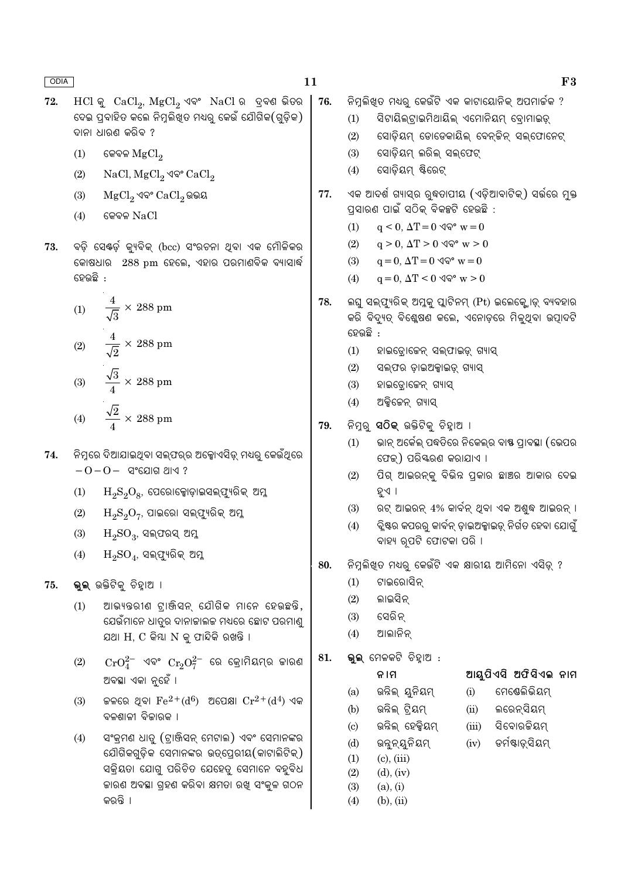$F3$ 

| 72. | $HCl$ କୁ $CaCl2$ , $MgCl2$ ଏବଂ $NaCl$ ର ଦ୍ରବଣ ଭିତର<br>ଦେଇ ପ୍ରବାହିତ କଲେ ନିମ୍ନଲିଖ୍ତ ମଧ୍ୟରୁ କେଉଁ ଯୌଗିକ(ଗୁଡ଼ିକ)<br>ଦାନା ଧାରଣ କରିବ ?<br>କେବଳ $MgCl2$<br>(1)<br>NaCl, MgCl <sub>2</sub> ଏବଂ CaCl <sub>2</sub><br>(2)                                                    | 76. | ିନିମ୍ନଲିଖିତ ମଧ୍ୟରୁ କେଉଁଟି ଏକ କାଟାୟୋନିକ୍ ଅପମାର୍ଚ୍ଚକ ?<br>ସିଟାୟିଲ୍ଟ୍ରାଇମିଥାୟିଲ୍ ଏମୋନିୟମ୍ ବ୍ରୋମାଇଡ଼୍<br>(1)<br>ସୋଡ଼ିୟମ୍ ଡୋଡେକାୟିଲ୍ ବେନ୍ଟିନ୍ ସଲ୍ଫୋନେଟ୍<br>(2)<br>ସୋଡ଼ିୟମ୍ ଲରିଲ୍ ସଲ୍ଫେଟ୍<br>(3)<br>ସୋଡ଼ିୟମ୍ ଷ୍ଟିରେଟ୍<br>(4)                                                                                                                         |  |  |  |  |  |  |  |  |
|-----|-------------------------------------------------------------------------------------------------------------------------------------------------------------------------------------------------------------------------------------------------------------------|-----|------------------------------------------------------------------------------------------------------------------------------------------------------------------------------------------------------------------------------------------------------------------------------------------------------------------------------------------------|--|--|--|--|--|--|--|--|
| 73. | (3)<br>$MgCl2$ ଏବଂ $CaCl2$ ଭଭୟ<br>କେବଳ $NaCl$<br>(4)<br>ବଡ଼ି ସେଷ୍ଟର୍ଡ଼ କ୍ୟୁବିକ୍ (bcc) ସଂରଚନା ଥିବା ଏକ ମୌଳିକର<br>କୋଷଧାର 288 pm ହେଲେ, ଏହାର ପରମାଣବିକ ବ୍ୟାସାର୍ଦ୍ଧ                                                                                                      | 77. | ଏକ ଆଦର୍ଶ ଗ୍ୟାସ୍ର ରୁଦ୍ଧତାପୀୟ (ଏଡ଼ିଆବାଟିକ୍) ସର୍ଭରେ ମୁକ୍ତ<br>ପ୍ରସାରଣ ପାଇଁ ସଠିକ୍ ବିକଳ୍ପଟି ହେଉଛି :<br>(1)<br>$q < 0$ , $\Delta T = 0$ $\sqrt{\mathbb{Q}}^{\circ}$ w $= 0$<br>$q > 0$ , $\Delta T > 0$ $\Im \mathcal{P}$ w $> 0$<br>(2)<br>$q = 0$ , $\Delta T = 0$ $\sqrt{\mathbb{Q}}^{\circ}$ w $= 0$<br>(3)                                       |  |  |  |  |  |  |  |  |
|     | ହେଉଛି :<br>$\frac{4}{\sqrt{3}} \times 288$ pm<br>(1)<br>(2) $\frac{4}{\sqrt{2}} \times 288 \text{ pm}$<br>$\frac{\sqrt{3}}{4} \times 288~\text{pm}$<br>(3)                                                                                                        | 78. | $q = 0$ , $\Delta T < 0$ $\Im \mathcal{P}$ w $> 0$<br>(4)<br>ଲଘୁ ସଲ୍ଫ୍ୟୁରିକ୍ ଅମ୍ଳକୁ ପ୍ଲାଟିନମ୍ (Pt) ଇଲେକ୍ଟ୍ରୋଡ୍ ବ୍ୟବହାର<br>କରି ବିଦ୍ୟୁତ୍ ବିଶ୍ଳେଷଣ କଲେ, ଏନୋଡ଼ରେ ମିଳୁଥିବା ଉତ୍ପାଦଟି<br>ହେଉଛି :<br>(1)<br>ହାଇଡ୍ରୋଜେନ୍ ସଲ୍ଫାଇଡ଼୍ ଗ୍ୟାସ୍<br>(2)<br>ସଲ୍ଫର ଡ଼ାଇଅକ୍ସାଇଡ଼୍ ଗ୍ୟାସ୍<br>(3)<br>ହାଇଡ୍ରୋଜେନ୍ ଗ୍ୟାସ୍<br>(4)<br>ଅକ୍ସିଜେନ୍ ଗ୍ୟାସ୍                  |  |  |  |  |  |  |  |  |
| 74. | $\frac{\sqrt{2}}{4} \times 288$ pm<br>(4)<br>ନିମ୍ନରେ ଦିଆଯାଇଥିବା ସଲ୍ଫର୍ର ଅକ୍ସୋଏସିଡ଼୍ ମଧ୍ୟରୁ କେଉଁଥିରେ<br>$-0-0-$ ସଂଯୋଗ ଥାଏ ?<br>$H_2S_2O_8$ , ପେରୋକ୍ସୋଡ଼ାଇସଲ୍ଫ୍ୟୁରିକ୍ ଅମ୍ଳ<br>(1)<br>$H_2S_2O_7$ , ପାଇରୋ ସଲ୍ଫ୍ୟୁରିକ୍ ଅମ୍ଳ<br>(2)<br>(3)<br>$H_2SO_3$ , ସଲ୍ପରସ୍ ଅମ୍ଳ | 79. | ନିମ୍ବରୁ <b>ସଠିକ୍</b> ଉକ୍ତିଟିକୁ ଚିହ୍ୱାଅ ।<br>ଭାନ୍ ଅର୍କେଲ୍ ପଦ୍ଧତିରେ ନିକେଲ୍ର ବାଷ୍ଣ ପ୍ରାବସ୍ଥା (ଭେପର<br>(1)<br>ଫେକ୍) ପରିୟରଣ କରାଯାଏ ।<br>ପିଗ୍ ଆଇରନ୍କୁ ବିଭିନ୍ନ ପ୍ରକାର ଛାଞ୍ଚର ଆକାର ଦେଇ<br>(2)<br>ହୁଏ<br>ରଟ୍ ଆଇରନ୍ 4% କାର୍ବନ୍ ଥିବା ଏକ ଅଶୁଦ୍ଧ ଆଇରନ୍ ।<br>(3)<br>ିବ୍ଲିଷ୍ଟର କପରରୁ କାର୍ବନ୍ ଡ଼ାଇଅକ୍ସାଇଡ୍ ନିର୍ଗତ ହେବା ଯୋଗୁଁ<br>(4)<br>ବାହ୍ୟ ରୂପଟି ଫୋଟକା ପରି । |  |  |  |  |  |  |  |  |
| 75. | $(4)$ $H_2SO_4$ , ସଲ୍ଫ୍ୟୁରିକ୍ ଅମ୍ଳ<br>ଭୁଲ୍ ଉକ୍ତିଟିକୁ ଚିହ୍ୱାଅ ।<br>ଆଭ୍ୟନ୍ତରୀଣ ଟାଞ୍ଜିସନ୍ ଯୌଗିକ ମାନେ ହେଉଛନ୍ତି,<br>(1)<br>ଯେଉଁମାନେ ଧାତ୍ରର ଦାନାକାଲକ ମଧ୍ୟରେ ଛୋଟ ପରମାଣ୍ଡ<br>ଯଥା $H, C$ କିୟା $N$ କୁ ଫାନ୍ଦିକି ରଖନ୍ତି ।                                                     | 80. | ନିମୁଲିଖିତ ମଧ୍ୟରୁ କେଉଁଟି ଏକ କ୍ଷାରୀୟ ଆମିନୋ ଏସିଡ୍ ?<br>ଟାଇରୋସିନ୍<br>(1)<br>ଲାଇସିନ୍<br>(2)<br>ସେରିନ୍<br>(3)<br>ଆଲାନିନ୍<br>(4)                                                                                                                                                                                                                      |  |  |  |  |  |  |  |  |
|     | $CrO_4^{2-}$ ଏବଂ $Cr_2O_7^{2-}$ ରେ କ୍ରୋମିୟମ୍ର କାରଣ<br>(2)<br>ଅବସ୍ଥା ଏକା ନୁହେଁ ।<br>କଳରେ ଥିବା $\rm Fe^{2+}(d^6)$ ଅପେକ୍ଷା $\rm Cr^{2+}(d^4)$ ଏକ<br>(3)<br>ବଳଶାଳୀ ବିଜାରକ ।<br>ସଂକ୍ରମଣ ଧାତୁ (ଟ୍ରାଞ୍ଜିସନ୍ ମେଟାଲ) ଏବଂ ସେମାନଙ୍କର<br>(4)                                  | 81. | <b>ଭୁଲ୍</b> ମେଳକଟି ଚିହ୍ନାଅ :<br>ଆୟୁପିଏସି ଅଫିସିଏଲ ନାମ<br>ନାମ<br>ମେଷେଲିଭିୟମ୍<br>ଉନ୍ନିଲ୍ ୟୁନିୟମ୍<br>(i)<br>(a)<br>ଉନ୍ନିଲ୍ ଟ୍ରିୟମ୍<br>ଲରେନ୍ସିୟମ୍<br>(b)<br>(ii)<br>ଉନ୍ନିଲ୍ ହେକ୍କିୟମ୍<br>ସିବୋରକିୟମ୍<br>(iii)<br>(c)                                                                                                                                 |  |  |  |  |  |  |  |  |
|     | ଯୌଗିକଗୁଡ଼ିକ ସେମାନଙ୍କର ଉତ୍ପ୍ରେରୀୟ(କାଟାଲିଟିକ୍)<br>ସକ୍ରିୟତା ଯୋଗୁ ପରିଚିତ ଯେହେତୁ ସେମାନେ ବହୁବିଧ<br>କାରଣ ଅବସ୍ଥା ଗ୍ରହଣ କରିବା କ୍ଷମତା ରଖି ସଂକ୍ରଳ ଗଠନ<br>କରନ୍ତି ।                                                                                                            |     | ଡର୍ମଷ୍ଟାଡ଼୍ସିୟମ୍<br>ଉନ୍ନନ୍ୟୁନିୟମ୍<br>(d)<br>(iv)<br>$(c)$ , $(iii)$<br>(1)<br>$(d)$ , $(iv)$<br>(2)<br>(3)<br>(a), (i)<br>(4)<br>$(b)$ , $(ii)$                                                                                                                                                                                                |  |  |  |  |  |  |  |  |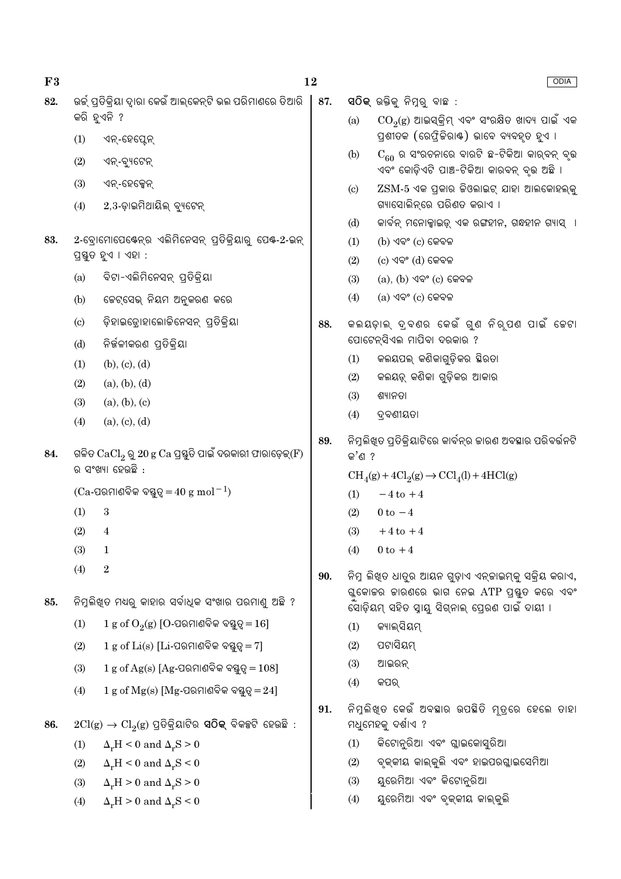| F3  |                            | 12                                                                                                  |     |                        | ODIA                                                                                                            |  |  |  |  |  |
|-----|----------------------------|-----------------------------------------------------------------------------------------------------|-----|------------------------|-----------------------------------------------------------------------------------------------------------------|--|--|--|--|--|
| 82. |                            | ଉର୍କ୍ ପ୍ରତିକ୍ରିୟା ଦ୍ୱାରା କେଉଁ ଆଲ୍କେନ୍ଟି ଭଲ ପରିମାଣରେ ତିଆରି                                           | 87. |                        | ସ $\widehat{O}$ କ୍ ଉକ୍ତିକୁ ନିମୁରୁ ବାଛ $\,$ :                                                                    |  |  |  |  |  |
|     | (1)                        | କରି ହୁଏନି ?<br>ଏନ୍-ହେପ୍ଟେନ୍                                                                         |     | (a)                    | $\mathrm{CO}_2(\mathrm{g})$ ଆଇସ୍କ୍ରିମ୍ ଏବଂ ସଂରକ୍ଷିତ ଖାଦ୍ୟ ପାଇଁ ଏକ<br>ପ୍ରଶୀତକ (ରେଫ୍ରିକିରାଷ୍ଟ) ଭାବେ ବ୍ୟବହୃତ ହୁଏ । |  |  |  |  |  |
|     | (2)                        | ଏନ୍-ବ୍ୟୁଟେନ୍                                                                                        |     | (b)                    | $C_{60}$ ର ସଂରଚନାରେ ବାରଟି ଛ-ଟିକିଆ କାର୍ବନ୍ ବୃଭ<br>ଏବଂ କୋଡ଼ିଏଟି ପାଞ୍ଚ-ଟିକିଆ କାରବନ୍ ବୃଭ ଅଛି ।                      |  |  |  |  |  |
|     | (3)<br>(4)                 | ଏନ୍-ହେକ୍ସେନ୍<br>$2,3$ -ଡ଼ାଇମିଥାୟିଲ୍ ବ୍ୟୁଟେନ୍                                                        |     | $\left( \circ \right)$ | $\text{ZSM-5}$ ଏକ ପ୍ରକାର କିଓଲାଇଟ୍ ଯାହା ଆଲକୋହଲ୍କୁ<br>ଗ୍ୟାସୋଲିନ୍ରେ ପରିଣତ କରାଏ ।                                   |  |  |  |  |  |
|     |                            |                                                                                                     |     | (d)                    | କାର୍ବନ୍ ମନୋକ୍ସାଇଡ଼୍ ଏକ ରଙ୍ଗହୀନ, ଗନ୍ଧହୀନ ଗ୍ୟାସ୍  ।                                                               |  |  |  |  |  |
| 83. |                            | 2-ବୋମୋପେର୍କେନ୍ର ଏଲିମିନେସନ୍ ପ୍ରତିକ୍ରିୟାରୁ ପେକ୍-2-ଇନ୍<br>ପ୍ରସ୍ତୁତ ହୁଏ । ଏହା :                         |     | (1)<br>(2)             | $(b)$ ଏବଂ $(c)$ କେବଳ<br>$(c)$ ଏବଂ $(d)$ କେବଳ                                                                    |  |  |  |  |  |
|     | (a)                        | ବିଟା-ଏଲିମିନେସନ୍ ପ୍ରତିକ୍ରିୟା                                                                         |     | (3)                    | $(a)$ , $(b)$ ଏବଂ $(c)$ କେବଳ                                                                                    |  |  |  |  |  |
|     | (b)                        | ଚେଟ୍ସେଭ୍ ନିୟମ ଅନୁକରଣ କରେ                                                                            |     | (4)                    | $(a)$ ଏବଂ $(c)$ କେବଳ                                                                                            |  |  |  |  |  |
|     | $\left( \mathrm{c}\right)$ | ଡ଼ିହାଇଡ୍ରୋହାଲୋକିନେସନ୍ ପ୍ରତିକ୍ରିୟା                                                                   | 88. |                        | କଲୟଡ଼ାଲ୍ ଦ୍ରବଣର କେଉଁ ଗୁଣ ନିର୍ପଣ ପାଇଁ କେଟା                                                                       |  |  |  |  |  |
|     | (d)                        | ନିର୍ଜଳୀକରଣ ପ୍ରତିକ୍ରିୟା                                                                              |     |                        | ପୋଟେନ୍ସିଏଲ ମାପିବା ଦରକାର ?                                                                                       |  |  |  |  |  |
|     | (1)                        | (b), (c), (d)                                                                                       |     | (1)                    | କଲୟପଲ୍ କଣିକାଗୁଡ଼ିକର ଛିରତା                                                                                       |  |  |  |  |  |
|     | (2)                        | (a), (b), (d)                                                                                       |     | (2)                    | କଲୟଡ଼୍ କଣିକା ଗୁଡ଼ିକର ଆକାର                                                                                       |  |  |  |  |  |
|     | (3)                        | (a), (b), (c)                                                                                       |     | (3)                    | ଶ୍ୟାନତା                                                                                                         |  |  |  |  |  |
|     | (4)                        | (a), (c), (d)                                                                                       |     | (4)                    | ଦ୍ରବଣୀୟତା                                                                                                       |  |  |  |  |  |
| 84. |                            | ଗଳିତ $\mathrm{CaCl}_2 \mathop{\mathrm{Q}} 20 \mathrm{\ g\ Ca\ }$ ପ୍ରସ୍ତୁତି ପାଇଁ ଦରକାରୀ ଫାରାଡ଼େଇ୍(F) | 89. | କ $'$ ଶ $?$            | ିନିମୁଲିଖିତ ପ୍ରତିକ୍ରିୟାଟିରେ କାର୍ବନ୍ର ଜାରଣ ଅବସ୍ଥାର ପରିବର୍ତ୍ତନଟି                                                   |  |  |  |  |  |
|     |                            | ର ସଂଖ୍ୟା ହେଉଛି :                                                                                    |     |                        | $\text{CH}_4(g) + 4\text{Cl}_2(g) \rightarrow \text{CCl}_4(l) + 4\text{HCl}(g)$                                 |  |  |  |  |  |
|     |                            | $(Ca$ -ପରମାଣବିକ ବୟୁତ୍ୱ $=40 \text{ g mol}^{-1}$                                                     |     | (1)                    | $-4$ to $+4$                                                                                                    |  |  |  |  |  |
|     | (1)                        | $\sqrt{3}$                                                                                          |     | (2)                    | $0 \text{ to } -4$                                                                                              |  |  |  |  |  |
|     | (2)                        | 4                                                                                                   |     | (3)                    | $+4$ to $+4$                                                                                                    |  |  |  |  |  |
|     | (3)                        | 1                                                                                                   |     | (4)                    | $0$ to $+4$                                                                                                     |  |  |  |  |  |
|     | (4)                        | $\,2$                                                                                               | 90. |                        | ନିମ୍ନ ଲିଖ୍ଡ ଧାତୁର ଆୟନ ଗୁଡ଼ାଏ ଏନ୍କାଇମ୍କୁ ସକ୍ରିୟ କରାଏ,                                                            |  |  |  |  |  |
| 85. |                            | ନିମ୍ନଲିଖିତ ମଧ୍ୟରୁ କାହାର ସର୍ବାଧିକ ସଂଖାର ପରମାଣୁ ଅଛି ?                                                 |     |                        | ଗ୍ଳକୋଚ୍ଚର ଜାରଣରେ ଭାଗ ନେଇ ATP ପ୍ରସ୍ତୁତ କରେ ଏବଂ<br>ସୋଡ଼ିୟମ୍ ସହିତ ସ୍ୱାୟୁ ସିଗ୍ନାଲ୍ ପ୍ରେରଣ ପାଇଁ ଦାୟୀ ।               |  |  |  |  |  |
|     | (1)                        | $1 g$ of $O_2(g)$ [O-ପରମାଣବିକ ବୟୁତ୍ୱ $= 16$ ]                                                       |     | (1)                    | କ୍ୟାଲ୍ସିୟମ୍                                                                                                     |  |  |  |  |  |
|     | (2)                        | $1 g$ of $Li(s)$ [ $Li$ -ପରମାଣବିକ ବସ୍ତୁତ୍ୱ $= 7$ ]                                                  |     | (2)                    | ପଟାସିୟମ୍                                                                                                        |  |  |  |  |  |
|     | (3)                        | $1 g$ of Ag(s) [Ag-ପରମାଣବିକ ବସ୍ତୁତ୍ୱ $= 108$ ]                                                      |     | (3)                    | ଆଇରନ୍                                                                                                           |  |  |  |  |  |
|     | (4)                        | $1 g$ of $Mg(s)$ [Mg-ପରମାଣବିକ ବସ୍ତୁତ୍ୱ $= 24$ ]                                                     |     | (4)                    | କପର୍                                                                                                            |  |  |  |  |  |
| 86. |                            | $2Cl(g) \rightarrow Cl_2(g)$ ପ୍ରତିକ୍ରିୟାଟିର <b>ସଠିକ୍</b> ବିକଳ୍ପଟି ହେଉଛି :                           | 91. |                        | ନିମୁଲିଖ୍ଡ କେଉଁ ଅବସ୍ଥାର ଉପସ୍ଥିତି ମ୍ତ୍ରରେ ହେଲେ ତାହା<br>ମଧୁମେହକୁ ଦର୍ଶାଏ ?                                          |  |  |  |  |  |
|     | (1)                        | $\Delta_r H < 0$ and $\Delta_r S > 0$                                                               |     | (1)                    | କିଟୋନୁରିଆ ଏବଂ ଗ୍ଲାଇକୋସୁରିଆ                                                                                      |  |  |  |  |  |
|     | (2)                        | $\Delta_r H < 0$ and $\Delta_r S < 0$                                                               |     | (2)                    | ବୃକ୍କୀୟ କାଲ୍କୁଲି ଏବଂ ହାଇପରଗ୍ଲାଇସେମିଆ                                                                            |  |  |  |  |  |
|     | (3)                        | $\Delta_r H > 0$ and $\Delta_r S > 0$                                                               |     | (3)                    | ୟୁରେମିଆ ଏବଂ କିଟୋନୁରିଆ                                                                                           |  |  |  |  |  |
|     | (4)                        | $\Delta_r H > 0$ and $\Delta_r S < 0$                                                               |     | (4)                    | ୟୁରେମିଆ ଏବଂ ବୃକ୍କୀୟ କାଲ୍କୁଲି                                                                                    |  |  |  |  |  |
|     |                            |                                                                                                     |     |                        |                                                                                                                 |  |  |  |  |  |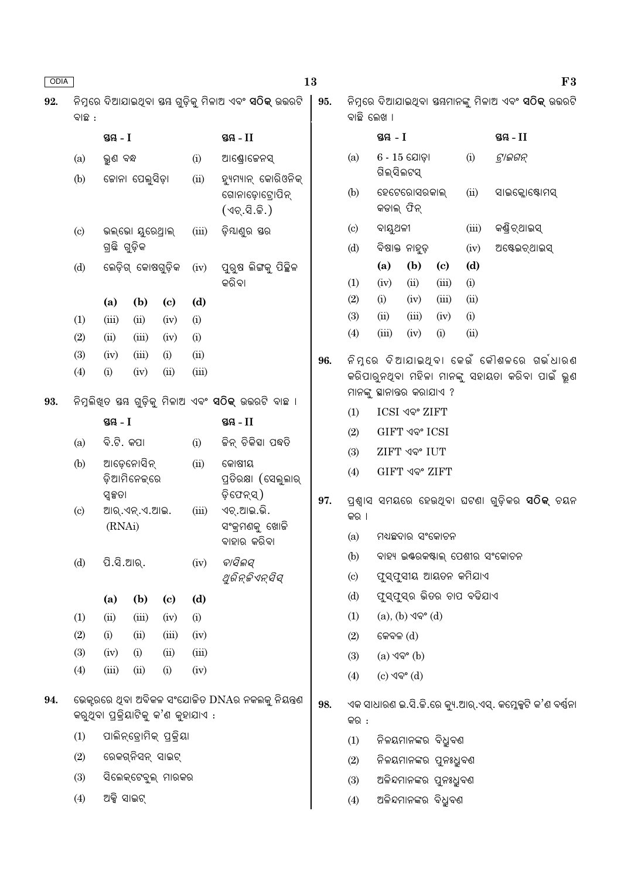| ODIA |                             |                                  |                            |                                     |       | 13                                                           |     |                                                      |             |                                     |                                     |                           |                                                             | F3 |  |
|------|-----------------------------|----------------------------------|----------------------------|-------------------------------------|-------|--------------------------------------------------------------|-----|------------------------------------------------------|-------------|-------------------------------------|-------------------------------------|---------------------------|-------------------------------------------------------------|----|--|
| 92.  | ବାଛ :                       |                                  |                            |                                     |       |                                                              | 95. | ବାଛି ଲେଖ ।                                           |             |                                     |                                     |                           | ନିମ୍ନରେ ଦିଆଯାଇଥିବା ସୟମାନଙ୍କୁ ମିଳାଅ ଏବଂ <b>ସଠିକ୍</b> ଉତ୍ତରଟି |    |  |
|      |                             | ସ୍ତୟ - I                         |                            |                                     |       | ସ୍ତୟ - $II$                                                  |     |                                                      | ସ୍ଥ $-1$    |                                     |                                     |                           | ସ୍ତୟ $-II$                                                  |    |  |
|      | (a)                         | ଭୁଣ ବନ୍ଧ                         |                            |                                     | (i)   | ଆଣ୍ଡ୍ରୋଜେନସ୍                                                 |     | (a)                                                  | ଗିଲ୍ସିଲଟସ୍  | $6 - 15$ ଯୋଡ଼ା                      |                                     | (i)                       | ଟ୍ରାଇଗନ୍                                                    |    |  |
|      | (b)                         |                                  | ଜୋନା ପେଲୁସିଡ଼ା             |                                     | (ii)  | ହ୍ୟୁମ୍ୟାନ୍ କୋରିଓନିକ୍<br>ଗୋନାଡ଼ୋଟ୍ରୋପିନ୍<br>(ଏଚ୍.ସି.ଜି.)      |     | (b)                                                  | କଡାଲ୍ ଫିନ୍  | ହେଟେରୋସରକାଲ୍                        |                                     | (ii)                      | ସାଇକ୍ଲୋଷ୍ଟୋମସ୍                                              |    |  |
|      | $\left( \mathrm{c} \right)$ |                                  | ଭଲ୍ଭୋ ଯୁରେଥ୍ରାଲ୍           |                                     | (iii) | ଡ଼ିଯାଣୁର ସର                                                  |     | ବାୟୁଥଳୀ<br>$\left( \mathrm{c}\right)$                |             |                                     |                                     | (iii)                     | କଣ୍ଡିଚ୍ଥାଇସ୍                                                |    |  |
|      |                             | ଗ୍ରଛି ଗୁଡ଼ିକ                     |                            |                                     |       |                                                              |     | (d)                                                  |             | ବିଷାକ୍ତ ନାହୁଡ଼                      |                                     | (iv)                      | ଅଷ୍ଟେଇଚ୍ଥାଇସ୍                                               |    |  |
|      | (d)                         |                                  | ଲେଡ଼ିଗ୍ କୋଷଗୁଡ଼ିକ          |                                     | (iv)  | ପୁରୁଷ ଲିଙ୍ଗକୁ ପିଚ୍ଛିଳ<br>କରିବା                               |     | (1)                                                  | (a)<br>(iv) | (b)<br>(ii)                         | $\left( \mathrm{c}\right)$<br>(iii) | (d)<br>(i)                |                                                             |    |  |
|      |                             | (a)                              | (b)                        | $\left( \mathbf{c} \right)$         | (d)   |                                                              |     | (2)                                                  | (i)         | (iv)                                | (iii)                               | (ii)                      |                                                             |    |  |
|      | (1)                         | (iii)                            | (ii)                       | (iv)                                | (i)   |                                                              |     | (3)                                                  | (ii)        | (iii)                               | (iv)                                | (i)                       |                                                             |    |  |
|      | (2)                         | (ii)                             | (iii)                      | (iv)                                | (i)   |                                                              |     | (4)                                                  | (iii)       | (iv)                                | (i)                                 | (ii)                      |                                                             |    |  |
|      | (3)                         | (iv)                             | (iii)                      | (i)                                 | (ii)  |                                                              | 96. |                                                      |             |                                     |                                     |                           | ନିମ୍ବରେ ଦିଆଯାଇଥିବା କେଉଁ କୌଶଳରେ ଗର୍ଭଧାରଣ                     |    |  |
|      | (4)                         | (i)                              | (iv)                       | (ii)                                | (iii) |                                                              |     |                                                      |             | ମାନଙ୍କୁ ସ୍ଥାନାତ୍ତର କରାଯାଏ ?         |                                     |                           | କରିପାରୁନଥିବା ମହିଳା ମାନଙ୍କୁ ସହାୟତା କରିବା ପାଇଁ ଭୂଣ            |    |  |
| 93.  |                             |                                  |                            |                                     |       | ନିମ୍ନଲିଖ୍ତ ସ୍ତୟ ଗୁଡ଼ିକୁ ମିଳାଅ ଏବଂ <b>ସଠିକ୍</b> ଉତ୍ତରଟି ବାଛ । |     | (1)                                                  |             | ICSI ଏବଂ ZIFT                       |                                     |                           |                                                             |    |  |
|      |                             | ସ୍ତୟ $-I$                        |                            |                                     |       | ସ୍ତୟ - $II$                                                  |     | (2)                                                  |             | GIFT ଏବଂ ICSI                       |                                     |                           |                                                             |    |  |
|      | (a)                         | ବି.ଟି. କପା                       |                            |                                     | (i)   | ଚ୍ଚିନ୍ ଚିକିହା ପଦ୍ଧତି                                         |     | (3)                                                  |             | <b>ZIFT ଏବଂ IUT</b>                 |                                     |                           |                                                             |    |  |
|      | (b)                         |                                  | ଆଡ଼େନୋସିନ୍<br>ଡ଼ିଆମିନେକ୍ରେ |                                     | (ii)  | କୋଷୀୟ<br>ପ୍ରତିରକ୍ଷା (ସେଲୁଲାର୍                                |     | (4)                                                  |             | <b>GIFT ଏବଂ ZIFT</b>                |                                     |                           |                                                             |    |  |
|      |                             | ସ୍ୱକ୍ଷତା                         |                            |                                     |       | ଡ଼ିଫେନ୍ସ୍)                                                   | 97. | ପ୍ରଶ୍ୱାସ ସମୟରେ ହେଉଥିବା ଘଟଣା ଗୁଡ଼ିକର <b>ସଠିକ୍</b> ଚୟନ |             |                                     |                                     |                           |                                                             |    |  |
|      | $\left( \mathrm{c}\right)$  | ଆର୍.ଏନ୍.ଏ.ଆଇ.<br>(iii)<br>(RNAi) |                            |                                     |       | ଏଚ୍.ଆଇ.ଭି.<br>ସଂକ୍ରମଣକୁ ଖୋକି                                 |     | କର ।                                                 |             |                                     |                                     |                           |                                                             |    |  |
|      |                             |                                  |                            |                                     |       | ବାହାର କରିବା                                                  |     | (a)<br>ମଧ୍ୟଛଦାର ସଂକୋଚନ                               |             |                                     |                                     |                           |                                                             |    |  |
|      | (d)                         | ପି.ସି.ଆର୍.                       |                            |                                     | (iv)  | ବାସିଲସ୍                                                      |     | (b)                                                  |             |                                     |                                     |                           | ବାହ୍ୟ ଇଣ୍ଟରକଷ୍ଟାଲ୍ ପେଶୀର ସଂକୋଚନ                             |    |  |
|      |                             |                                  |                            |                                     |       | ଥୁରିନ୍ଜିଏନ୍ସିସ୍                                              |     | (c)                                                  |             |                                     |                                     | ଫୁସ୍ଫୁସୀୟ ଆୟତନ କମିଯାଏ     |                                                             |    |  |
|      |                             | (a)                              | (b)                        | $\left( \mathbf{c} \right)$         | (d)   |                                                              |     | (d)                                                  |             |                                     |                                     | ଫୁସ୍ଫୁସ୍ର ଭିତର ଚାପ ବଢିଯାଏ |                                                             |    |  |
|      | (1)                         | (ii)                             | (iii)                      | (iv)                                | (i)   |                                                              |     | (1)                                                  |             | $(a), (b)$ ଏବଂ $(d)$                |                                     |                           |                                                             |    |  |
|      | (2)                         | (i)                              | (ii)                       | (iii)                               | (iv)  |                                                              |     | (2)                                                  | କେବଳ $(d)$  |                                     |                                     |                           |                                                             |    |  |
|      | (3)                         | (iv)                             | (i)                        | (ii)                                | (iii) |                                                              |     | (3)                                                  |             | $(a)$ $\sqrt{ }$ <sup>o</sup> $(b)$ |                                     |                           |                                                             |    |  |
|      | (4)                         | (iii)                            | (ii)                       | (i)                                 | (iv)  |                                                              |     | (4)                                                  | (c) ଏବଂ (d) |                                     |                                     |                           |                                                             |    |  |
| 94.  |                             |                                  |                            | କରୁଥିବା ପ୍ରକ୍ରିୟାଟିକୁ କ'ଣ କୁହାଯାଏ : |       | ଭେକ୍ସରରେ ଥିବା ଅବିକଳ ସଂଯୋଜିତ DNAର ନକଲକୁ ନିୟନ୍ତ୍ରଣ             | 98. | କର :                                                 |             |                                     |                                     |                           | ଏକ ସାଧାରଣ ଇ.ସି.କି.ରେ କ୍ୟୁ.ଆର୍.ଏସ୍. କମ୍ଳେକ୍ସଟି କ'ଣ ବର୍ଷନା    |    |  |
|      | (1)                         |                                  |                            | ପାଲିନ୍ଡ୍ରୋମିକ୍ ପ୍ରକ୍ରିୟା            |       |                                                              |     | ନିଳୟମାନଙ୍କର ବିଧୁବଣ<br>(1)                            |             |                                     |                                     |                           |                                                             |    |  |
|      | (2)                         |                                  | ରେକଗ୍ନିସନ୍ ସାଇଟ୍           |                                     |       |                                                              |     | ନିଳୟମାନଙ୍କର ପୁନଃଧୁବଣ<br>(2)                          |             |                                     |                                     |                           |                                                             |    |  |
|      | (3)                         | ସିଲେକ୍ଟେବୁଲ୍ ମାରକର               |                            |                                     |       |                                                              |     | ଅଳିନ୍ଦମାନଙ୍କର ପୁନଃଧ୍ରୁବଣ<br>(3)                      |             |                                     |                                     |                           |                                                             |    |  |
|      | (4)                         | ଅକ୍ସି ସାଇଟ୍                      |                            |                                     |       |                                                              |     | (4)                                                  |             | ଅଳିନ୍ଦମାନଙ୍କର ବିଧ୍ରୁବଣ              |                                     |                           |                                                             |    |  |
|      |                             |                                  |                            |                                     |       |                                                              |     |                                                      |             |                                     |                                     |                           |                                                             |    |  |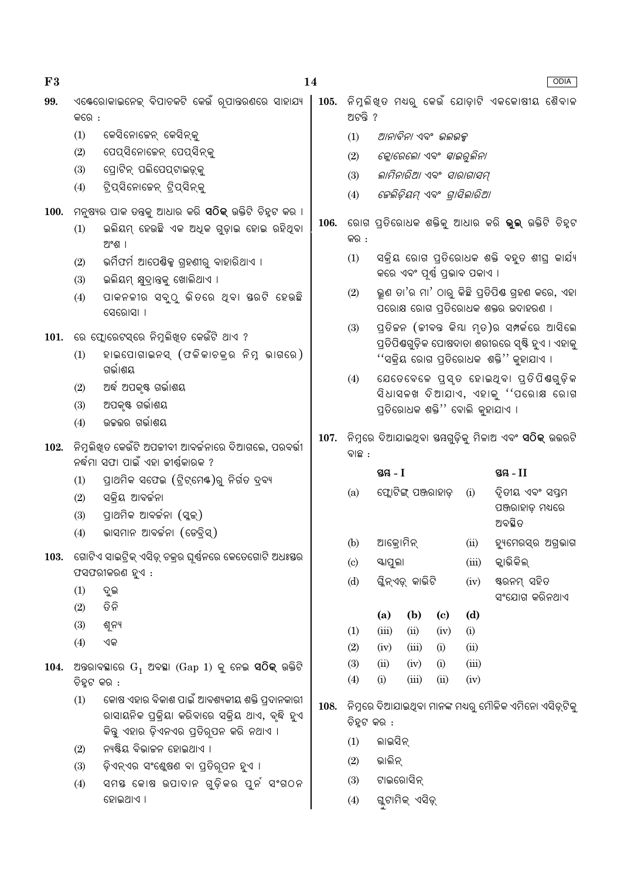| F3          |             |                                                                                                    | 14   |             |                                   |                                                           |                                                           |       | ODIA                                                                                             |  |  |
|-------------|-------------|----------------------------------------------------------------------------------------------------|------|-------------|-----------------------------------|-----------------------------------------------------------|-----------------------------------------------------------|-------|--------------------------------------------------------------------------------------------------|--|--|
| 99.         | କରେ :       | ଏକ୍ଟେରୋକାଇନେକ୍ ବିପାଚକଟି କେଉଁ ରୂପାତ୍ତରଣରେ ସାହାଯ୍ୟ                                                   | 105. | ଅଟନ୍ତି ?    |                                   |                                                           |                                                           |       | ିନିମୁଲିଖ୍ଡ ମଧ୍ୟରୁ କେଉଁ ଯୋଡ଼ାଟି ଏକକୋଷୀୟ ଶୈବାଳ                                                     |  |  |
|             | (1)         | କେସିନୋଜେନ୍ କେସିନ୍କୁ                                                                                |      | (1)         |                                   | ଆନାବିନା ଏବଂ  ଭଲଭକ୍ସ                                       |                                                           |       |                                                                                                  |  |  |
|             | (2)         | ପେପ୍ସିନୋଜେନ୍ ପେପ୍ସିନ୍କୁ                                                                            |      | (2)         |                                   | କ୍ଳୋରେଲୋ ଏବଂ <i>ସ୍କାଇରୁଲିନା</i>                           |                                                           |       |                                                                                                  |  |  |
|             | (3)         | ପ୍ରୋଟିନ୍ ପଲିପେପ୍ଟାଇଡ଼୍କୁ                                                                           |      | (3)         |                                   | ଲାମିନାରିଆ ଏବଂ ସାରାଗାସମ୍                                   |                                                           |       |                                                                                                  |  |  |
|             | (4)         | ଟ୍ରିପ୍ସିନୋଜେନ୍ ଟ୍ରିପ୍ସିନ୍କୁ                                                                        |      | (4)         | <i>କେଲିଡ଼ିୟମ୍ ଏବଂ ଗ୍ରାସିଲାରିଆ</i> |                                                           |                                                           |       |                                                                                                  |  |  |
| <b>100.</b> |             | ଼ମନୁଷ୍ୟର ପାକ ତନ୍ତକୁ ଆଧାର କରି <b>ସଠିକ୍</b> ଉକ୍ତିଟି ଚିହ୍ନଟ କର ।                                      |      |             |                                   |                                                           |                                                           |       |                                                                                                  |  |  |
|             | (1)         | ଇଲିୟମ୍ ହେଉଛି ଏକ ଅଧିକ ଗୁଡ଼ାଇ ହୋଇ ରହିଥିବା<br>ଅଂଶ ।                                                   | 106. | କର :        |                                   | ରୋଗ ପ୍ରତିରୋଧକ ଶକ୍ତିକୁ ଆଧାର କରି <b>ଭୁଲ୍</b> ଉକ୍ତିଟି ଚିହ୍ନଟ |                                                           |       |                                                                                                  |  |  |
|             | (2)<br>(3)  | ଭର୍ମିଫର୍ମ ଆପେଷିକ୍ସ ଗ୍ରହଣୀରୁ ବାହାରିଥାଏ ।<br>ଇଲିୟମ୍ କ୍ଷୁଦ୍ରାନ୍ତକୁ ଖୋଲିଥାଏ ।                          |      | (1)         |                                   | କରେ ଏବଂ ପୂର୍ଷ୍ଣ ପ୍ରଭାବ ପକାଏ ।                             |                                                           |       | ସକ୍ରିୟ ରୋଗ ପ୍ରତିରୋଧକ ଶକ୍ତି ବହୁତ ଶୀଘ୍ର କାର୍ଯ୍ୟ                                                    |  |  |
|             | (4)         | ପାକନଳୀର ସବୁଠୁ ଭିତରେ ଥିବା ୟରଟି ହେଉଛି<br>ସେରୋସା ।                                                    |      | (2)         |                                   |                                                           |                                                           |       | ଭୁଣ ତା'ର ମା' ଠାରୁ କିଛି ପ୍ରତିପିଷ ଗ୍ରହଣ କରେ, ଏହା<br>ପରୋକ୍ଷ ରୋଗ ପ୍ରତିରୋଧକ ଶକ୍ତର ଉଦାହରଣ ।            |  |  |
| 101.        |             | ରେ ଫ୍ଲୋରେଟସ୍ରେ ନିମ୍ନଲିଖିତ କେଉଁଟି ଥାଏ ?                                                             |      | (3)         |                                   |                                                           |                                                           |       | ପ୍ରତିକନ (କୀବନ୍ତ କିୟା ମୃତ)ର ସମ୍ପର୍କରେ ଆସିଲେ<br>ପ୍ରତିପିଣ୍ଠଗୁଡ଼ିକ ପୋଷଦାତା ଶରୀରରେ ସୃଷ୍ଟି ହୁଏ । ଏହାକୁ |  |  |
|             | (1)         | ହାଇପୋଗାଇନସ୍ (ଫଳିକାଚକ୍ର ନିମ୍ନ ଭାଗରେ)<br>ଗର୍ଭାଶୟ                                                     |      |             |                                   |                                                           |                                                           |       | ''ସକ୍ରିୟ ରୋଗ ପ୍ତିରୋଧକ  ଶକ୍ତି'' କୁହାଯାଏ ।                                                         |  |  |
|             | (2)         | ଅର୍ଦ୍ଧ ଅପକୃଷ୍ଟ ଗର୍ଭାଶୟ                                                                             |      | (4)         |                                   |                                                           |                                                           |       | ଯେତେବେଳେ ପୁସ୍ତ ହୋଇଥିବା ପ୍ରତିପିଷଗୁଡ଼ିକ<br>ସିଧାସଳଖ ଦିଆଯାଏ, ଏହାକୁ ''ପରୋକ୍ଷ ରୋଗ                      |  |  |
|             | (3)         | ଅପକୃଷ୍ଟ ଗର୍ଭାଶୟ                                                                                    |      |             |                                   |                                                           | ପ୍ରତିରୋଧକ ଶକ୍ତି'' ବୋଲି କୁହାଯାଏ ।                          |       |                                                                                                  |  |  |
|             | (4)         | ଉଚ୍ଚଭର ଗର୍ଭାଶୟ                                                                                     |      |             |                                   |                                                           |                                                           |       |                                                                                                  |  |  |
| 102.        |             | ନିମୁଲିଖିତ କେଉଁଟି ଅପଟ୍ଟାବୀ ଆବର୍ଚ୍ଚନାରେ ଦିଆଗଲେ, ପରବର୍ତ୍ତୀ<br>ନର୍ଦ୍ଧମା ସଫା ପାଇଁ ଏହା ଜୀର୍ଷ୍ଣକାରକ ?     | 107. | ବାଛ :       |                                   |                                                           | ନିମ୍ନରେ ଦିଆଯାଇଥିବା ସୟଗୁଡ଼ିକୁ ମିଳାଅ ଏବଂ <b>ସଠିକ୍</b> ଉଭରଟି |       |                                                                                                  |  |  |
|             | (1)         | ପ୍ରାଥମିକ ସଫେଇ (ଟ୍ରିଟ୍ମେଷ୍)ରୁ ନିର୍ଗତ ଦ୍ରବ୍ୟ                                                         |      |             | ସ୍ତୟ - I                          | ସ୍ତୟ - $II$                                               |                                                           |       |                                                                                                  |  |  |
|             | (2)         | ସକ୍ରିୟ ଆବର୍ଜନା                                                                                     |      | (a)         |                                   | ଫ୍ଲୋଟିଙ୍କ୍ ପଞ୍ଜରାହାଡ଼                                     |                                                           | (i)   | ଦ୍ୱିତୀୟ ଏବଂ ସପ୍ତମ                                                                                |  |  |
|             | (3)         | ପ୍ରାଥମିକ ଆବର୍ଜନା (ସ୍କୁକ୍)                                                                          |      |             |                                   |                                                           |                                                           |       | ପଞ୍ଜରାହାଡ଼ ମଧ୍ୟରେ<br>ଅବସ୍ଥିତ                                                                     |  |  |
|             | (4)         | ଭାସମାନ ଆବର୍ଜନା (ଡେବ୍ରିସ୍)                                                                          |      |             |                                   |                                                           |                                                           |       |                                                                                                  |  |  |
| 103.        |             | ଗୋଟିଏ ସାଇଟ୍ରିକ୍ ଏସିଡ୍ ଚକ୍ରର ଘୃର୍ଷ୍ନରେ କେତେଗୋଟି ଅଧଃୟର                                               |      | (b)         | ଆକ୍ରୋମିନ୍                         |                                                           |                                                           | (ii)  | ହ୍ୟମେରସ୍ର ଅଗ୍ରଭାଗ                                                                                |  |  |
|             |             | ଫସଫରୀକରଣ ହୁଏ :                                                                                     |      | (c)         | ୟାପୁଲା                            |                                                           |                                                           | (iii) | କ୍ଲାଭିକିଲ୍                                                                                       |  |  |
|             | (1)         | ଦୁଇ                                                                                                |      | (d)         |                                   | ଗ୍ଳିନ୍ଏଡ଼୍ କାଭିଟି                                         |                                                           | (iv)  | ଷ୍ଟରନମ୍ ସହିତ                                                                                     |  |  |
|             | (2)         | ତିନି                                                                                               |      |             | (a)                               | (b)                                                       |                                                           | (d)   | ସଂଯୋଗ କରିନଥାଏ                                                                                    |  |  |
|             | (3)         | ଶୂନ୍ୟ                                                                                              |      | (1)         | (iii)                             | (ii)                                                      | (c)<br>(iv)                                               | (i)   |                                                                                                  |  |  |
|             | (4)         | ଏକ                                                                                                 |      | (2)         | (iv)                              | (iii)                                                     | (i)                                                       | (ii)  |                                                                                                  |  |  |
| 104.        |             | ଅନ୍ତରାବସ୍ଥାରେ $G_1$ ଅବସ୍ଥା ( $Gap 1$ ) କୁ ନେଇ <b>ସଠିକ୍</b> ଉକ୍ତିଟି                                 |      | (3)         | (ii)                              | (iv)                                                      | (i)                                                       | (iii) |                                                                                                  |  |  |
|             | ଚିହ୍ନଟ କର : |                                                                                                    |      | (4)         | (i)                               | (iii)                                                     | (ii)                                                      | (iv)  |                                                                                                  |  |  |
|             | (1)         | କୋଷ ଏହାର ବିକାଶ ପାଇଁ ଆବଶ୍ୟକୀୟ ଶକ୍ତି ପ୍ରଦାନକାରୀ<br>ରାସାୟନିକ ପ୍ରକ୍ରିୟା କରିବାରେ ସକ୍ରିୟ ଥାଏ, ବୃଦ୍ଧି ହୁଏ | 108. | ଚିହ୍ନଟ କର : |                                   |                                                           |                                                           |       | ନିମୁରେ ଦିଆଯାଇଥିବା ମାନଙ୍କ ମଧ୍ୟରୁ ମୌଳିକ ଏମିନୋ ଏସିଡ୍ସଟିକୁ                                           |  |  |
|             |             | କିନ୍ତୁ ଏହାର ଡ଼ିଏନଏର ପ୍ରତିରୂପନ କରି ନଥାଏ ।<br>ନ୍ୟଷ୍ଟିୟ ବିଭାଜନ ହୋଇଥାଏ ।                               |      | (1)         | ଲାଇସିନ୍                           |                                                           |                                                           |       |                                                                                                  |  |  |
|             | (2)         | ଡ଼ିଏନ୍ଏର ସଂଶ୍ଲେଷଣ ବା ପ୍ରତିରୂପନ ହୁଏ ।                                                               |      | (2)         | ଭାଲିନ୍                            |                                                           |                                                           |       |                                                                                                  |  |  |
|             | (3)<br>(4)  | ସମୟ କୋଷ ଉପାଦାନ ଗୁଡ଼ିକର ପୁର୍ନ ସଂଗଠନ                                                                 |      | (3)         |                                   | ଟାଇରୋସିନ୍                                                 |                                                           |       |                                                                                                  |  |  |
|             |             | ହୋଇଥାଏ ।                                                                                           |      | (4)         | ଗୁଟାମିକ୍ ଏସିଡ଼୍                   |                                                           |                                                           |       |                                                                                                  |  |  |
|             |             |                                                                                                    |      |             |                                   |                                                           |                                                           |       |                                                                                                  |  |  |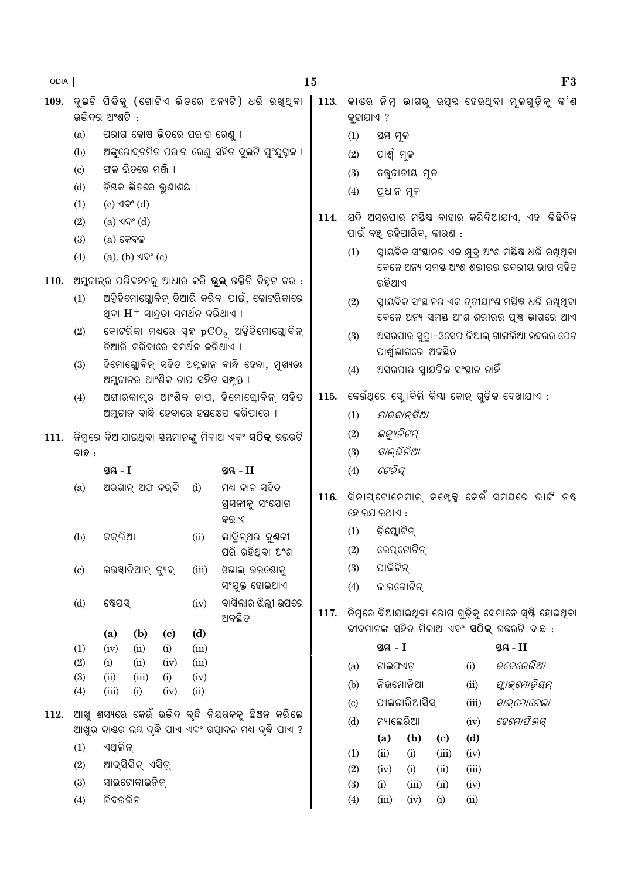| ODIA |                            |                 |                                          |                                    |              | 15                                                                                   |      |                                                                 |                                                                                             |                      |                                      |                               |                                                                                                           | F3 |  |  |  |
|------|----------------------------|-----------------|------------------------------------------|------------------------------------|--------------|--------------------------------------------------------------------------------------|------|-----------------------------------------------------------------|---------------------------------------------------------------------------------------------|----------------------|--------------------------------------|-------------------------------|-----------------------------------------------------------------------------------------------------------|----|--|--|--|
| 109. |                            | ଉଭିଦର ଅଂଶଟି :   |                                          |                                    |              | ଦୁଇଟି ପିଢିକୁ (ଗୋଟିଏ ଭିତରେ ଅନ୍ୟଟି) ଧରି ରଖ୍ଥ୍ବା                                        | 113. | କୁହାଯାଏ ?                                                       |                                                                                             |                      |                                      |                               | କାଶର ନିମ୍ନ ଭାଗରୁ ଉପ୍ନ ହେଉଥ୍ବା ମୂଳଗୁଡ଼ିକୁ କ'ଣ                                                              |    |  |  |  |
|      | (a)                        |                 | ପରାଗ କୋଷ ଭିତରେ ପରାଗ ରେଣୁ ।               |                                    |              |                                                                                      |      | (1)                                                             | ଷ୍ଠୟ ମୂଳ                                                                                    |                      |                                      |                               |                                                                                                           |    |  |  |  |
|      | (b)                        |                 |                                          |                                    |              | ଅଙ୍କୁରୋଦ୍ଗମିତ ପରାଗ ରେଣୁ ସହିତ ଦୁଇଟି ପୁଂଯୁଗ୍ମକ ।                                       |      | (2)                                                             | ପାର୍ଶ୍ୱ ମୂଳ                                                                                 |                      |                                      |                               |                                                                                                           |    |  |  |  |
|      | $\left( \mathrm{c}\right)$ |                 | ଫଳ ଭିତରେ ମଞ୍ଜି ।                         |                                    |              |                                                                                      |      | (3)                                                             |                                                                                             | ତବୁଜାତୀୟ ମୂଳ         |                                      |                               |                                                                                                           |    |  |  |  |
|      | (d)                        |                 | ଡ଼ିୟକ ଭିତରେ ଭୁଣାଶୟ ।                     |                                    |              |                                                                                      |      | (4)                                                             | ପ୍ରଧାନ ମୂଳ                                                                                  |                      |                                      |                               |                                                                                                           |    |  |  |  |
|      | (1)                        | $(c)$ ଏବଂ $(d)$ |                                          |                                    |              |                                                                                      |      |                                                                 |                                                                                             |                      |                                      |                               |                                                                                                           |    |  |  |  |
|      | (2)                        |                 | (a) ଏବଂ (d)                              |                                    |              |                                                                                      | 114. |                                                                 | ଯଦି ଅସରପାର ମୟିଷ ବାହାର କରିଦିଆଯାଏ, ଏହା କିଛିଦିନ                                                |                      |                                      |                               |                                                                                                           |    |  |  |  |
|      | (3)                        | $(a)$ କେବଳ      |                                          |                                    |              |                                                                                      |      |                                                                 | ପାଇଁ ବଞ୍ଚ୍ ରହିପାରିବ, କାରଣ :                                                                 |                      |                                      |                               |                                                                                                           |    |  |  |  |
|      | (4)                        |                 | $(a)$ , $(b)$ $\sqrt{9}$ ° $(c)$         |                                    |              |                                                                                      |      | (1)                                                             | ସ୍ନାୟବିକ ସଂସ୍ଥାନର ଏକ କ୍ଷୁଦ୍ର ଅଂଶ ମୟିଷ ଧରି ରଖିଥିବା<br>ବେଳେ ଅନ୍ୟ ସମୟ ଅଂଶ ଶରୀରର ଉଦରୀୟ ଭାଗ ସହିତ |                      |                                      |                               |                                                                                                           |    |  |  |  |
| 110. |                            |                 |                                          |                                    |              | ଅମ୍ଳକାନ୍ର ପରିବହନକୁ ଆଧାର କରି <b>ଭୁଲ୍</b> ଉକ୍ତିଟି ଚିହ୍ନଟ କର :                          |      |                                                                 | ରହିଥାଏ                                                                                      |                      |                                      |                               |                                                                                                           |    |  |  |  |
|      | (1)                        |                 | ଥିବା $\rm H^+$ ସାନ୍ଦ୍ରତା ସମର୍ଥନ କରିଥାଏ । |                                    |              | ଅକ୍ସିହିମୋଗ୍ଲୋବିନ୍ ତିଆରି କରିବା ପାଇଁ, କୋଟରିକାରେ                                        |      | (2)                                                             |                                                                                             |                      |                                      |                               | ସ୍ୱାୟବିକ ସଂସ୍ଥାନର ଏକ ତୃତୀୟାଂଶ ମୟିଷ ଧରି ରଖିଥିବା<br>ବେଳେ ଅନ୍ୟ ସମୟ ଅଂଶ ଶରୀରର ପୃଷ ଭାଗରେ ଥାଏ                   |    |  |  |  |
|      | (2)                        |                 | ତିଆରି କରିବାରେ ସମର୍ଥନ କରିଥାଏ ।            |                                    |              | କୋଟରିକା ମଧ୍ୟରେ ସ୍ୱଳ୍ପ $\mathrm{pCO}_{2}$ ଅକ୍ସିହିମୋଗ୍ଲୋବିନ୍                           |      | (3)                                                             |                                                                                             | ପାର୍ଶ୍ୱଭାଗରେ ଅବସ୍ଥିତ |                                      |                               | ଅସରପାର ସୁପ୍ରା-ଓସେଫାକିଆଲ୍ ଗାଙ୍ଗଲିଆ ଉଦରର ପେଟ                                                                |    |  |  |  |
|      | (3)                        |                 |                                          |                                    |              | ହିମୋଗ୍ଳୋବିନ୍ ସହିତ ଅମ୍ଳକାନ ବାନ୍ଧି ହେବା, ମୁଖ୍ୟତଃ<br>ଅମ୍ଳକାନର ଆଂଶିକ ଚାପ ସହିତ ସମ୍ପୃକ୍ତ । |      | (4)                                                             |                                                                                             |                      |                                      | ଅସରପାର ସ୍ୱାୟବିକ ସଂସ୍ଥାନ ନାହିଁ |                                                                                                           |    |  |  |  |
|      | (4)                        |                 |                                          |                                    |              | ଅଙ୍ଗାରକାମ୍ଳର ଆଂଶିକ ଚାପ, ହିମୋଗ୍ଲୋବିନ୍ ସହିତ                                            | 115. | କେଉଁଥିରେ ସ୍କୋବିଲି କିୟା କୋନ୍ ଗୁଡ଼ିକ ଦେଖାଯାଏ :                    |                                                                                             |                      |                                      |                               |                                                                                                           |    |  |  |  |
|      |                            |                 |                                          |                                    |              | ଅମ୍ଳକାନ ବାନ୍ଧି ହେବାରେ ହସ୍ତକ୍ଷେପ କରିପାରେ ।                                            |      | (1)                                                             |                                                                                             | ମାରକାନ୍ସିଆ           |                                      |                               |                                                                                                           |    |  |  |  |
|      |                            |                 |                                          |                                    |              | 111.  ନିମ୍ନରେ ଦିଆଯାଇଥିବା ସୟମାନଙ୍କୁ ମିଳାଅ ଏବଂ <b>ସଠିକ୍</b> ଉତ୍ତରଟି                    |      | (2)                                                             | ଇକ୍ୟୁଜିଟମ୍                                                                                  |                      |                                      |                               |                                                                                                           |    |  |  |  |
|      | ବାଛ :                      |                 |                                          |                                    |              |                                                                                      |      | (3)                                                             | ସାଲ୍ଭିନିଆ                                                                                   |                      |                                      |                               |                                                                                                           |    |  |  |  |
|      |                            | ସ୍ତୟ - I        |                                          |                                    |              | ସ୍ତୟ - II                                                                            |      | (4)                                                             | ଟେରିସ୍                                                                                      |                      |                                      |                               |                                                                                                           |    |  |  |  |
|      | (a)                        |                 | ଅରଗାନ୍ ଅଫ କର୍ଟି                          |                                    | (i)          | ମଧ୍ୟ କାନ ସହିତ<br>ଗ୍ରସନୀକୁ ସଂଯୋଗ<br>କର।ଏ                                              | 116. | ିସିନାପ୍ଟୋନେମାଲ୍ କମ୍ପ୍କେକ୍ କେଉଁ ସମୟରେ ଭାଙ୍ଗି ନଷ୍ଟ<br>ହୋଇଯାଇଥାଏ : |                                                                                             |                      |                                      |                               |                                                                                                           |    |  |  |  |
|      | (b)                        | କକ୍ଲିଆ          |                                          |                                    | (ii)         | ଲାବ୍ରିନ୍ଥର କୁଣ୍ଠଳୀ                                                                   |      | (1)                                                             | ଡ଼ିପ୍ଲୋଟିନ୍                                                                                 |                      |                                      |                               |                                                                                                           |    |  |  |  |
|      |                            |                 |                                          |                                    |              | ପରି ରହିଥିବା ଅଂଶ                                                                      |      | (2)                                                             |                                                                                             | ଲେପ୍ଟୋଟିନ୍           |                                      |                               |                                                                                                           |    |  |  |  |
|      | (c)                        |                 | ଇଉଷ୍ଟାଚିଆନ୍ ଟ୍ୟୁବ୍                       |                                    | (iii)        | ଓଭାଲ୍ ଉଇଷୋକୁ                                                                         |      | (3)                                                             | ପାକିଟିନ୍                                                                                    |                      |                                      |                               |                                                                                                           |    |  |  |  |
|      |                            |                 |                                          |                                    |              | ସଂଯୁକ୍ତ ହୋଇଥାଏ                                                                       |      | (4)                                                             | ଜାଇଗୋଟିନ୍                                                                                   |                      |                                      |                               |                                                                                                           |    |  |  |  |
|      | (d)                        | ଷ୍ଟେପସ୍         |                                          |                                    | (iv)         | ବାସିଲାର ଝିଲ୍ଲୀ ଉପରେ<br>ଅବସ୍ଥିତ                                                       | 117. |                                                                 |                                                                                             |                      |                                      |                               | ନିମ୍ନରେ ଦିଆଯାଇଥିବା ରୋଗ ଗୁଡ଼ିକୁ ସେମାନେ ସ୍ୟି ହୋଇଥିବା<br>ଜୀବମାନଙ୍କ ସହିତ ମିଳାଅ ଏବଂ <b>ସଠିକ୍</b> ଉତ୍ତରଟି ବାଛ : |    |  |  |  |
|      | (1)                        | (a)<br>(iv)     | (b)<br>(ii)                              | $\left( \mathbf{c} \right)$<br>(i) | (d)<br>(iii) |                                                                                      |      |                                                                 | ସ୍ଥ $-1$                                                                                    |                      |                                      |                               | ସ୍ତୟ $-II$                                                                                                |    |  |  |  |
|      | (2)                        | (i)             | (ii)                                     | (iv)                               | (iii)        |                                                                                      |      | (a)                                                             | ଟାଇଫଏଡ଼                                                                                     |                      |                                      | (i)                           | ଭଚେରେରି <i>ଆ</i>                                                                                          |    |  |  |  |
|      | (3)                        | (ii)            | (iii)                                    | (i)                                | (iv)         |                                                                                      |      | (b)                                                             | ନିଭମୋନିଆ                                                                                    |                      |                                      | (ii)                          | ଫ୍ଲାଇମୋଡ଼ିୟମ୍                                                                                             |    |  |  |  |
|      | (4)                        | (iii)           | (i)                                      | (iv)                               | (ii)         |                                                                                      |      |                                                                 |                                                                                             | ଫାଇଲାରିଆସିସ୍         |                                      | (iii)                         |                                                                                                           |    |  |  |  |
| 112. |                            |                 |                                          |                                    |              | ଆଖୁ ଶସ୍ୟରେ କେଉଁ ଉଭିଦ ବୃଦ୍ଧି ନିୟନ୍ତକକୁ ଛିଅନ କରିଲେ                                     |      | $\left( \mathrm{c} \right)$                                     | ସାଲ୍ମୋନେଲା<br>ହେମୋଫିଲସ୍                                                                     |                      |                                      |                               |                                                                                                           |    |  |  |  |
|      |                            |                 |                                          |                                    |              | ଆଖୁର କାଣ୍ଡର ଲୟ ବୃଦ୍ଧି ପାଏ ଏବଂ ଉତ୍ପାଦନ ମଧ୍ୟ ବୃଦ୍ଧି ପାଏ ?                              |      | (d)                                                             | ମ୍ୟାଲେରିଆ                                                                                   | (b)                  |                                      | (iv)<br>(d)                   |                                                                                                           |    |  |  |  |
|      | (1)                        | ଏଥିଲିନ୍         |                                          |                                    |              |                                                                                      |      | (1)                                                             | (a)<br>(ii)                                                                                 | (i)                  | $\left( \mathbf{c} \right)$<br>(iii) | (iv)                          |                                                                                                           |    |  |  |  |
|      | (2)                        |                 | ଆବ୍ସିସିକ୍ ଏସିଡ଼୍                         |                                    |              |                                                                                      |      | (2)                                                             | (iv)                                                                                        | (i)                  | (ii)                                 | (iii)                         |                                                                                                           |    |  |  |  |
|      | (3)                        |                 | ସାଇଟୋକାଇନିନ୍                             |                                    |              |                                                                                      |      | (3)                                                             | (i)                                                                                         | (iii)                | (ii)                                 | (iv)                          |                                                                                                           |    |  |  |  |
|      | (4)                        | ଜିବରଲିନ         |                                          |                                    |              |                                                                                      |      | (4)                                                             | (iii)                                                                                       | (iv)                 | (i)                                  | (ii)                          |                                                                                                           |    |  |  |  |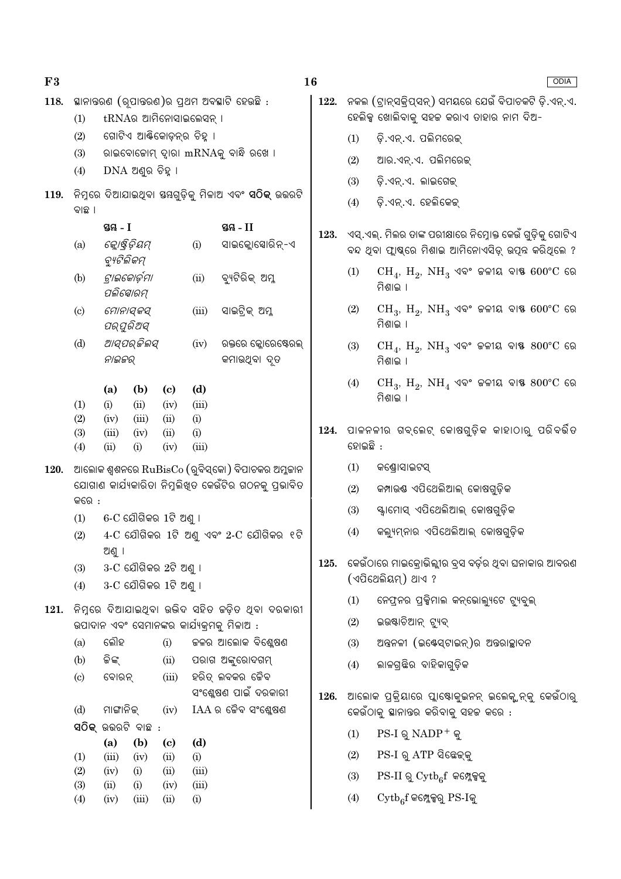| F3   |                                                                                         |               |                                    |              |              |                                                                                                                                 | 16                                   |                                            |                                                                                  |
|------|-----------------------------------------------------------------------------------------|---------------|------------------------------------|--------------|--------------|---------------------------------------------------------------------------------------------------------------------------------|--------------------------------------|--------------------------------------------|----------------------------------------------------------------------------------|
| 118. |                                                                                         |               | tRNAର ଆମିନୋସାଇଲେସନ୍ ।              |              |              | ସ୍ଥାନାନ୍ତରଣ (ରୂପାନ୍ତରଣ)ର ପ୍ରଥମ ଅବସ୍ଥାଟି ହେଉଛି :                                                                                 | 122.                                 |                                            | ନକଲ (ଟ୍ରାନ୍ସକ୍ରିପ୍ସନ୍) ସମୟରେ<br>ହେଲିକ୍ସ ଖୋଲିବାକୁ ସହଜ କରାଏ                        |
|      | (1)<br>(2)                                                                              |               | ଗୋଟିଏ ଆର୍ଣ୍ଣିକୋଡ଼ନ୍ର ଚିହୁ ।        |              |              |                                                                                                                                 |                                      |                                            |                                                                                  |
|      | (3)                                                                                     |               |                                    |              |              | ରାଇବୋଜୋମ୍ ଦ୍ୱାରା mRNAକୁ ବାନ୍ଧି ରଖେ ।                                                                                            |                                      | (1)                                        | ଡ଼ି.ଏନ୍.ଏ. ପଲିମରେକ୍                                                              |
|      | (4)                                                                                     |               | $DNA$ ଅଣୁର ଚିହ୍ନା                  |              |              |                                                                                                                                 |                                      | (2)                                        | ଆର.ଏନ୍.ଏ. ପଲିମରେକ୍                                                               |
|      |                                                                                         |               |                                    |              |              |                                                                                                                                 |                                      | (3)                                        | ଡ଼ି.ଏନ୍.ଏ. ଲାଇଗେକ୍                                                               |
| 119. | ବାଛ ।                                                                                   |               |                                    |              |              |                                                                                                                                 |                                      | (4)                                        | ଡ଼ି.ଏନ୍.ଏ. ହେଲିକେକ୍                                                              |
|      | ସ୍ତୟ - I<br>ସ୍ତୟ - II<br>କ୍ଲୋଷ୍ଟିଡ଼ିୟମ୍<br>(i)<br>ସାଇକ୍ଲୋସୋରିନ୍-ଏ<br>(a)<br>ବ୍ୟୁଟିଲିକମ୍ |               |                                    |              |              | 123.                                                                                                                            |                                      | ଏସ୍.ଏଲ୍. ମିଲର ତାଙ୍କ ପରୀକ୍ଷାରେ <sup>{</sup> |                                                                                  |
|      |                                                                                         |               |                                    |              |              |                                                                                                                                 |                                      |                                            | ବନ୍ଦ ଥିବା ଫ୍ଲାଷ୍କରେ ମିଶାଇ ଆମି                                                    |
|      | (b)                                                                                     |               | ଟାଇକୋର୍ଡ଼ମା<br>ପଲିସୋରମ୍            |              | (ii)         | ବ୍ୟଟିରିକ୍ ଅମ୍ଳ                                                                                                                  |                                      | (1)                                        | $CH_4$ , $H_2$ , $NH_3$ ଏବଂ<br>ମିଶାଇ ।                                           |
|      | (c)                                                                                     |               | ମୋନାସ୍କସ୍<br>ପର୍ପୁରିଅସ୍            |              | (iii)        | ସାଇଟ୍ରିକ୍ ଅମ୍ଳ                                                                                                                  |                                      | (2)                                        | $CH_3$ , $H_2$ , $NH_3$ ଏବଂ<br>ମିଶାଇ ।                                           |
|      | (d)                                                                                     | ନାଇଜର୍        | ଆସ୍ପର୍ଜିଲସ୍                        |              | (iv)         | ରକ୍ତରେ କ୍ଳୋରେଷ୍ଟେରଲ୍<br>କମାଉଥିବା ଦୃତ                                                                                            |                                      | (3)                                        | $CH_4$ , $H_2$ , $NH_3$ ଏବଂ<br>ମିଶାଇ ।                                           |
|      | (d)<br>(a)<br>(b)<br>$\left( \mathrm{c}\right)$<br>(1)<br>(i)<br>(ii)<br>(iii)<br>(iv)  |               |                                    |              | (4)          | $CH_3$ , $H_2$ , $NH_4$ ଏବଂ<br>ମିଶାଇ ।                                                                                          |                                      |                                            |                                                                                  |
|      | (2)                                                                                     | (iv)          | (iii)                              | (ii)         | (i)          |                                                                                                                                 |                                      |                                            |                                                                                  |
|      | (3)<br>(4)                                                                              | (iii)<br>(ii) | (iv)<br>(i)                        | (ii)<br>(iv) | (i)<br>(iii) |                                                                                                                                 | 124.                                 | ହୋଇଛି :                                    | ପାଳନଳୀର ଗବ୍ଲେଟ୍ କୋଷଗୁ                                                            |
|      |                                                                                         |               |                                    |              |              |                                                                                                                                 |                                      |                                            |                                                                                  |
| 120. |                                                                                         |               |                                    |              |              | ଆଲୋକ ଶ୍ୱଶନରେ $\mathrm{RuBisCo}\left(\right.$ ରୁବିସ୍କୋ) ବିପାଚକର ଅମ୍ଳକାନ<br>ଯୋଗାଣ କାର୍ଯ୍ୟକାରିତା ନିମ୍ନଲିଖିତ କେଉଁଟିର ଗଠନକୁ ପ୍ରଭାବିତ |                                      | (1)                                        | କଣ୍ଡୋସାଇଟସ୍                                                                      |
|      | କରେ :                                                                                   |               |                                    |              |              |                                                                                                                                 |                                      | (2)                                        | କମ୍ପାଉଷ ଏପିଥେଲିଆଲ୍                                                               |
|      | (1)                                                                                     |               | $6$ - $C$ ଯୌଗିକର $1$ ଟି ଅଣୁ ।      |              |              |                                                                                                                                 |                                      | (3)                                        | ସ୍କ୍ୱାମୋସ୍ ଏପିଥେଲିଆଲ୍                                                            |
|      | (2)                                                                                     | ଅଣୁ ।         |                                    |              |              | $4-C$ ଯୌଗିକର $1$ ଟି ଅଣୁ ଏବଂ $2-C$ ଯୌଗିକର ୧ଟି                                                                                    |                                      | (4)                                        | କଲ୍ୟୁମ୍ନାର ଏପିଥେଲିଆଳ                                                             |
|      | (3)                                                                                     |               | $3-C$ ଯୌଗିକର $2$ ଟି ଅଣୁ ।          |              |              |                                                                                                                                 | 125.                                 |                                            | କେଉଁଠାରେ ମାଇକ୍ରୋଭିଲ୍ଲୀର ବ୍ରସ ୧                                                   |
|      | (4)                                                                                     |               | $3-C$ ଯୌଗିକର $1$ ଟି ଅଣୁ ।          |              |              |                                                                                                                                 |                                      |                                            | (ଏପିଥେଲିୟମ୍) ଥାଏ ?                                                               |
| 121. |                                                                                         |               |                                    |              |              | ନିମୁରେ ଦିଆଯାଇଥିବା ଉଭିଦ ସହିତ କଡ଼ିତ ଥିବା ଦରକାରୀ                                                                                   |                                      | (1)                                        | ନେଫ୍ରନର ପ୍ରକ୍ସିମାଲ କନ୍                                                           |
|      |                                                                                         |               |                                    |              |              | ଉପାଦାନ ଏବଂ ସେମାନଙ୍କର କାର୍ଯ୍ୟକ୍ରମକୁ ମିଳାଅ :                                                                                      |                                      | (2)                                        | ଇଉଷ୍ଟାଚିଆନ୍ ଟ୍ୟୁବ୍                                                               |
|      | (a)                                                                                     | ଲୌହ           |                                    | (i)          |              | ଚ୍ଚଳର ଆଲୋକ ବିଶ୍ଳେଷଣ                                                                                                             |                                      | (3)                                        | ଅନ୍ତନଳୀ (ଇଷ୍ଟେସ୍ଟାଇନ୍)                                                           |
|      | (b)                                                                                     | କିଙ୍କ୍        |                                    | (ii)         |              | ପରାଗ ଅଙ୍କୁରୋଦଗମ୍                                                                                                                |                                      | (4)                                        | ଲାଳଗ୍ରଛିର ବାହିକାଗୁଡ଼ିକ                                                           |
|      | (c)                                                                                     | ବୋରନ୍         |                                    | (iii)        |              | ହରିତ୍ ଲବକର ଚୈବ                                                                                                                  |                                      |                                            |                                                                                  |
|      | (d)                                                                                     | ମାଙ୍ଗାନିକ୍    |                                    | (iv)         |              | ସଂଶ୍ଳେଷଣ ପାଇଁ ଦରକାରୀ<br>$IAA$ ର ଚୈବ ସଂଶ୍ଳେଷଣ                                                                                    | 126.                                 |                                            | ଆଲୋକ ପ୍ରକ୍ରିୟାରେ ପ୍ଲାଷ୍ଟୋକୁଇନ<br>କେଉଁଠାକୁ ସ୍ଥାନାନ୍ତର କରିବାକୁ ସହ                  |
|      |                                                                                         |               | ସ $\widehat{O}$ କ୍ ଉତ୍ତରଟି ବାଛ $:$ |              |              |                                                                                                                                 |                                      | (1)                                        | $PS-I \$ $Q \text{NADP}^+ \text{Q}$                                              |
|      | (a)<br>(b)<br>(d)<br>(c)                                                                |               |                                    |              |              |                                                                                                                                 |                                      |                                            |                                                                                  |
|      | (1)<br>(2)                                                                              | (iii)<br>(iv) | (iv)<br>(i)                        | (ii)<br>(ii) | (i)<br>(iii) |                                                                                                                                 |                                      | (2)                                        | PS-I ରୁ ATP ସିଛେକ୍କୁ                                                             |
|      | (3)                                                                                     | (ii)          | (i)                                | (iv)         | (iii)        |                                                                                                                                 |                                      | (3)                                        | $PS-II \; \mathbb{Q} \; \text{Cytb}_{6}f \; \; \mathbb{G} \mathbb{G} \mathbb{Q}$ |
|      | (iv)<br>(iii)<br>(ii)<br>(i)<br>(4)                                                     |               |                                    |              |              | (4)                                                                                                                             | $\mathrm{Cytb}_6$ f କମ୍ଳେକ୍ସରୁ PS-Iନ |                                            |                                                                                  |

ଯେଉଁ ବିପାଚକଟି ଡି.ଏନ୍.ଏ. ତାହାର ନାମ ଦିଅ-

- ନିମ୍ନୋକ୍ତ କେଉଁ ଗୁଡ଼ିକୁ ଗୋଟିଏ ୁ<br>ନୋଏସିଡ଼୍ ଉପୂନ କରିଥିଲେ ?
	- ଜଳୀୟ ବାଷ 600°C ରେ
	- କଳୀୟ ବାଷ 600°C ରେ
	- ଜଳୀୟ ବାଷ 800°C ରେ
	- ଜଳୀୟ ବାଷ୍ଟ 800°C ରେ
- ାଡ଼ିକ କାହାଠାରୁ ପରିବର୍ତିତ
	- .<br>କାଷଗୁଡ଼ିକ
	- କୋଷଗୁଡ଼ିକ
	- ଲ୍ କୋଷଗୁଡ଼ିକ
- ବର୍ଡ଼ର ଥିବା ଘନାକାର ଆବର<mark>ଣ</mark>
	- ଭୋଲ୍ୟୁଟେ ଟ୍ୟୁବୁଲ୍
	- )ର ଅନ୍ତରାଚ୍ଛାଦନ
- ନନ୍ ଇଲେକ୍ଟନ୍କୁ କେଉଁଠାରୁ ହଜ କରେ :
	- L.
	- ।<br>ବୁକୁ<br>ଜା
- କୁ  $(4)$  Uyt $\log t$  କମ୍ପେକ୍ସରୁ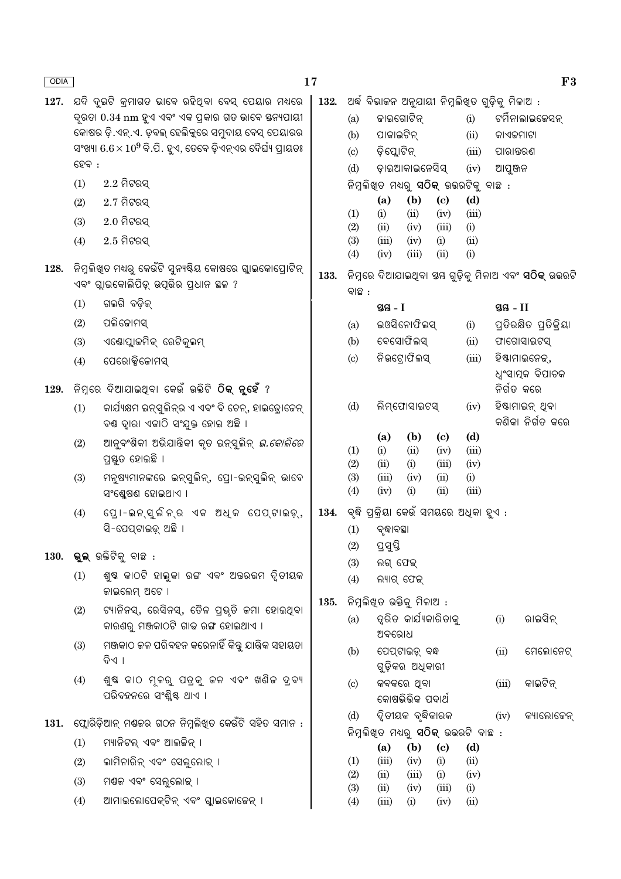| ଅର୍ଦ୍ଧ ବିଭାଚ୍ଚନ ଅନୁଯାୟୀ ନିମ୍ନଲିଖିତ ଗୁଡ଼ିକୁ ମିଳାଅ :<br>ଯଦି ଦୁଇଟି କ୍ରମାଗତ ଭାବେ ରହିଥିବା ବେସ୍ ପେୟାର ମଧ୍ୟରେ<br>132.<br>127.<br>ଦୃରତା 0.34 nm ହୁଏ ଏବଂ ଏକ ପ୍ରକାର ଗତ ଭାବେ ସ୍ତନ୍ୟପାୟୀ<br>ଜାଇଗୋଟିନ୍<br>ଟର୍ମିନାଲାଇଜେସନ୍<br>(i)<br>(a)<br>କୋଷର ଡ଼ି.ଏନ୍.ଏ. ଡ଼ବଲ୍ ହେଲିକୁରେ ସମୁଦାୟ ବେସ୍ ପେୟାରର<br>ପାକାଇଟିନ୍<br>(b)<br>(ii)<br>କାଏକମାଟା<br>ସଂଖ୍ୟା $6.6 \times 10^9$ ବି.ପି. ହୁଏ, ତେବେ ଡ଼ିଏନ୍ଏର ଦୈର୍ଘ୍ୟ ପ୍ରାୟତଃ<br>ଡ଼ିସ୍ଲୋଟିନ୍<br>(iii)<br>(c)<br>ପାରାତ୍ତରଣ<br>$$6$ ହବ $\:$ :<br>ଡ଼ାଇଆକାଇନେସିସ୍<br>(d)<br>(iv)<br>ଆପୁଞ୍ଜନ<br>$2.2$ ମିଟରସ୍<br>(1)<br>ନିମ୍ନଲିଖ୍ତ ମଧ୍ୟରୁ ସଠିକ୍ ଉତ୍ତରଟିକୁ ବାଛ <b>ି</b><br>(b)<br>(a)<br>$\left( \mathrm{e}\right)$<br>(d)<br>$2.7$ ମିଟରସ୍<br>(2)<br>(1)<br>(ii)<br>(iv)<br>(iii)<br>(i)<br>$2.0$ ମିଟରସ୍<br>(3)<br>(2)<br>(ii)<br>(iv)<br>(iii)<br>(i)<br>$2.5$ ମିଟରସ୍<br>(4)<br>(3)<br>(iii)<br>(iv)<br>(i)<br>(ii)<br>(iii)<br>(ii)<br>(i)<br>(4)<br>(iv)<br>ିନିମୁଲିଖ୍ଡ ମଧ୍ୟରୁ କେଉଁଟି ସୁନ୍ୟଷ୍ଟିୟ କୋଷରେ ଗ୍ଲାଇକୋପ୍ରୋଟିନ୍<br>128.<br>ନିମ୍ନରେ ଦିଆଯାଇଥିବା ୟୟ ଗୁଡ଼ିକୁ ମିଳାଅ ଏବଂ <b>ସଠିକ୍</b> ଉଭରଟି<br>133.<br>ଏବଂ ଗ୍ଲାଇକୋଲିପିଡ଼୍ ଉପୂଭିର ପ୍ରଧାନ ଛଳ ?<br>ବାଛ :<br>ଗଲଗି ବଡ଼ିକ୍<br>(1)<br>ସ୍ତୟ - I<br>ସ୍ତୟ - II<br>ପଲିକୋମସ୍<br>(2)<br>ଇଓସିନୋଫିଲସ୍<br>ପ୍ରତିରକ୍ଷିତ ପ୍ରତିକ୍ରିୟା<br>(i)<br>(a)<br>ବେସୋଫିଲସ୍<br>ଏଣ୍ଟୋପ୍ଲାଜମିକ୍ ରେଟିକ୍କଳମ୍<br>(ii)<br>ଫାଗୋସାଇଟସ୍<br>(3)<br>(b)<br>ନିଉଟ୍ରୋଫିଲସ୍<br>ହିଷ୍ଟାମାଇନେକ୍,<br>(c)<br>(iii)<br>ପେରୋକ୍ସିଜୋମସ୍<br>(4)<br>ଧ୍ୱଂସାତ୍ପକ ବିପାଚକ<br>ିନିମ୍ନରେ ଦିଆଯାଇଥିବା କେଉଁ ଉକ୍ତିଟି <b>ଠିକ୍ ନୃହେଁ</b> ?<br>ନିର୍ଗତ କରେ<br>129.<br>ଲିମ୍ଫୋସାଇଟସ୍<br>ହିଷ୍ଟାମାଇନ୍ ଥିବା<br>(d)<br>(iv)<br>କାର୍ଯ୍ୟକ୍ଷମ ଇନ୍ସୁଲିନ୍ର ଏ ଏବଂ ବି ଚେନ୍, ହାଇଡ୍ରୋଜେନ୍<br>(1)<br>କଣିକା ନିର୍ଗତ କରେ<br>ବଣ୍ଠ ଦ୍ୱାରା ଏକାଠି ସଂଯୁକ୍ତ ହୋଇ ଅଛି ।<br>(d)<br>(b)<br>(a)<br>$\left( \mathrm{c}\right)$<br>ଆନୁବଂଶିକୀ ଅଭିଯାନ୍ତିକୀ କୃତ ଇନ୍ସୁଲିନ୍ <i>ଇ.କୋଲିରେ</i><br>(2)<br>(1)<br>(i)<br>(ii)<br>(iv)<br>(iii)<br>ପ୍ରସ୍ତୁତ ହୋଇଛି ।<br>(2)<br>(ii)<br>(i)<br>(iii)<br>(iv)<br>(3)<br>(3)<br>ମନୁଷ୍ୟମାନଙ୍କରେ ଇନ୍ସୁଲିନ୍, ପ୍ରୋ-ଇନ୍ସୁଲିନ୍ ଭାବେ<br>(iii)<br>(iv)<br>(ii)<br>(i)<br>(iii)<br>(4)<br>(iv)<br>(i)<br>(ii)<br>ସଂଶ୍ଳେଷଣ ହୋଇଥାଏ ।<br>ବୃଦ୍ଧି ପ୍ରକ୍ରିୟା କେଉଁ ସମୟରେ ଅଧିକା ହୁଏ :<br>ପ୍ରୋ-ଇନ୍ସୁଲିନ୍ର ଏକ ଅଧିକ ପେପ୍ଟାଇଡ଼୍,<br>134.<br>(4)<br>ସି-ପେପ୍ଟାଇଡ଼୍ ଅଛି ।<br>(1)<br>ବୃଦ୍ଧାବସ୍ଥା<br>ପ୍ରସ୍ତି<br>(2)<br><b>ଭୁଲ୍</b> ଉକ୍ତିଟିକୁ ବାଛ :<br>130.<br>(3)<br>ଲଗ୍ ଫେକ୍<br>ଶୁଷ କାଠଟି ହାଲୁକା ରଙ୍ଗ ଏବଂ ଅତ୍ତରଭମ ଦୃିତୀୟକ<br>(1)<br>(4)<br>ଲ୍ୟାଗ୍ ଫେକ୍<br>ଜାଇଲେମ୍ ଅଟେ ।<br>ନିମ୍ନଲିଖ୍ତ ଉକ୍ତିକୁ ମିଳାଅ :<br>135.<br>ଟ୍ୟାନିନସ୍, ରେସିନସ୍, ତୈଳ ପ୍ରଭୃତି ଜମା ହୋଇଥିବା<br>(2)<br>ତ୍ୱରିତ କାର୍ଯ୍ୟକାରିତାକୁ<br>ରାଇସିନ୍<br>(a)<br>(i)<br>କାରଣରୁ ମଞ୍ଜକାଠଟି ଗାଢ ରଙ୍ଗ ହୋଇଥାଏ ।<br>ଅବରୋଧ<br>ମଞ୍ଜକାଠ କଳ ପରିବହନ କରେନାହିଁ କିନ୍ତୁ ଯାନ୍ତ୍ରିକ ସହାୟତା<br>(3)<br>(b)<br>ପେପ୍ଟାଇଡ଼୍ ବନ୍ଧ<br>ମେଲୋନେଟ୍<br>(ii)<br>ଦିଏ ।<br>ଗୁଡ଼ିକର ଅଧିକାରୀ<br>ଶୁଷ କାଠ ମୂଳରୁ ପତ୍ରକୁ ଚଳ ଏବଂ ଖଣିଚ ଦ୍ରବ୍ୟ<br>(4)<br>କବକରେ ଥିବା<br>କାଇଟିନ୍<br>(iii)<br>$\left( \circ \right)$<br>ପରିବହନରେ ସଂଶ୍ଳିଷ୍ଟ ଥାଏ ।<br>କୋଷଭିଭିକ ପଦାର୍ଥ<br>ଦ୍ୱିତୀୟକ ବୃଦ୍ଧିକାରକ<br>(d)<br>କ୍ୟାଲୋଜେନ୍<br>(iv)<br>ଫ୍ଲୋରିଡ଼ିଆନ୍ ମଣ୍ଡକର ଗଠନ ନିମ୍ନଲିଖିତ କେଉଁଟି ସହିତ ସମାନ :<br>131.<br>ନିମ୍ନଲିଖିତ ମଧ୍ୟରୁ <b>ସଠିକ୍</b> ଉଭରଟି ବାଛ :<br>ମ୍ୟାନିଟଲ୍ ଏବଂ ଆଲଚ୍ଚିନ୍ ।<br>(1)<br>(b)<br>$\left( \mathbf{c} \right)$<br>(d)<br>(a)<br>(iii)<br>(iv)<br>(ii)<br>ଲାମିନାରିନ୍ ଏବଂ ସେଲୁଲୋକ୍ ।<br>(1)<br>(i)<br>(2)<br>(2)<br>(ii)<br>(iii)<br>(i)<br>(iv)<br>(3)<br>ମଶ୍ଚଳ ଏବଂ ସେଲୁଲୋକ୍ ।<br>(3)<br>(iii)<br>(ii)<br>(iv)<br>(i)<br>ଆମାଇଲୋପେକ୍ଟିନ୍ ଏବଂ ଗ୍ଲାଇକୋଜେନ୍ ।<br>(4)<br>(4)<br>(iii)<br>(iv)<br>(ii)<br>(i) | ODIA |  | 17 |  |  |  |  |  |  | F3 |  |
|---------------------------------------------------------------------------------------------------------------------------------------------------------------------------------------------------------------------------------------------------------------------------------------------------------------------------------------------------------------------------------------------------------------------------------------------------------------------------------------------------------------------------------------------------------------------------------------------------------------------------------------------------------------------------------------------------------------------------------------------------------------------------------------------------------------------------------------------------------------------------------------------------------------------------------------------------------------------------------------------------------------------------------------------------------------------------------------------------------------------------------------------------------------------------------------------------------------------------------------------------------------------------------------------------------------------------------------------------------------------------------------------------------------------------------------------------------------------------------------------------------------------------------------------------------------------------------------------------------------------------------------------------------------------------------------------------------------------------------------------------------------------------------------------------------------------------------------------------------------------------------------------------------------------------------------------------------------------------------------------------------------------------------------------------------------------------------------------------------------------------------------------------------------------------------------------------------------------------------------------------------------------------------------------------------------------------------------------------------------------------------------------------------------------------------------------------------------------------------------------------------------------------------------------------------------------------------------------------------------------------------------------------------------------------------------------------------------------------------------------------------------------------------------------------------------------------------------------------------------------------------------------------------------------------------------------------------------------------------------------------------------------------------------------------------------------------------------------------------------------------------------------------------------------------------------------------------------------------------------------------------------------------------------------------------------------------------------------------------------------------|------|--|----|--|--|--|--|--|--|----|--|
|                                                                                                                                                                                                                                                                                                                                                                                                                                                                                                                                                                                                                                                                                                                                                                                                                                                                                                                                                                                                                                                                                                                                                                                                                                                                                                                                                                                                                                                                                                                                                                                                                                                                                                                                                                                                                                                                                                                                                                                                                                                                                                                                                                                                                                                                                                                                                                                                                                                                                                                                                                                                                                                                                                                                                                                                                                                                                                                                                                                                                                                                                                                                                                                                                                                                                                                                                                           |      |  |    |  |  |  |  |  |  |    |  |
|                                                                                                                                                                                                                                                                                                                                                                                                                                                                                                                                                                                                                                                                                                                                                                                                                                                                                                                                                                                                                                                                                                                                                                                                                                                                                                                                                                                                                                                                                                                                                                                                                                                                                                                                                                                                                                                                                                                                                                                                                                                                                                                                                                                                                                                                                                                                                                                                                                                                                                                                                                                                                                                                                                                                                                                                                                                                                                                                                                                                                                                                                                                                                                                                                                                                                                                                                                           |      |  |    |  |  |  |  |  |  |    |  |
|                                                                                                                                                                                                                                                                                                                                                                                                                                                                                                                                                                                                                                                                                                                                                                                                                                                                                                                                                                                                                                                                                                                                                                                                                                                                                                                                                                                                                                                                                                                                                                                                                                                                                                                                                                                                                                                                                                                                                                                                                                                                                                                                                                                                                                                                                                                                                                                                                                                                                                                                                                                                                                                                                                                                                                                                                                                                                                                                                                                                                                                                                                                                                                                                                                                                                                                                                                           |      |  |    |  |  |  |  |  |  |    |  |
|                                                                                                                                                                                                                                                                                                                                                                                                                                                                                                                                                                                                                                                                                                                                                                                                                                                                                                                                                                                                                                                                                                                                                                                                                                                                                                                                                                                                                                                                                                                                                                                                                                                                                                                                                                                                                                                                                                                                                                                                                                                                                                                                                                                                                                                                                                                                                                                                                                                                                                                                                                                                                                                                                                                                                                                                                                                                                                                                                                                                                                                                                                                                                                                                                                                                                                                                                                           |      |  |    |  |  |  |  |  |  |    |  |
|                                                                                                                                                                                                                                                                                                                                                                                                                                                                                                                                                                                                                                                                                                                                                                                                                                                                                                                                                                                                                                                                                                                                                                                                                                                                                                                                                                                                                                                                                                                                                                                                                                                                                                                                                                                                                                                                                                                                                                                                                                                                                                                                                                                                                                                                                                                                                                                                                                                                                                                                                                                                                                                                                                                                                                                                                                                                                                                                                                                                                                                                                                                                                                                                                                                                                                                                                                           |      |  |    |  |  |  |  |  |  |    |  |
|                                                                                                                                                                                                                                                                                                                                                                                                                                                                                                                                                                                                                                                                                                                                                                                                                                                                                                                                                                                                                                                                                                                                                                                                                                                                                                                                                                                                                                                                                                                                                                                                                                                                                                                                                                                                                                                                                                                                                                                                                                                                                                                                                                                                                                                                                                                                                                                                                                                                                                                                                                                                                                                                                                                                                                                                                                                                                                                                                                                                                                                                                                                                                                                                                                                                                                                                                                           |      |  |    |  |  |  |  |  |  |    |  |
|                                                                                                                                                                                                                                                                                                                                                                                                                                                                                                                                                                                                                                                                                                                                                                                                                                                                                                                                                                                                                                                                                                                                                                                                                                                                                                                                                                                                                                                                                                                                                                                                                                                                                                                                                                                                                                                                                                                                                                                                                                                                                                                                                                                                                                                                                                                                                                                                                                                                                                                                                                                                                                                                                                                                                                                                                                                                                                                                                                                                                                                                                                                                                                                                                                                                                                                                                                           |      |  |    |  |  |  |  |  |  |    |  |
|                                                                                                                                                                                                                                                                                                                                                                                                                                                                                                                                                                                                                                                                                                                                                                                                                                                                                                                                                                                                                                                                                                                                                                                                                                                                                                                                                                                                                                                                                                                                                                                                                                                                                                                                                                                                                                                                                                                                                                                                                                                                                                                                                                                                                                                                                                                                                                                                                                                                                                                                                                                                                                                                                                                                                                                                                                                                                                                                                                                                                                                                                                                                                                                                                                                                                                                                                                           |      |  |    |  |  |  |  |  |  |    |  |
|                                                                                                                                                                                                                                                                                                                                                                                                                                                                                                                                                                                                                                                                                                                                                                                                                                                                                                                                                                                                                                                                                                                                                                                                                                                                                                                                                                                                                                                                                                                                                                                                                                                                                                                                                                                                                                                                                                                                                                                                                                                                                                                                                                                                                                                                                                                                                                                                                                                                                                                                                                                                                                                                                                                                                                                                                                                                                                                                                                                                                                                                                                                                                                                                                                                                                                                                                                           |      |  |    |  |  |  |  |  |  |    |  |
|                                                                                                                                                                                                                                                                                                                                                                                                                                                                                                                                                                                                                                                                                                                                                                                                                                                                                                                                                                                                                                                                                                                                                                                                                                                                                                                                                                                                                                                                                                                                                                                                                                                                                                                                                                                                                                                                                                                                                                                                                                                                                                                                                                                                                                                                                                                                                                                                                                                                                                                                                                                                                                                                                                                                                                                                                                                                                                                                                                                                                                                                                                                                                                                                                                                                                                                                                                           |      |  |    |  |  |  |  |  |  |    |  |
|                                                                                                                                                                                                                                                                                                                                                                                                                                                                                                                                                                                                                                                                                                                                                                                                                                                                                                                                                                                                                                                                                                                                                                                                                                                                                                                                                                                                                                                                                                                                                                                                                                                                                                                                                                                                                                                                                                                                                                                                                                                                                                                                                                                                                                                                                                                                                                                                                                                                                                                                                                                                                                                                                                                                                                                                                                                                                                                                                                                                                                                                                                                                                                                                                                                                                                                                                                           |      |  |    |  |  |  |  |  |  |    |  |
|                                                                                                                                                                                                                                                                                                                                                                                                                                                                                                                                                                                                                                                                                                                                                                                                                                                                                                                                                                                                                                                                                                                                                                                                                                                                                                                                                                                                                                                                                                                                                                                                                                                                                                                                                                                                                                                                                                                                                                                                                                                                                                                                                                                                                                                                                                                                                                                                                                                                                                                                                                                                                                                                                                                                                                                                                                                                                                                                                                                                                                                                                                                                                                                                                                                                                                                                                                           |      |  |    |  |  |  |  |  |  |    |  |
|                                                                                                                                                                                                                                                                                                                                                                                                                                                                                                                                                                                                                                                                                                                                                                                                                                                                                                                                                                                                                                                                                                                                                                                                                                                                                                                                                                                                                                                                                                                                                                                                                                                                                                                                                                                                                                                                                                                                                                                                                                                                                                                                                                                                                                                                                                                                                                                                                                                                                                                                                                                                                                                                                                                                                                                                                                                                                                                                                                                                                                                                                                                                                                                                                                                                                                                                                                           |      |  |    |  |  |  |  |  |  |    |  |
|                                                                                                                                                                                                                                                                                                                                                                                                                                                                                                                                                                                                                                                                                                                                                                                                                                                                                                                                                                                                                                                                                                                                                                                                                                                                                                                                                                                                                                                                                                                                                                                                                                                                                                                                                                                                                                                                                                                                                                                                                                                                                                                                                                                                                                                                                                                                                                                                                                                                                                                                                                                                                                                                                                                                                                                                                                                                                                                                                                                                                                                                                                                                                                                                                                                                                                                                                                           |      |  |    |  |  |  |  |  |  |    |  |
|                                                                                                                                                                                                                                                                                                                                                                                                                                                                                                                                                                                                                                                                                                                                                                                                                                                                                                                                                                                                                                                                                                                                                                                                                                                                                                                                                                                                                                                                                                                                                                                                                                                                                                                                                                                                                                                                                                                                                                                                                                                                                                                                                                                                                                                                                                                                                                                                                                                                                                                                                                                                                                                                                                                                                                                                                                                                                                                                                                                                                                                                                                                                                                                                                                                                                                                                                                           |      |  |    |  |  |  |  |  |  |    |  |
|                                                                                                                                                                                                                                                                                                                                                                                                                                                                                                                                                                                                                                                                                                                                                                                                                                                                                                                                                                                                                                                                                                                                                                                                                                                                                                                                                                                                                                                                                                                                                                                                                                                                                                                                                                                                                                                                                                                                                                                                                                                                                                                                                                                                                                                                                                                                                                                                                                                                                                                                                                                                                                                                                                                                                                                                                                                                                                                                                                                                                                                                                                                                                                                                                                                                                                                                                                           |      |  |    |  |  |  |  |  |  |    |  |
|                                                                                                                                                                                                                                                                                                                                                                                                                                                                                                                                                                                                                                                                                                                                                                                                                                                                                                                                                                                                                                                                                                                                                                                                                                                                                                                                                                                                                                                                                                                                                                                                                                                                                                                                                                                                                                                                                                                                                                                                                                                                                                                                                                                                                                                                                                                                                                                                                                                                                                                                                                                                                                                                                                                                                                                                                                                                                                                                                                                                                                                                                                                                                                                                                                                                                                                                                                           |      |  |    |  |  |  |  |  |  |    |  |
|                                                                                                                                                                                                                                                                                                                                                                                                                                                                                                                                                                                                                                                                                                                                                                                                                                                                                                                                                                                                                                                                                                                                                                                                                                                                                                                                                                                                                                                                                                                                                                                                                                                                                                                                                                                                                                                                                                                                                                                                                                                                                                                                                                                                                                                                                                                                                                                                                                                                                                                                                                                                                                                                                                                                                                                                                                                                                                                                                                                                                                                                                                                                                                                                                                                                                                                                                                           |      |  |    |  |  |  |  |  |  |    |  |
|                                                                                                                                                                                                                                                                                                                                                                                                                                                                                                                                                                                                                                                                                                                                                                                                                                                                                                                                                                                                                                                                                                                                                                                                                                                                                                                                                                                                                                                                                                                                                                                                                                                                                                                                                                                                                                                                                                                                                                                                                                                                                                                                                                                                                                                                                                                                                                                                                                                                                                                                                                                                                                                                                                                                                                                                                                                                                                                                                                                                                                                                                                                                                                                                                                                                                                                                                                           |      |  |    |  |  |  |  |  |  |    |  |
|                                                                                                                                                                                                                                                                                                                                                                                                                                                                                                                                                                                                                                                                                                                                                                                                                                                                                                                                                                                                                                                                                                                                                                                                                                                                                                                                                                                                                                                                                                                                                                                                                                                                                                                                                                                                                                                                                                                                                                                                                                                                                                                                                                                                                                                                                                                                                                                                                                                                                                                                                                                                                                                                                                                                                                                                                                                                                                                                                                                                                                                                                                                                                                                                                                                                                                                                                                           |      |  |    |  |  |  |  |  |  |    |  |
|                                                                                                                                                                                                                                                                                                                                                                                                                                                                                                                                                                                                                                                                                                                                                                                                                                                                                                                                                                                                                                                                                                                                                                                                                                                                                                                                                                                                                                                                                                                                                                                                                                                                                                                                                                                                                                                                                                                                                                                                                                                                                                                                                                                                                                                                                                                                                                                                                                                                                                                                                                                                                                                                                                                                                                                                                                                                                                                                                                                                                                                                                                                                                                                                                                                                                                                                                                           |      |  |    |  |  |  |  |  |  |    |  |
|                                                                                                                                                                                                                                                                                                                                                                                                                                                                                                                                                                                                                                                                                                                                                                                                                                                                                                                                                                                                                                                                                                                                                                                                                                                                                                                                                                                                                                                                                                                                                                                                                                                                                                                                                                                                                                                                                                                                                                                                                                                                                                                                                                                                                                                                                                                                                                                                                                                                                                                                                                                                                                                                                                                                                                                                                                                                                                                                                                                                                                                                                                                                                                                                                                                                                                                                                                           |      |  |    |  |  |  |  |  |  |    |  |
|                                                                                                                                                                                                                                                                                                                                                                                                                                                                                                                                                                                                                                                                                                                                                                                                                                                                                                                                                                                                                                                                                                                                                                                                                                                                                                                                                                                                                                                                                                                                                                                                                                                                                                                                                                                                                                                                                                                                                                                                                                                                                                                                                                                                                                                                                                                                                                                                                                                                                                                                                                                                                                                                                                                                                                                                                                                                                                                                                                                                                                                                                                                                                                                                                                                                                                                                                                           |      |  |    |  |  |  |  |  |  |    |  |
|                                                                                                                                                                                                                                                                                                                                                                                                                                                                                                                                                                                                                                                                                                                                                                                                                                                                                                                                                                                                                                                                                                                                                                                                                                                                                                                                                                                                                                                                                                                                                                                                                                                                                                                                                                                                                                                                                                                                                                                                                                                                                                                                                                                                                                                                                                                                                                                                                                                                                                                                                                                                                                                                                                                                                                                                                                                                                                                                                                                                                                                                                                                                                                                                                                                                                                                                                                           |      |  |    |  |  |  |  |  |  |    |  |
|                                                                                                                                                                                                                                                                                                                                                                                                                                                                                                                                                                                                                                                                                                                                                                                                                                                                                                                                                                                                                                                                                                                                                                                                                                                                                                                                                                                                                                                                                                                                                                                                                                                                                                                                                                                                                                                                                                                                                                                                                                                                                                                                                                                                                                                                                                                                                                                                                                                                                                                                                                                                                                                                                                                                                                                                                                                                                                                                                                                                                                                                                                                                                                                                                                                                                                                                                                           |      |  |    |  |  |  |  |  |  |    |  |
|                                                                                                                                                                                                                                                                                                                                                                                                                                                                                                                                                                                                                                                                                                                                                                                                                                                                                                                                                                                                                                                                                                                                                                                                                                                                                                                                                                                                                                                                                                                                                                                                                                                                                                                                                                                                                                                                                                                                                                                                                                                                                                                                                                                                                                                                                                                                                                                                                                                                                                                                                                                                                                                                                                                                                                                                                                                                                                                                                                                                                                                                                                                                                                                                                                                                                                                                                                           |      |  |    |  |  |  |  |  |  |    |  |
|                                                                                                                                                                                                                                                                                                                                                                                                                                                                                                                                                                                                                                                                                                                                                                                                                                                                                                                                                                                                                                                                                                                                                                                                                                                                                                                                                                                                                                                                                                                                                                                                                                                                                                                                                                                                                                                                                                                                                                                                                                                                                                                                                                                                                                                                                                                                                                                                                                                                                                                                                                                                                                                                                                                                                                                                                                                                                                                                                                                                                                                                                                                                                                                                                                                                                                                                                                           |      |  |    |  |  |  |  |  |  |    |  |
|                                                                                                                                                                                                                                                                                                                                                                                                                                                                                                                                                                                                                                                                                                                                                                                                                                                                                                                                                                                                                                                                                                                                                                                                                                                                                                                                                                                                                                                                                                                                                                                                                                                                                                                                                                                                                                                                                                                                                                                                                                                                                                                                                                                                                                                                                                                                                                                                                                                                                                                                                                                                                                                                                                                                                                                                                                                                                                                                                                                                                                                                                                                                                                                                                                                                                                                                                                           |      |  |    |  |  |  |  |  |  |    |  |
|                                                                                                                                                                                                                                                                                                                                                                                                                                                                                                                                                                                                                                                                                                                                                                                                                                                                                                                                                                                                                                                                                                                                                                                                                                                                                                                                                                                                                                                                                                                                                                                                                                                                                                                                                                                                                                                                                                                                                                                                                                                                                                                                                                                                                                                                                                                                                                                                                                                                                                                                                                                                                                                                                                                                                                                                                                                                                                                                                                                                                                                                                                                                                                                                                                                                                                                                                                           |      |  |    |  |  |  |  |  |  |    |  |
|                                                                                                                                                                                                                                                                                                                                                                                                                                                                                                                                                                                                                                                                                                                                                                                                                                                                                                                                                                                                                                                                                                                                                                                                                                                                                                                                                                                                                                                                                                                                                                                                                                                                                                                                                                                                                                                                                                                                                                                                                                                                                                                                                                                                                                                                                                                                                                                                                                                                                                                                                                                                                                                                                                                                                                                                                                                                                                                                                                                                                                                                                                                                                                                                                                                                                                                                                                           |      |  |    |  |  |  |  |  |  |    |  |
|                                                                                                                                                                                                                                                                                                                                                                                                                                                                                                                                                                                                                                                                                                                                                                                                                                                                                                                                                                                                                                                                                                                                                                                                                                                                                                                                                                                                                                                                                                                                                                                                                                                                                                                                                                                                                                                                                                                                                                                                                                                                                                                                                                                                                                                                                                                                                                                                                                                                                                                                                                                                                                                                                                                                                                                                                                                                                                                                                                                                                                                                                                                                                                                                                                                                                                                                                                           |      |  |    |  |  |  |  |  |  |    |  |
|                                                                                                                                                                                                                                                                                                                                                                                                                                                                                                                                                                                                                                                                                                                                                                                                                                                                                                                                                                                                                                                                                                                                                                                                                                                                                                                                                                                                                                                                                                                                                                                                                                                                                                                                                                                                                                                                                                                                                                                                                                                                                                                                                                                                                                                                                                                                                                                                                                                                                                                                                                                                                                                                                                                                                                                                                                                                                                                                                                                                                                                                                                                                                                                                                                                                                                                                                                           |      |  |    |  |  |  |  |  |  |    |  |
|                                                                                                                                                                                                                                                                                                                                                                                                                                                                                                                                                                                                                                                                                                                                                                                                                                                                                                                                                                                                                                                                                                                                                                                                                                                                                                                                                                                                                                                                                                                                                                                                                                                                                                                                                                                                                                                                                                                                                                                                                                                                                                                                                                                                                                                                                                                                                                                                                                                                                                                                                                                                                                                                                                                                                                                                                                                                                                                                                                                                                                                                                                                                                                                                                                                                                                                                                                           |      |  |    |  |  |  |  |  |  |    |  |
|                                                                                                                                                                                                                                                                                                                                                                                                                                                                                                                                                                                                                                                                                                                                                                                                                                                                                                                                                                                                                                                                                                                                                                                                                                                                                                                                                                                                                                                                                                                                                                                                                                                                                                                                                                                                                                                                                                                                                                                                                                                                                                                                                                                                                                                                                                                                                                                                                                                                                                                                                                                                                                                                                                                                                                                                                                                                                                                                                                                                                                                                                                                                                                                                                                                                                                                                                                           |      |  |    |  |  |  |  |  |  |    |  |
|                                                                                                                                                                                                                                                                                                                                                                                                                                                                                                                                                                                                                                                                                                                                                                                                                                                                                                                                                                                                                                                                                                                                                                                                                                                                                                                                                                                                                                                                                                                                                                                                                                                                                                                                                                                                                                                                                                                                                                                                                                                                                                                                                                                                                                                                                                                                                                                                                                                                                                                                                                                                                                                                                                                                                                                                                                                                                                                                                                                                                                                                                                                                                                                                                                                                                                                                                                           |      |  |    |  |  |  |  |  |  |    |  |
|                                                                                                                                                                                                                                                                                                                                                                                                                                                                                                                                                                                                                                                                                                                                                                                                                                                                                                                                                                                                                                                                                                                                                                                                                                                                                                                                                                                                                                                                                                                                                                                                                                                                                                                                                                                                                                                                                                                                                                                                                                                                                                                                                                                                                                                                                                                                                                                                                                                                                                                                                                                                                                                                                                                                                                                                                                                                                                                                                                                                                                                                                                                                                                                                                                                                                                                                                                           |      |  |    |  |  |  |  |  |  |    |  |
|                                                                                                                                                                                                                                                                                                                                                                                                                                                                                                                                                                                                                                                                                                                                                                                                                                                                                                                                                                                                                                                                                                                                                                                                                                                                                                                                                                                                                                                                                                                                                                                                                                                                                                                                                                                                                                                                                                                                                                                                                                                                                                                                                                                                                                                                                                                                                                                                                                                                                                                                                                                                                                                                                                                                                                                                                                                                                                                                                                                                                                                                                                                                                                                                                                                                                                                                                                           |      |  |    |  |  |  |  |  |  |    |  |
|                                                                                                                                                                                                                                                                                                                                                                                                                                                                                                                                                                                                                                                                                                                                                                                                                                                                                                                                                                                                                                                                                                                                                                                                                                                                                                                                                                                                                                                                                                                                                                                                                                                                                                                                                                                                                                                                                                                                                                                                                                                                                                                                                                                                                                                                                                                                                                                                                                                                                                                                                                                                                                                                                                                                                                                                                                                                                                                                                                                                                                                                                                                                                                                                                                                                                                                                                                           |      |  |    |  |  |  |  |  |  |    |  |
|                                                                                                                                                                                                                                                                                                                                                                                                                                                                                                                                                                                                                                                                                                                                                                                                                                                                                                                                                                                                                                                                                                                                                                                                                                                                                                                                                                                                                                                                                                                                                                                                                                                                                                                                                                                                                                                                                                                                                                                                                                                                                                                                                                                                                                                                                                                                                                                                                                                                                                                                                                                                                                                                                                                                                                                                                                                                                                                                                                                                                                                                                                                                                                                                                                                                                                                                                                           |      |  |    |  |  |  |  |  |  |    |  |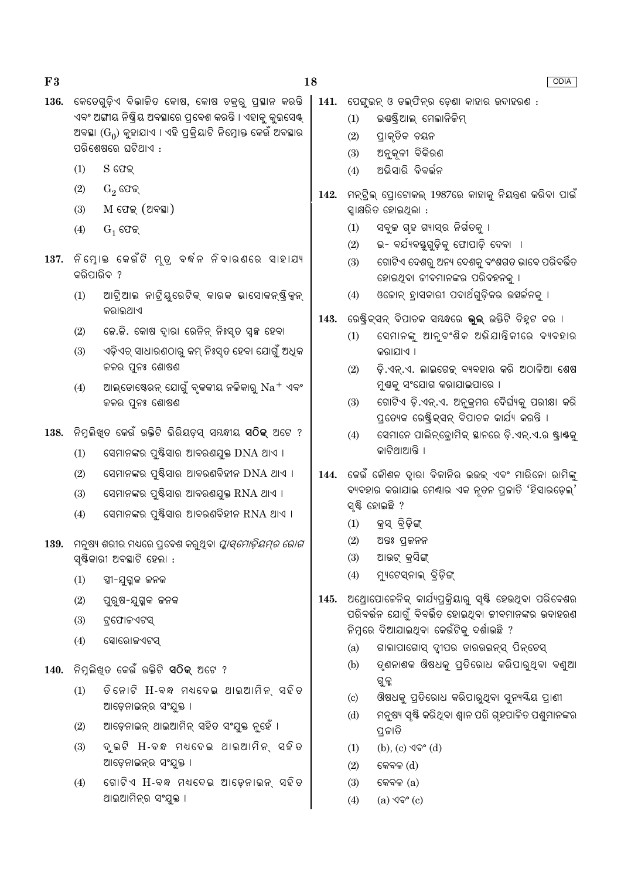$F3$ 

- 136. କେତେଗଡ଼ିଏ ବିଭାଜିତ କୋଷ, କୋଷ ଚକ୍ର ପ୍ଲୟାନ କରନ୍ତି ଏବଂ ଅଙ୍ଗୀୟ ନିଷ୍କିୟ ଅବସ୍ଥାରେ ପ୍ରବେଶ କରନ୍ତି । ଏହାକୁ କୁଇସେଷ୍ଟ୍ ଅବସ୍ଥା (G<sub>o</sub>) କହାଯାଏ । ଏହି ପକିୟାଟି ନିମ୍ରୋକ୍ତ କେଉଁ ଅବସ୍ଥାର ପରିଶେଷରେ ଘଟିଥାଏ :
	- S ଫେକ୍  $(1)$
	- $G_2$  ଫେକ୍  $(2)$
	- $M$  ଫେକ୍ (ଅବସ୍ଥା)  $(3)$
	- $G_1$  ଫେକ୍  $(4)$
- 137. ନିମୋକ କେଉଁଟି ମ୍ତ୍ ବର୍ଦନ ନିବାରଣରେ ସାହାଯ୍ୟ କରିପାରିବ ?
	- ଆଟି ଆଲ ନାଟିୟୁରେଟିକ୍ କାରକ ଭାସୋକନ୍ଷ୍ଟିକୃନ୍  $(1)$ କରାଇଥାଏ
	- ଜେ.ଜି. କୋଷ ଦ୍ୱାରା ରେନିନ୍ ନିଃସ୍ତ ସ୍ୱଳ୍ପ ହେବା  $(2)$
	- ଏଡ଼ିଏଚ୍ ସାଧାରଣଠାରୁ କମ୍ ନିଃସ୍ତ ହେବା ଯୋଗୁଁ ଅଧିକ  $(3)$ ଜଳର ପୁନଃ ଶୋଷଣ
	- ଆଲ୍ଡୋଷ୍ଟେରନ୍ ଯୋଗୁଁ ବୃକକୀୟ ନଳିକାରୁ  $\mathrm{Na^+}$  ଏବଂ  $(4)$ କଳର ପୁନଃ ଶୋଷଣ
- 138. ନିମ୍ନିଖତ କେଉଁ ଉକ୍ତିଟି ଭିରିୟଡ଼ସ୍ ସ୍ୟଦ୍ଧୀୟ **ସଠିକ୍** ଅଟେ ?
	- ସେମାନଙ୍କର ପୁଷ୍ଟିସାର ଆବରଣଯୁକ୍ତ DNA ଥାଏ ।  $(1)$
	- ସେମାନଙ୍କର ପୁଷ୍ଟିସାର ଆବରଣବିହୀନ DNA ଥାଏ ।  $(2)$
	- ସେମାନଙ୍କର ପ୍ରଷ୍ଟିସାର ଆବରଣଯକ୍ତ RNA ଥାଏ ।  $(3)$
	- ସେମାନଙ୍କର ପ୍ରଷ୍ଟିସାର ଆବରଣବିହୀନ RNA ଥାଏ ।  $(4)$
- 139. ମନୁଷ୍ୟ ଶରୀର ମଧ୍ୟରେ ପ୍ରବେଶ କରୁଥିବା *ପ୍ଲାସ୍ମୋଡ଼ିୟମ୍ର ରୋଗ* ସ୍ଷିକାରୀ ଅବସ୍ଥାଟି ହେଲା :
	- $(1)$ ସ୍ତ୍ରୀ-ଯୁଗ୍ମକ ଜନକ
	- $(2)$ ପୁରୁଷ-ଯୁଗୁକ ଜନକ
	- $(3)$ ଟ୍ରଫୋଜଏଟସ୍
	- $(4)$ ସୋରୋଜଏଟସ୍
- $140.$  ନିମ୍ଲିଖତ କେଉଁ ଉକ୍ତିଟି **ସଠିକ** ଅଟେ ?
	- ତିନୋଟି H-ବନ୍ଧ ମଧ୍ୟଦେଇ ଥାଇଆମିନ୍ ସହିତ  $(1)$ ଆଡ଼େନାଇନ୍ର ସଂଯୁକ୍ତ ।
	- ଆଡ଼େନାଇନ୍ ଥାଇଆମିନ୍ ସହିତ ସଂଯୁକ୍ତ ନୃହେଁ ।  $(2)$
	- ଦୃଇଟି H-ବନ୍ଧ ମଧଦେଇ ଥାଇଆମିନ୍ ସହିତ  $(3)$ ଆଡ଼େନାଇନ୍ର ସଂଯୁକ୍ତ ।
	- $(4)$ ଗୋଟିଏ H-ବନ୍ଧ ମଧ୍ୟଦେଇ ଆଡେନାଇନ୍ ସହିତ ଥାଇଆମିନ୍ର ସଂଯୁକ୍ତ ।
- $141.$  ପେଙ୍ଗଇନ୍ ଓ ଡଲ୍ଫିନ୍ର ଡେଣା କାହାର ଉଦାହରଣ :
	- ଇଷ୍ୟିଆଲ୍ ମେଲାନିକିମ୍  $(1)$
	- ପ୍ରାକୃତିକ ଚୟନ  $(2)$
	- ଅନୁକ୍ଳୀ ବିକିରଣ  $(3)$
	- ଅଭିସାରି ବିବର୍ତ୍ତନ  $(4)$
- 142. ମନ୍ଟିଲ୍ ପୋଟୋକଲ୍ 1987ରେ କାହାକୁ ନିୟନ୍ତ୍ରଣ କରିବା ପାଇଁ ସ୍ୱାକ୍ଷରିତ ହୋଇଥିଲା :
	- ସବ୍କ ଗହ ଗ୍ୟାସ୍ର ନିର୍ଗତକ୍ ।  $(1)$
	- ଇ- ବର୍ଯ୍ୟବୟଗଡ଼ିକ୍ ଫୋପାଡ଼ି ଦେବା ।  $(2)$
	- $(3)$ ଗୋଟିଏ ଦେଶରୁ ଅନ୍ୟ ଦେଶକୁ ବଂଶଗତ ଭାବେ ପରିବର୍ତ୍ତିତ ହୋଇଥିବା ଜୀବମାନଙ୍କର ପରିବହନକୁ ।
	- ଓକୋନ୍ ହାସକାରୀ ପଦାର୍ଥଗୁଡ଼ିକର ଉହର୍କନକ୍ ।  $(4)$
- ରେଷ୍ଟିକ୍ସନ୍ ବିପାଚକ ସୟନ୍ଧରେ **ଭୁଲ୍** ଉକ୍ତିଟି ଚିହୁଟ କର । 143.
	- ସେମାନଙ୍କୁ ଆନୃବଂଶିକ ଅଭିଯାନ୍ତିକୀରେ ବ୍ୟବହାର  $(1)$ କରାଯାଏ ।
	- ଡ଼ି.ଏନ୍.ଏ. ଲାଇଗେକ୍ ବ୍ୟବହାର କରି ଅଠାଳିଆ ଶେଷ  $(2)$ ମୁଣ୍ଠକୁ ସଂଯୋଗ କରାଯାଇପାରେ ।
	- ଗୋଟିଏ ଡ଼ି.ଏନ୍.ଏ. ଅନୁକ୍ମର ଦୈର୍ଘ୍ୟକ୍ର ପରୀକ୍ଷା କରି  $(3)$ ପ୍ରତ୍ୟେକ ରେଷ୍ଟିକସନ ବିପାଚକ କାର୍ଯ୍ୟ କରନ୍ତି ।
	- $(4)$ ସେମାନେ ପାଲିନ୍ଡୋମିକ୍ ସାନରେ ଡି.ଏନ୍.ଏ.ର ଷ୍ୱାଷ୍ଟକ୍ କାଟିଥାଆନ୍ତି ।
- 144. କେଉଁ କୌଶଳ ଦାରା ବିକାନିର ଇଉକ ଏବଂ ମାରିନୋ ରାମିଙ୍କ ବ୍ୟବହାର କରାଯାଇ ମେଶ୍ୟାର ଏକ ନ୍ତନ ପ୍ରକାତି 'ହିସାରଡ଼େଲ୍' ସ୍ଷ୍ଟି ହୋଇଛି ?
	- କ୍ସ ବିଡ଼ିଙ୍ଗ  $(1)$
	- ଅନ୍ତଃ ପ୍ରକନନ  $(2)$
	- ଆଉଟ୍ କ୍ସିଙ୍ଗ୍  $(3)$
	- $(4)$ ମ୍ୟୁଟେସ୍ନାଲ୍ ବ୍ରିଡ଼ିଙ୍ଗ୍
- 145. ଅଥ୍ରୋପୋଜେନିକ୍ କାର୍ଯ୍ୟପ୍ରକ୍ରିୟାରୁ ସ୍ୟି ହେଉଥିବା ପରିବେଶର ପରିବର୍ତ୍ତନ ଯୋଗଁ ବିବର୍ତ୍ତିତ ହୋଇଥିବା ଜୀବମାନଙ୍କର ଉଦାହରଣ ନିମ୍ନରେ ଦିଆଯାଇଥିବା କେଉଁଟିକୁ ଦର୍ଶାଉଛି ?
	- ଗାଲାପାଗୋସ୍ ଦୀପର ଡାରଉଇନ୍ସ ପିନ୍ଚେସ୍  $(a)$
	- ତ୍ଣନାଶକ ଔଷଧକୁ ପ୍ତିରୋଧ କରିପାରୁଥିବା ବଣ୍ରଆ  $(b)$ ଗୁଳ୍ଲ
	- ଔଷଧକୁ ପ୍ତିରୋଧ କରିପାରୁଥିବା ସୁନ୍ୟୟିୟ ପ୍ରାଣୀ  $(c)$
	- ମନ୍ଷ୍ୟ ସଷ୍ଟି କରିଥବା ଶାନ ପରି ଗହପାଳିତ ପଶ୍ଚମାନଙ୍କର  $(d)$ ପଚ୍ଚାତି
	- $(1)$  $(b)$ ,  $(c)$   $\sqrt{9}$ ° $(d)$
	- $(2)$ କେବଳ $(d)$
	- $(3)$ କେବଳ (a)
	- $(4)$ (a) ଏବଂ (c)

**ODIA**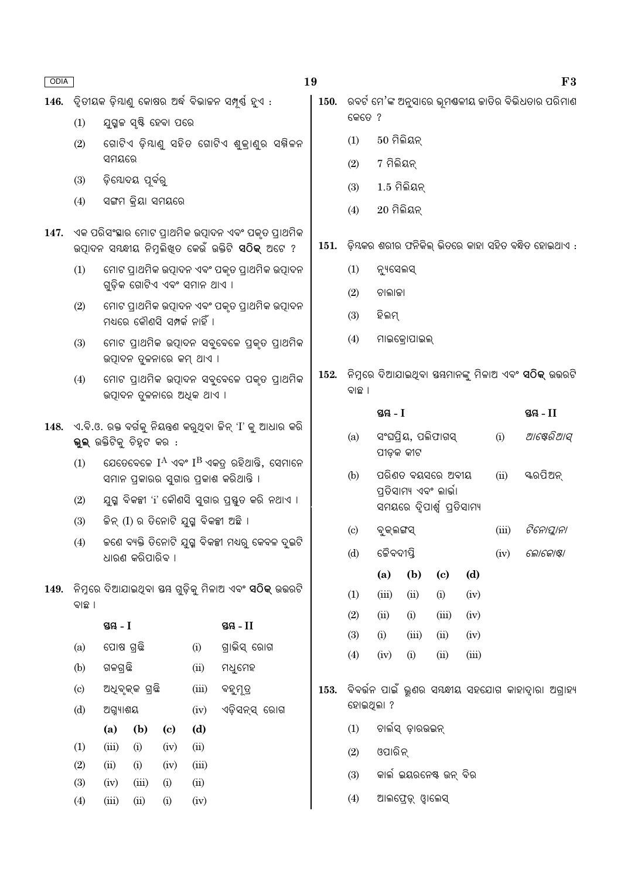|      |                                                                                                                                                                                               |                                                  |                        |               |                              | 146.  ଦ୍ୱିତୀୟକ ଡ଼ିୟାଣୁ କୋଷର ଅର୍ଦ୍ଧ ବିଭାଜନ ସମ୍ପୂର୍ଣ୍ଣ ହୁଏ :                                                         | 150.   ରବର୍ଟ ମେ'ଙ୍କ ଅନୁସାରେ ଭୂମଶ୍ଚଳୀୟ ଜାତିର ବିଭିଧତାର ପରିମାଣ |                            |                    |                              |                                                             |       |       |             |            |  |  |  |
|------|-----------------------------------------------------------------------------------------------------------------------------------------------------------------------------------------------|--------------------------------------------------|------------------------|---------------|------------------------------|--------------------------------------------------------------------------------------------------------------------|-------------------------------------------------------------|----------------------------|--------------------|------------------------------|-------------------------------------------------------------|-------|-------|-------------|------------|--|--|--|
|      | (1)                                                                                                                                                                                           |                                                  | ଯୁଗ୍ମଳ ସୃଷ୍ଟି ହେବା ପରେ |               |                              |                                                                                                                    |                                                             | କେତେ ?                     |                    |                              |                                                             |       |       |             |            |  |  |  |
|      | (2)                                                                                                                                                                                           |                                                  |                        |               |                              | ଗୋଟିଏ ଡ଼ିୟାଣୁ ସହିତ ଗୋଟିଏ ଶୁକ୍ରାଣୁର ସକ୍ନିଳନ                                                                         |                                                             | (1)                        | $50$ ମିଲିୟନ୍       |                              |                                                             |       |       |             |            |  |  |  |
|      |                                                                                                                                                                                               | ସମୟରେ                                            |                        |               |                              |                                                                                                                    |                                                             | (2)                        | 7 ମିଲିୟନ୍          |                              |                                                             |       |       |             |            |  |  |  |
|      | (3)                                                                                                                                                                                           |                                                  | ଡ଼ିଯୋଦୟ ପୂର୍ବରୁ        |               |                              |                                                                                                                    |                                                             | (3)                        | $1.5$ ମିଲିୟନ୍      |                              |                                                             |       |       |             |            |  |  |  |
|      | (4)                                                                                                                                                                                           |                                                  | ସଙ୍ଗମ କ୍ରିୟା ସମୟରେ     |               |                              |                                                                                                                    |                                                             | (4)                        | $20$ ମିଲିୟନ୍       |                              |                                                             |       |       |             |            |  |  |  |
| 147. |                                                                                                                                                                                               |                                                  |                        |               |                              | ଏକ ପରିସଂସ୍ଥାର ମୋଟ ପ୍ରାଥମିକ ଉତ୍ପାଦନ ଏବଂ ପକୃତ ପ୍ରାଥମିକ<br>ଉତ୍ପାଦନ ସୟଦ୍ଧୀୟ ନିମ୍ନଲିଖିତ କେଉଁ ଉକ୍ତିଟି <b>ସଠିକ୍</b> ଅଟେ ? | 151.                                                        |                            |                    |                              | ଡ଼ିଯକର ଶରୀର ଫନିକିଲ୍ ଭିତରେ କାହା ସହିତ ବନ୍ଧିତ ହୋଇଥାଏ :         |       |       |             |            |  |  |  |
|      | (1)                                                                                                                                                                                           |                                                  |                        |               |                              | ମୋଟ ପ୍ରାଥମିକ ଉତ୍ପାଦନ ଏବଂ ପକୃତ ପ୍ରାଥମିକ ଉତ୍ପାଦନ                                                                     |                                                             | (1)                        | ନ୍ୟୁସେଲସ୍          |                              |                                                             |       |       |             |            |  |  |  |
|      |                                                                                                                                                                                               |                                                  |                        |               | ଗୁଡ଼ିକ ଗୋଟିଏ ଏବଂ ସମାନ ଥାଏ ।  |                                                                                                                    |                                                             | (2)                        | ଚାଲାକା             |                              |                                                             |       |       |             |            |  |  |  |
|      | (2)                                                                                                                                                                                           |                                                  |                        |               | ମଧ୍ୟରେ କୌଣସି ସମ୍ପର୍କ ନାହିଁ । | ମୋଟ ପ୍ରାଥମିକ ଉତ୍ପାଦନ ଏବଂ ପକୃତ ପ୍ରାଥମିକ ଉତ୍ପାଦନ                                                                     |                                                             | (3)                        | ହିଲମ୍              |                              |                                                             |       |       |             |            |  |  |  |
|      | (3)                                                                                                                                                                                           |                                                  |                        |               | ଉତ୍ପାଦନ ଦୁଳନାରେ କମ୍ ଥାଏ ।    | ମୋଟ ପ୍ରାଥମିକ ଉତ୍ପାଦନ ସବୁବେଳେ ପ୍ରକୃତ ପ୍ରାଥମିକ                                                                       |                                                             | (4)                        |                    | ମାଇକ୍ରୋପାଇଲ୍                 |                                                             |       |       |             |            |  |  |  |
|      | (4)                                                                                                                                                                                           |                                                  |                        |               | ଉତ୍ପାଦନ ତୁଳନାରେ ଅଧିକ ଥାଏ ।   | ମୋଟ ପ୍ରାଥମିକ ଉତ୍ପାଦନ ସବୁବେଳେ ପକୃତ ପ୍ରାଥମିକ                                                                         | 152.                                                        | ବାଛ ।                      |                    |                              | ନିମ୍ନରେ ଦିଆଯାଇଥିବା ସୟମାନଙ୍କୁ ମିଳାଅ ଏବଂ <b>ସଠିକ୍</b> ଉତ୍ତରଟି |       |       |             |            |  |  |  |
|      |                                                                                                                                                                                               |                                                  |                        |               |                              |                                                                                                                    |                                                             |                            | ସ୍ତୟ $-I$          |                              |                                                             |       |       | ସ୍ତୟ - $II$ |            |  |  |  |
| 148. | ୍ଏ.ବି.ଓ. ରକ୍ତ ବର୍ଗକୁ ନିୟନ୍ତ୍ରଣ କରୁଥିବା ଜିନ୍ 'I' କୁ ଆଧାର କରି<br>ଭୁଲ୍ ଉକ୍ତିଟିକୁ ଚିହ୍ନଟ କର :<br>ଯେତେବେଳେ $I^A$ ଏବଂ $I^B$ ଏକତ୍ର ରହିଥାନ୍ତି, ସେମାନେ<br>(1)<br>ସମାନ ପ୍ରକାରର ସୁଗାର ପ୍ରକାଶ କରିଥାନ୍ତି । |                                                  |                        |               |                              |                                                                                                                    |                                                             | (a)                        | ପୀଡ଼କ କୀଟ          |                              | ସଂଘପ୍ରିୟ, ପଲିଫାଗସ୍                                          |       | (i)   |             | ଆଷେରିଆସ୍   |  |  |  |
|      |                                                                                                                                                                                               |                                                  |                        |               |                              |                                                                                                                    |                                                             | (b)                        |                    |                              | ପରିଣତ ବୟସରେ ଅବୀୟ<br>ପ୍ରତିସାମ୍ୟ ଏବଂ ଲାର୍ଭା                   |       | (ii)  | ୟରପିଅନ୍     |            |  |  |  |
|      | (2)                                                                                                                                                                                           |                                                  |                        |               |                              | ଯୁଗ୍ମ ବିକଳ୍ପୀ 'i' କୌଣସି ସୁଗାର ପ୍ରସ୍ତୁତ କରି ନଥାଏ ।                                                                  |                                                             |                            |                    | ସମୟରେ ଦ୍ୱିପାର୍ଶ୍ୱ ପ୍ରତିସାମ୍ୟ |                                                             |       |       |             |            |  |  |  |
|      | (3)                                                                                                                                                                                           |                                                  |                        |               |                              | କିନ୍ (I) ର ତିନୋଟି ଯୁଗ୍ମ ବିକଳ୍ପୀ ଅଛି ।                                                                              |                                                             | $\left( \mathrm{c}\right)$ | ବୁକ୍ଲଙ୍ଗସ୍         |                              |                                                             |       | (iii) |             | ଟିନୋପ୍ଲାନା |  |  |  |
|      | (4)                                                                                                                                                                                           |                                                  |                        |               |                              | କଣେ ବ୍ୟକ୍ତି ତିନୋଟି ଯୁଗ୍ମ ବିକଳ୍ପୀ ମଧ୍ୟରୁ କେବଳ ଦୁଇଟି                                                                 |                                                             | (d)                        | ଜୈବଦୀପ୍ତି          |                              |                                                             |       | (iv)  | ଲୋକୋଷ୍ଟା    |            |  |  |  |
|      |                                                                                                                                                                                               |                                                  | ଧାରଣ କରିପାରିବ ।        |               |                              |                                                                                                                    |                                                             |                            | (a)                | (b)                          | $\left( \mathbf{c} \right)$                                 | (d)   |       |             |            |  |  |  |
| 149. |                                                                                                                                                                                               |                                                  |                        |               |                              | ନିମ୍ନରେ ଦିଆଯାଇଥିବା ୟୟ ଗୁଡ଼ିକୁ ମିଳାଅ ଏବଂ <b>ସଠିକ୍</b> ଉତ୍ତରଟି                                                       |                                                             | (1)                        | (iii)              | (ii)                         | (i)                                                         | (iv)  |       |             |            |  |  |  |
|      | ବାଛ ।                                                                                                                                                                                         |                                                  |                        |               |                              |                                                                                                                    |                                                             | (2)                        | (ii)               | (i)                          | (iii)                                                       | (iv)  |       |             |            |  |  |  |
|      |                                                                                                                                                                                               | ସ୍ତୟ $-I$                                        |                        |               |                              | ସ୍ତୟ $-II$                                                                                                         |                                                             | (3)                        | (i)                | (iii)                        | (ii)                                                        | (iv)  |       |             |            |  |  |  |
|      | (a)                                                                                                                                                                                           | ପୋଷ ଗ୍ରଛି                                        |                        |               | (i)                          | ଗ୍ରାଭିସ୍ ରୋଗ                                                                                                       |                                                             | (4)                        | (iv)               | (i)                          | (ii)                                                        | (iii) |       |             |            |  |  |  |
|      | (b)                                                                                                                                                                                           | ଗଳଗ୍ରଛି                                          |                        |               | (ii)                         | ମଧୁମେହ                                                                                                             |                                                             |                            |                    |                              |                                                             |       |       |             |            |  |  |  |
|      | $\left( \mathrm{c}\right)$                                                                                                                                                                    |                                                  | ଅଧିବୃକ୍କ ଗ୍ରଛି         |               | (iii)                        | ବହୁମୂତ୍ର                                                                                                           | 153.                                                        |                            |                    |                              | ିବବର୍ତ୍ତନ ପାଇଁ ଭୁଣର ସୟନ୍ଧୀୟ ସହଯୋଗ କାହାଦ୍ୱାରା ଅଗ୍ରାହ୍ୟ       |       |       |             |            |  |  |  |
|      | (d)                                                                                                                                                                                           | ଅଗ୍ୟାଶୟ<br>(iv)                                  |                        | ଏଡ଼ିସନ୍ସ୍ ରୋଗ |                              | ହୋଇଥିଲା ?                                                                                                          |                                                             |                            |                    |                              |                                                             |       |       |             |            |  |  |  |
|      |                                                                                                                                                                                               | (b)<br>(d)<br>(a)<br>$\left( \mathbf{c} \right)$ |                        |               | (1)                          |                                                                                                                    | ଚାର୍ଲସ୍ ଡ଼ାରଉଇନ୍                                            |                            |                    |                              |                                                             |       |       |             |            |  |  |  |
|      | (1)<br>(iii)<br>(ii)<br>(i)<br>(iv)<br>(2)<br>(ii)<br>(i)<br>(iv)<br>(iii)                                                                                                                    |                                                  |                        |               |                              | (2)                                                                                                                | ଓପାରିନ୍                                                     |                            |                    |                              |                                                             |       |       |             |            |  |  |  |
|      | (3)<br>(iv)<br>(iii)<br>(i)<br>(ii)                                                                                                                                                           |                                                  |                        |               |                              | (3)                                                                                                                | କାର୍ଲ ଇୟରନେଷ୍ଟ ଉନ୍ ବିର                                      |                            |                    |                              |                                                             |       |       |             |            |  |  |  |
|      | (4)<br>(iii)<br>(ii)<br>(i)<br>(iv)                                                                                                                                                           |                                                  |                        |               |                              |                                                                                                                    |                                                             | (4)                        | ଆଲଫ୍ରେଡ଼୍ ଓ୍ୱାଲେସ୍ |                              |                                                             |       |       |             |            |  |  |  |

19

ODIA

 $F3$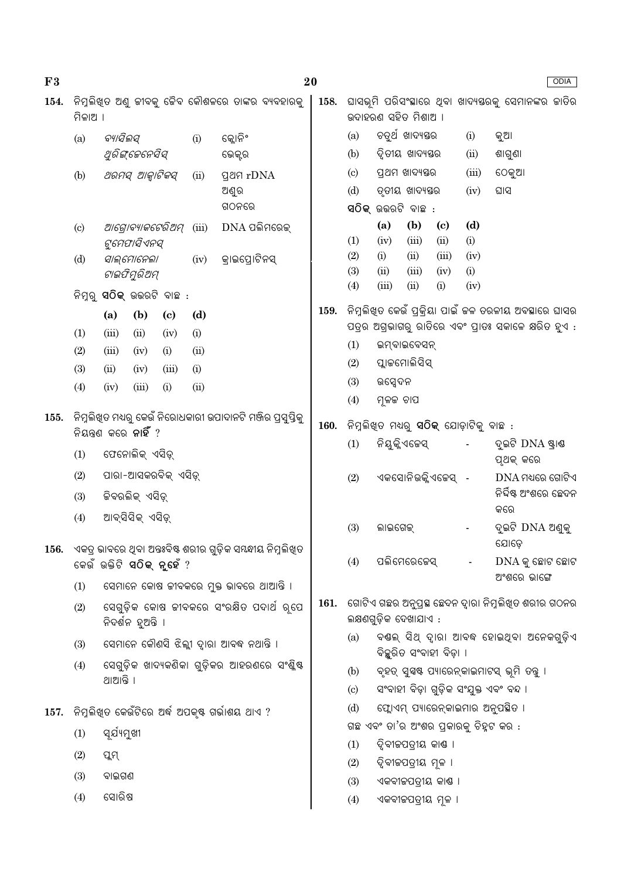| F3   |                                                                                             |                                    |                                              |                            |       |                                                           | 20                  |                                                                              |                                                                       |                    |                             |             |                                  | <b>ODIA</b> |
|------|---------------------------------------------------------------------------------------------|------------------------------------|----------------------------------------------|----------------------------|-------|-----------------------------------------------------------|---------------------|------------------------------------------------------------------------------|-----------------------------------------------------------------------|--------------------|-----------------------------|-------------|----------------------------------|-------------|
| 154. | ମିଳାଅ ।                                                                                     |                                    |                                              |                            |       | ନିମ୍ନଲିଖିତ ଅଣୁ ଜୀବକୁ ଜୈବ କୌଶଳରେ ତାଙ୍କର ବ୍ୟବହାରକୁ          | 158.                | ଘାସଭୂମି ପରିସଂସ୍ଥାରେ ଥିବା ଖାଦ୍ୟସ୍ତରକୁ ସେମାନଙ୍କର ଜାତିର<br>ଉଦାହରଣ ସହିତ ମିଶାଅ ।  |                                                                       |                    |                             |             |                                  |             |
|      | ବ୍ୟାସିଲସ୍<br>(a)                                                                            |                                    |                                              |                            |       | କ୍ଲୋନିଂ<br>ଭେକ୍ଟର                                         |                     | (a)                                                                          |                                                                       | ଚତୁର୍ଥ ଖାଦ୍ୟୟର     |                             | (i)         | କୁଆ                              |             |
|      |                                                                                             | ଥୁରିଙ୍ଗେନେସିସ୍                     |                                              |                            |       |                                                           |                     | (b)                                                                          | ଦ୍ୱିତୀୟ ଖାଦ୍ୟସ୍ତର                                                     |                    | (ii)                        | ଶାଗୁଣା      |                                  |             |
|      | ଥରମସ୍ ଆଜ୍ୱାଟିକସ୍<br>(b)                                                                     |                                    |                                              |                            | (ii)  | <b>gan</b> rDNA                                           |                     | (c)                                                                          | ପ୍ରଥମ ଖାଦ୍ୟସ୍ତର<br>ତୃତୀୟ ଖାଦ୍ୟସ୍ତର                                    |                    | (iii)                       | ଠେକୁଆ       |                                  |             |
|      |                                                                                             |                                    |                                              |                            |       | ଅଣୁର                                                      |                     | (d)                                                                          |                                                                       |                    | (iv)                        | ଘାସ         |                                  |             |
|      |                                                                                             |                                    |                                              |                            | ଗଠନରେ |                                                           |                     |                                                                              | ସଠିକ୍ ଉଭରଟି ବାଛ :                                                     |                    |                             |             |                                  |             |
|      | ଆଗ୍ରୋବ୍ୟାକଟେରିଅମ୍<br>(c)<br>ଟୁମେଫାସିଏନସ୍<br>ସାଲ୍ମୋନେଲା<br>(d)<br>ଟାଇଫିମୁରିଅମ୍               |                                    |                                              |                            | (iii) | DNA ପଲିମରେକ୍                                              |                     |                                                                              | (a)                                                                   | (b)                | $\left( \mathbf{c} \right)$ | (d)         |                                  |             |
|      |                                                                                             |                                    |                                              |                            |       |                                                           |                     | (1)<br>(2)                                                                   | (iv)<br>(i)                                                           | (iii)<br>(ii)      | (ii)<br>(iii)               | (i)<br>(iv) |                                  |             |
|      |                                                                                             |                                    |                                              |                            |       | କ୍ରାଇପ୍ରୋଟିନସ୍<br>(iv)                                    |                     | (3)                                                                          | (ii)                                                                  | (iii)              | (iv)                        | (i)         |                                  |             |
|      |                                                                                             | ନିମ୍ବର୍ <b>ସଠିକ୍</b> ଉତ୍ତରଟି ବାଛ : |                                              |                            |       |                                                           |                     | (4)                                                                          | (iii)                                                                 | (ii)               | (i)                         | (iv)        |                                  |             |
|      |                                                                                             | (a)                                | (b)                                          | $\left( \mathrm{c}\right)$ | (d)   |                                                           | 159.                | ନିମ୍ନଲିଖିତ କେଉଁ ପ୍ରକ୍ରିୟା ପାଇଁ କଳ ତରଳୀୟ ଅବସ୍ଥାରେ ଘାସର                        |                                                                       |                    |                             |             |                                  |             |
|      | (1)                                                                                         | (iii)                              | (ii)                                         | (iv)                       | (i)   |                                                           |                     |                                                                              | ପତ୍ରର ଅଗ୍ରଭାଗରୁ ରାତିରେ ଏବଂ ପ୍ରାତଃ ସକାଳେ କ୍ଷରିତ ହୁଏ :                  |                    |                             |             |                                  |             |
|      | (2)                                                                                         | (iii)                              | (iv)                                         | (i)                        | (ii)  |                                                           |                     |                                                                              | (1)<br>ଇମ୍ବାଇବେସନ୍                                                    |                    |                             |             |                                  |             |
|      | (3)                                                                                         | (ii)                               | (iv)                                         | (iii)                      | (i)   |                                                           |                     | (2)                                                                          |                                                                       | ପ୍ଲାକମୋଲିସିସ୍      |                             |             |                                  |             |
|      | (4)                                                                                         | (iv)                               | (iii)                                        | (i)                        | (ii)  |                                                           |                     | (3)                                                                          | ଉପ୍ସେଦନ                                                               |                    |                             |             |                                  |             |
| 155. |                                                                                             |                                    |                                              |                            |       |                                                           |                     | (4)                                                                          | ମୂଳଜ ଚାପ                                                              |                    |                             |             |                                  |             |
|      | ିନିମ୍ନଲିଖିତ ମଧ୍ୟରୁ କେଉଁ ନିରୋଧକାରୀ ଉପାଦାନଟି ମଞ୍ଜିର ପ୍ରସୁସ୍ତିକୁ<br>ନିୟନ୍ତଣ କରେ <b>ନାହିଁ</b> ? |                                    |                                              |                            |       |                                                           |                     | ନିମ୍ନଲିଖିତ ମଧ୍ୟରୁ <b>ସଠିକ୍</b> ଯୋଡ଼ାଟିକୁ ବାଛ :                               |                                                                       |                    |                             |             |                                  |             |
|      | (1)                                                                                         |                                    | ଫେନୋଲିକ୍ ଏସିଡ଼୍                              |                            |       |                                                           |                     | (1)                                                                          |                                                                       | ନିୟୁକ୍ଳିଏଜେସ୍      |                             |             | ଦୁଇଟି DNA ଷ୍ଟାଣ୍ଡ<br>ପୃଥକ୍ କରେ   |             |
|      | (2)                                                                                         |                                    | ପାରା-ଆସକରବିକ୍ ଏସିଡ଼୍                         |                            |       |                                                           |                     | (2)                                                                          |                                                                       | ଏକସୋନିଉକ୍ଳିଏଜେସ୍ - |                             |             | $DNA$ ମଧ୍ୟରେ ଗୋଟିଏ               |             |
|      | (3)                                                                                         | ଜିବରଲିକ୍ ଏସିଡ଼୍<br>ଆବ୍ସିସିକ୍ ଏସିଡ୍ |                                              |                            |       |                                                           |                     |                                                                              |                                                                       |                    |                             |             | ନିର୍ଦ୍ଦିଷ୍ଟ ଅଂଶରେ ଛେଦନ<br>କରେ    |             |
|      | (4)                                                                                         |                                    |                                              |                            |       |                                                           |                     | (3)                                                                          | ଲାଇଗେକ୍                                                               |                    |                             |             | ଦୁଇଟି DNA ଅଣ୍ଡକୁ<br>ଯୋଡେ         |             |
| 156. |                                                                                             |                                    | କେଉଁ ଉକ୍ତିଟି <b>ସଠିକ୍ ନୁହେଁ</b> ?            |                            |       | ଏକତ୍ର ଭାବରେ ଥିବା ଅନ୍ତଃବିଷ୍ଟ ଶରୀର ଗୁଡ଼ିକ ସୟନ୍ଧୀୟ ନିମୁଲିଖିତ |                     | (4)                                                                          |                                                                       | ପଲିମେରେଜେସ୍        |                             |             | $DNA$ କୁ ଛୋଟ ଛୋଟ<br>ଅଂଶରେ ଭାଙ୍ଗେ |             |
|      | (1)                                                                                         |                                    |                                              |                            |       | ସେମାନେ କୋଷ ଜୀବକରେ ମୁକ୍ତ ଭାବରେ ଥାଆନ୍ତି ।                   |                     |                                                                              |                                                                       |                    |                             |             |                                  |             |
|      | (2)                                                                                         |                                    | ନିଦର୍ଶନ ହୁଅନ୍ତି ।                            |                            |       | ସେଗୁଡ଼ିକ କୋଷ ଜୀବକରେ ସଂରକ୍ଷିତ ପଦାର୍ଥ ରୂପେ                  | 161.                | ଗୋଟିଏ ଗଛର ଅନୁପ୍ରସ୍ଥ ଛେଦନ ଦ୍ୱାରା ନିମୁଲିଖିତ ଶରୀର ଗଠନର<br>ଲକ୍ଷଣଗୁଡ଼ିକ ଦେଖାଯାଏ : |                                                                       |                    |                             |             |                                  |             |
|      | (3)                                                                                         |                                    |                                              |                            |       | ସେମାନେ କୌଣସି ଝିଲ୍ଲୀ ଦ୍ୱାରା ଆବଦ୍ଧ ନଥାନ୍ତି ।                |                     | (a)                                                                          | ବୟଲ୍ ସିଥ୍ ଦ୍ୱାରା ଆବଦ୍ଧ ହୋଇଥିବା ଅନେକଗୁଡ଼ିଏ<br>ବିଚ୍ଛୁରିତ ସଂବାହୀ ବିଡ଼ା । |                    |                             |             |                                  |             |
|      | (4)                                                                                         |                                    | ସେଗୁଡ଼ିକ ଖାଦ୍ୟକଣିକା ଗୁଡ଼ିକର ଆହରଣରେ ସଂଶ୍ଳିଷ୍ଟ |                            |       |                                                           | (b)                 | ବୃହତ୍ ସୁସ୍ୱଷ୍ଟ ପ୍ୟାରେନ୍କାଇମାଟସ୍ ଭୂମି ତନ୍ତୁ ।                                 |                                                                       |                    |                             |             |                                  |             |
|      |                                                                                             | ଥାଆନ୍ତି ।                          |                                              |                            |       |                                                           |                     | $\left( \mathrm{c}\right)$                                                   | ସଂବାହୀ ବିଡ଼ା ଗୁଡ଼ିକ ସଂଯୁକ୍ତ ଏବଂ ବନ୍ଦ ।                                |                    |                             |             |                                  |             |
| 157. |                                                                                             |                                    |                                              |                            |       | ନିମ୍ନଲିଖ୍ଡ କେଉଁଟିରେ ଅର୍ଦ୍ଧ ଅପକୃଷ୍ଟ ଗର୍ଭାଶୟ ଥାଏ ?          |                     | (d)                                                                          | ଫ୍ଲୋଏମ୍ ପ୍ୟାରେନ୍କାଇମାର ଅନୁପସ୍ଥିତ ।                                    |                    |                             |             |                                  |             |
|      | ସୂର୍ଯ୍ୟମୁଖୀ<br>(1)                                                                          |                                    |                                              |                            |       |                                                           |                     |                                                                              | ଗଛ ଏବଂ ତା'ର ଅଂଶର ପ୍ରକାରକୁ ଚିହୁଟ କର :                                  |                    |                             |             |                                  |             |
|      | (2)                                                                                         | ପ୍ଲମ୍                              |                                              |                            |       |                                                           |                     | (1)                                                                          | ଦ୍ୱିବୀଜପତ୍ରୀୟ କାଣ୍ଠ ।                                                 |                    |                             |             |                                  |             |
|      |                                                                                             |                                    |                                              |                            |       | (2)                                                       | ଦ୍ୱିବୀଜପତ୍ରୀୟ ମୂଳ । |                                                                              |                                                                       |                    |                             |             |                                  |             |
|      | (3)                                                                                         | ବାଇଗଣ                              |                                              |                            |       |                                                           |                     | (3)                                                                          | ଏକବୀଜପତ୍ରୀୟ କାଣ୍ଠ ।                                                   |                    |                             |             |                                  |             |
|      | (4)                                                                                         | ସୋରିଷ                              |                                              |                            |       |                                                           |                     | (4)                                                                          |                                                                       | ଏକବୀଜପତ୍ରୀୟ ମୂଳ ।  |                             |             |                                  |             |
|      |                                                                                             |                                    |                                              |                            |       |                                                           |                     |                                                                              |                                                                       |                    |                             |             |                                  |             |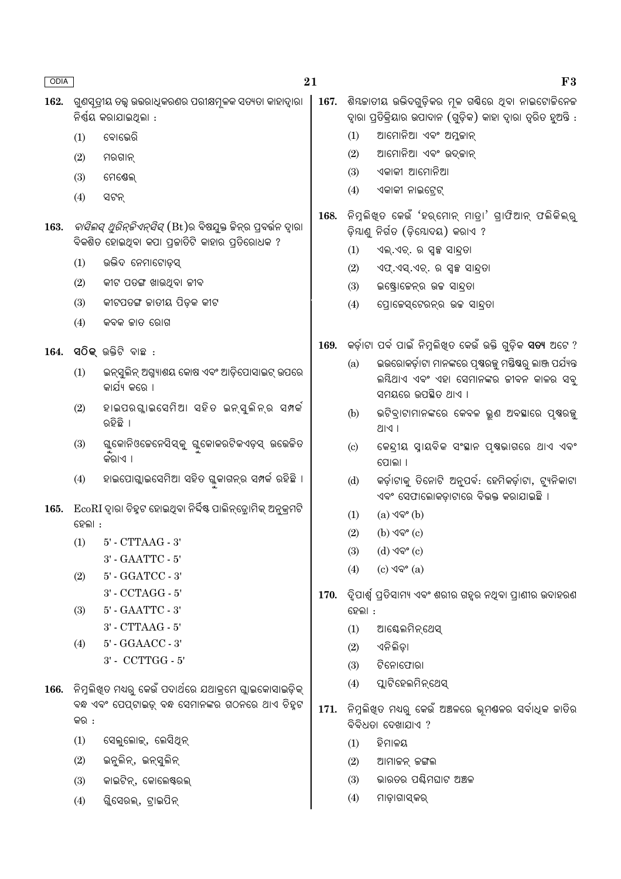| ODIA |                                                                                      | 21                                                                                                                    |      |                                                                                                                               | F3                                                                                                                                                                  |  |  |
|------|--------------------------------------------------------------------------------------|-----------------------------------------------------------------------------------------------------------------------|------|-------------------------------------------------------------------------------------------------------------------------------|---------------------------------------------------------------------------------------------------------------------------------------------------------------------|--|--|
| 162. | ଗୁଣସୂତ୍ରୀୟ ତତ୍ତ୍ୱ ଉତ୍ତରାଧିକରଣର ପରୀକ୍ଷମୂଳକ ସତ୍ୟତା କାହାଦ୍ୱାରା<br>ନିର୍ଣ୍ଣୟ କରାଯାଇଥିଲା : |                                                                                                                       |      | ଶିୟଜାତୀୟ ଉଭିଦଗୁଡ଼ିକର ମୂଳ ଗର୍ଣିରେ ଥିବା ନାଇଟୋଜିନେଜ<br>ଦ୍ୱାରା ପ୍ରତିକ୍ରିୟାର ଉପାଦାନ (ଗୁଡ଼ିକ) କାହା ଦ୍ୱାରା ତ୍ୱରିତ ହୁଅନ୍ତି :          |                                                                                                                                                                     |  |  |
|      | (1)                                                                                  | ବୋଭେରି                                                                                                                |      | ଆମୋନିଆ ଏବଂ ଅମ୍ଳକାନ୍<br>(1)                                                                                                    |                                                                                                                                                                     |  |  |
|      | (2)                                                                                  | ମରଗାନ୍                                                                                                                |      | (2)                                                                                                                           | ଆମୋନିଆ ଏବଂ ଉଦ୍କାନ୍                                                                                                                                                  |  |  |
|      | (3)                                                                                  | ମେଷେଲ୍                                                                                                                |      | (3)                                                                                                                           | ଏକାକୀ ଆମୋନିଆ                                                                                                                                                        |  |  |
|      | (4)                                                                                  | ସଟନ୍                                                                                                                  |      | (4)                                                                                                                           | ଏକାକୀ ନାଇଟ୍ରେଟ୍                                                                                                                                                     |  |  |
| 163. |                                                                                      | <i>ବାସିଲସ୍ ଥୁରିନ୍ଚିଏନ୍ସିସ୍</i> (Bt)ର ବିଷଯୁକ୍ତ କିନ୍ର ପ୍ରବର୍ଭନ ଦ୍ୱାରା<br>ବିକଶିତ ହୋଇଥିବା କପା ପ୍ରକାତିଟି କାହାର ପ୍ରତିରୋଧକ ? | 168. | ିନିମୁଲିଖିତ କେଉଁ 'ହର୍ମୋନ୍ ମାତ୍ରା' ଗ୍ରାଫିଆନ୍ ଫଲିକିଲ୍ରୁ<br>ଡ଼ିୟାଣୁ ନିର୍ଗତ (ଡ଼ିଯୋଦୟ) କରାଏ ?<br>(1)<br>ଏଲ୍.ଏଚ୍. ର ସ୍ୱଳ୍ପ ସାନ୍ଦ୍ରତା |                                                                                                                                                                     |  |  |
|      | (1)                                                                                  | ଉଭିଦ ନେମାଟୋଡ଼ସ୍                                                                                                       |      | (2)                                                                                                                           | ଏଫ୍.ଏସ୍.ଏଚ୍. ର ସ୍ୱଳ୍ପ ସାନ୍ଦ୍ରତା                                                                                                                                     |  |  |
|      | (2)                                                                                  | କୀଟ ପତଙ୍ଗ ଖାଉଥିବା ଜୀବ                                                                                                 |      | (3)                                                                                                                           | ଇଷ୍ଟ୍ରୋଜେନ୍ର ଉଚ୍ଚ ସାନ୍ଦ୍ରତା                                                                                                                                         |  |  |
|      | (3)                                                                                  | କୀଟପତଙ୍ଗ ଜାତୀୟ ପିଡ଼କ କୀଟ                                                                                              |      | (4)                                                                                                                           | ପ୍ରୋଜେସ୍ଟେରନ୍ର ଉଚ୍ଚ ସାନ୍ଦ୍ରତା                                                                                                                                       |  |  |
|      | (4)                                                                                  | କବକ ଜାତ ରୋଗ                                                                                                           |      |                                                                                                                               |                                                                                                                                                                     |  |  |
| 164. | (1)                                                                                  | <b>ସଠିକ୍</b> ଉକ୍ତିଟି ବାଛ :<br>ଇନ୍ସୁଲିନ୍ ଅଗ୍ନ୍ୟାଶୟ କୋଷ ଏବଂ ଆଡ଼ିପୋସାଇଟ୍ ଉପରେ                                            | 169. | (a)                                                                                                                           | କର୍ଡ଼ାଟା ପର୍ବ ପାଇଁ ନିମ୍ନଲିଖିତ କେଉଁ ଉକ୍ତି ଗୁଡ଼ିକ <b>ସତ୍ୟ</b> ଅଟେ ?<br>ଇଉରୋକର୍ଡ଼ାଟା ମାନଙ୍କରେ ପୃଷରଜ୍ଯ ମୟିଷରୁ ଲାଞ୍ଜ ପର୍ଯ୍ୟନ୍ତ<br>ଲୟିଥାଏ ଏବଂ ଏହା ସେମାନଙ୍କର ଜୀବନ କାଳର ସବୁ |  |  |
|      |                                                                                      | କାର୍ଯ୍ୟ କରେ ।                                                                                                         |      |                                                                                                                               | ସମୟରେ ଉପଛିତ ଥାଏ ।                                                                                                                                                   |  |  |
|      | (2)                                                                                  | ହାଇପରଗାଇସେମିଆ ସହିତ ଇନ୍ସୁଲିନ୍ର ସମ୍ପର୍କ<br>ରହିଛି ।                                                                      |      | (b)                                                                                                                           | ଭଟିବ୍ରାଟାମାନଙ୍କରେ କେବଳ ଭୁଣ ଅବସ୍ଥାରେ ପୃଷରଜୁ<br> P  S                                                                                                                 |  |  |
|      | (3)                                                                                  | ଗ୍ଳକୋନିଓଚେନେସିସ୍କୁ ଗ୍ଳକୋକରଟିକଏଡ଼ସ୍ ଉଭେଜିତ<br>କର।ଏ ।                                                                   |      | $\left( \circ \right)$                                                                                                        | କେନ୍ଦ୍ରୀୟ ସ୍ନାୟବିକ ସଂସ୍ଥାନ ପୃଷଭାଗରେ ଥାଏ ଏବଂ<br>ପୋଲା ।                                                                                                               |  |  |
|      | (4)                                                                                  | ହାଇପୋଗ୍ଲାଇସେମିଆ ସହିତ ଗ୍ଳକାଗନ୍ର ସମ୍ପର୍କ ରହିଛି ।                                                                        |      | (d)                                                                                                                           | କର୍ଡ଼ାଟାକୁ ତିନୋଟି ଅନୁପର୍ବ: ହେମିକର୍ଡ଼ାଟା, ଟ୍ୟୁନିକାଟା<br>ଏବଂ ସେଫାଲୋକଡ଼ାଟାରେ ବିଭକ୍ତ କରାଯାଇଛି ।                                                                         |  |  |
| 165. | ହେଲା :                                                                               | ି EcoRI ଦ୍ୱାରା ଚିହ୍ନଟ ହୋଇଥିବା ନିର୍ଦ୍ଦିଷ୍ଟ ପାଲିନ୍ତ୍ରୋମିକ୍ ଅନୁକ୍ରମଟି                                                    |      | (1)                                                                                                                           | $(a)$ $\triangleleft$ $\mathbb{Q}^{\circ}$ $(b)$                                                                                                                    |  |  |
|      | (1)                                                                                  | 5' - CTTAAG - 3'                                                                                                      | 170. | (2)                                                                                                                           | $(b)$ ଏବଂ $(c)$                                                                                                                                                     |  |  |
|      |                                                                                      | $3'$ - $\text{GAATTC}$ - $5'$                                                                                         |      | (3)                                                                                                                           | $(d)$ ଏବଂ $(c)$                                                                                                                                                     |  |  |
|      | (2)                                                                                  | $5'$ - $\operatorname{GGATCC}$ - $3'$                                                                                 |      | (4)                                                                                                                           | $(c)$ ଏବଂ $(a)$                                                                                                                                                     |  |  |
|      |                                                                                      | 3' - CCTAGG - 5'                                                                                                      |      | ଦ୍ୱିପାର୍ଶ୍ୱ ପ୍ରତିସାମ୍ୟ ଏବଂ ଶରୀର ଗହୃର ନଥିବା ପ୍ରାଣୀର ଉଦାହରଣ                                                                     |                                                                                                                                                                     |  |  |
|      | (3)                                                                                  | $5'$ - $\text{GAATTC}$ - $3'$                                                                                         |      | ହେଲା :                                                                                                                        |                                                                                                                                                                     |  |  |
|      |                                                                                      | $3^{\circ}$ - CTTAAG - $5^{\circ}$                                                                                    |      | (1)                                                                                                                           | ଆଛ୍କେଲମିନ୍ଥେସ୍                                                                                                                                                      |  |  |
|      | (4)                                                                                  | 5' - GGAACC - 3'                                                                                                      |      | (2)                                                                                                                           | ଏନିଲିଡ଼ା                                                                                                                                                            |  |  |
|      |                                                                                      | 3' - CCTTGG - 5'                                                                                                      |      | (3)                                                                                                                           | ଟିନୋଫୋରା                                                                                                                                                            |  |  |
| 166. |                                                                                      | ନିମ୍ନଲିଖ୍ତ ମଧ୍ୟରୁ କେଉଁ ପଦାର୍ଥରେ ଯଥାକ୍ରମେ ଗ୍ଲାଇକୋସାଇଡ଼ିକ୍<br>ବନ୍ଧ ଏବଂ ପେପ୍ଟାଇଡ଼୍ ବନ୍ଧ ସେମାନଙ୍କର ଗଠନରେ ଥାଏ ଚିହ୍ନଟ       | 171. | (4)                                                                                                                           | ପ୍ଲାଟିହେଲମିନ୍ଥେସ୍                                                                                                                                                   |  |  |
|      | କର :                                                                                 |                                                                                                                       |      | ନିମ୍ନଲିଖ୍ତ ମଧ୍ୟରୁ କେଉଁ ଅଞ୍ଚଳରେ ଭୂମଶ୍ଚଳର ସର୍ବାଧିକ ଜାତିର<br>ବିବିଧତା ଦେଖାଯାଏ ?                                                   |                                                                                                                                                                     |  |  |
|      | (1)                                                                                  | ସେଲୁଲୋକ୍, ଲେସିଥିନ୍                                                                                                    |      | (1)                                                                                                                           | ହିମାଳୟ                                                                                                                                                              |  |  |
|      | (2)                                                                                  | ଇନୁଲିନ୍, ଇନ୍ସୁଲିନ୍                                                                                                    |      | (2)                                                                                                                           | ଆମାଚ୍ଚନ୍ ଚଙ୍ଗଲ                                                                                                                                                      |  |  |
|      | (3)                                                                                  | କାଇଟିନ୍, କୋଲେଷ୍ଟରଲ୍                                                                                                   |      | (3)                                                                                                                           | ଭାରତର ପଶ୍ଚିମଘାଟ ଅଞ୍ଚଳ                                                                                                                                               |  |  |
|      | (4)                                                                                  | ଗୁିସେରଲ୍, ଟ୍ରାଇପିନ୍                                                                                                   |      | (4)                                                                                                                           | ମାଡ଼ାଗାସ୍କର୍                                                                                                                                                        |  |  |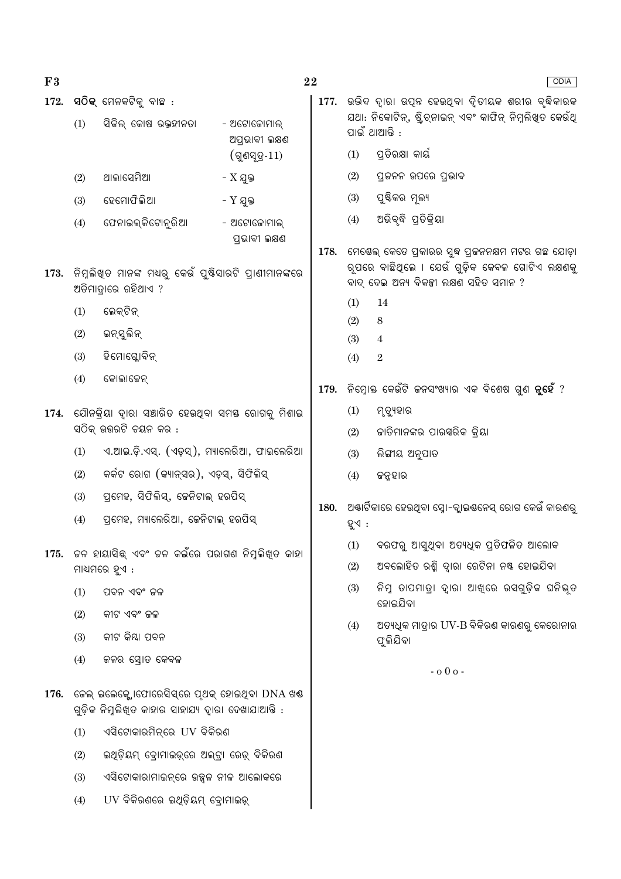- $F3$
- $172.$  ସଠିକ୍ ମେଳକଟିକ୍ ବାଛ $:$

 $(1)$ 

 $(2)$ 

- ସିକିଲ୍ କୋଷ ରକ୍ତହୀନତା - ଅଟୋକୋମାଲ ଅପ୍ରଭାବୀ ଲକ୍ଷଣ  $($ ଗ୍ରସ୍ତ $-11)$
- ଥାଲାସେମିଆ  $- X$  ଯକ୍ତ
- ହେମୋଫିଲିଆ -  $Y$  ଯୁକ୍ତ  $(3)$
- $(4)$ ଫେନାଇଲ୍କିଟୋନ୍ରିଆ - ଅଟୋଜୋମାଲ୍ ପ୍ତଭାବୀ ଲକ୍ଷଣ
- 173. ନିମୁଲିଖ୍ତ ମାନଙ୍କ ମଧ୍ୟରୁ କେଉଁ ପୁଷ୍ଟିସାରଟି ପ୍ରାଣୀମାନଙ୍କରେ ଅତିମାତାରେ ରହିଥାଏ ?
	- ଲେକ୍ଟିନ୍  $(1)$
	- ଇନ୍ସୁଲିନ୍  $(2)$
	- ହିମୋଗ୍ଲୋବିନ୍  $(3)$
	- $(4)$ କୋଲାଜେନ୍
- 174. ଯୌନକିୟା ଦାରା ସଞ୍ଚାରିତ ହେଉଥିବା ସମୟ ରୋଗକୁ ମିଶାଇ ସଠିକ ଉତ୍ତରଟି ଚୟନ କର :
	- ଏ.ଆଇ.ଡି.ଏସ୍. (ଏଡ଼ସ୍), ମ୍ୟାଲେରିଆ, ଫାଇଲେରିଆ  $(1)$
	- କର୍କଟ ରୋଗ (କ୍ୟାନ୍ସର), ଏଡ଼ସ୍, ସିଫିଲିସ୍  $(2)$
	- ପ୍ରମହ, ସିଫିଲିସ୍, ଜେନିଟାଲ୍ ହରପିସ୍  $(3)$
	- ପ୍ରମେହ, ମ୍ୟାଲେରିଆ, ଚେନିଟାଲ୍ ହରପିସ୍  $(4)$
- 175. କଳ ହାୟାସିଛ୍ ଏବଂ କଳ କଇଁରେ ପରାଗଣ ନିମ୍ନଲିଖିତ କାହା ମାଧ୍ୟମରେ ହୁଏ :
	- $(1)$ ପବନ ଏବଂ ଜଳ
	- $(2)$ କୀଟ ଏବଂ ଜଳ
	- କୀଟ କିୟା ପବନ  $(3)$
	- $(4)$ କଳର ସୋତ କେବଳ
- $176.$  କେଲ୍ ଇଲେକ୍ଲୋଫୋରେସିସ୍ରେ ପ୍ଥକ୍ ହୋଇଥିବା  $DNA$ ଖଣ୍ଡ ଗଡ଼ିକ ନିମ୍ନଲିଖତ କାହାର ସାହାଯ୍ୟ ଦାରା ଦେଖାଯାଆନ୍ତି :
	- ଏସିଟୋକାରମିନ୍ରେ UV ବିକିରଣ  $(1)$
	- ଇଥିଡ଼ିୟମ୍ ବୋମାଇଡ଼୍ରେ ଅଲ୍ଟା ରେଡ଼୍ ବିକିରଣ  $(2)$
	- ଏସିଟୋକାରାମାଇନ୍ରେ ଉଜ୍ଜଳ ନୀଳ ଆଲୋକରେ  $(3)$
	- UV ବିକିରଣରେ ଇଥିଡ଼ିୟମ୍ ବୋମାଇଡ଼୍  $(4)$
- **ODIA** 177. ଉଭିଦ ଦାରା ଉପନ୍ନ ହେଉଥିବା ଦିତୀୟକ ଶରୀର ବ୍ଦିକାରକ ଯଥା: ନିକୋଟିନ୍, ଷ୍ଟିଚ୍ନାଇନ୍ ଏବଂ କାଫିନ୍ ନିମୁଲିଖିତ କେଉଁଥି ପାଇଁ ଥାଆନ୍ତି : ପତିରକ୍ଷା କାର୍ୟ  $(1)$ ପ୍ରକନନ ଉପରେ ପଭାବ  $(2)$  $(3)$ ପୁଷ୍ଟିକର ମୂଲ୍ୟ ଅଭିବୃଦ୍ଧି ପ୍ରତିକ୍ରିୟା  $(4)$ 178. ମେଷେଲ୍ କେତେ ପ୍ରକାରର ସ୍ୱଦ୍ଧ ପ୍ରକନନକ୍ଷମ ମଟର ଗଛ ଯୋଡ଼ା ର୍ପରେ ବାଛିଥିଲେ । ଯେଉଁ ଗୁଡ଼ିକ କେବଳ ଗୋଟିଏ ଲକ୍ଷଣକୁ ବାଦ୍ ଦେଇ ଅନ୍ୟ ବିକଳ୍ପୀ ଲକ୍ଷଣ ସହିତ ସମାନ ?  $(1)$ 14  $(2)$  $\overline{8}$  $(3)$  $\overline{4}$  $(4)$  $\overline{2}$ ିନିମ୍ନୋକ୍ତ କେଉଁଟି ଚ୍ଚନସଂଖ୍ୟାର ଏକ ବିଶେଷ ଗୁଣ **ନୁହେଁ** ?  $(1)$ ମ୍ତ୍ୟହାର  $(2)$ କାତିମାନଙ୍କର ପାରସ୍କରିକ କ୍ରିୟା ଲିଙ୍ଗୀୟ ଅନୁପାତ  $(3)$  $(4)$ ଜନ୍ନହାର 180. ଅଷ୍ଟାର୍ଟିକାରେ ହେଉଥିବା ସ୍ରୋ-ବ୍ଲାଇଣ୍ଟନେସ୍ ରୋଗ କେଉଁ କାରଣର ହଏ : ବରଫର୍ ଆସ୍ତଥିବା ଅତ୍ୟଧିକ ପ୍ରତିଫଳିତ ଆଲୋକ  $(1)$ 
	- ଅବଲୋହିତ ରଶି ଦାରା ରେଟିନା ନଷ୍ଟ ହୋଇଯିବା  $(2)$
	- ନିମ୍ନ ତାପମାତ୍ରା ଦାରା ଆଖୁରେ ରସଗୁଡ଼ିକ ଘନିଭ୍ତ  $(3)$ ହୋଇଯିବା
	- ଅତ୍ୟଧିକ ମାତାର UV-B ବିକିରଣ କାରଣରୁ କେରୋନାର  $(4)$ ଫଲିଯିବା

 $-0.00 -$ 

22

179.